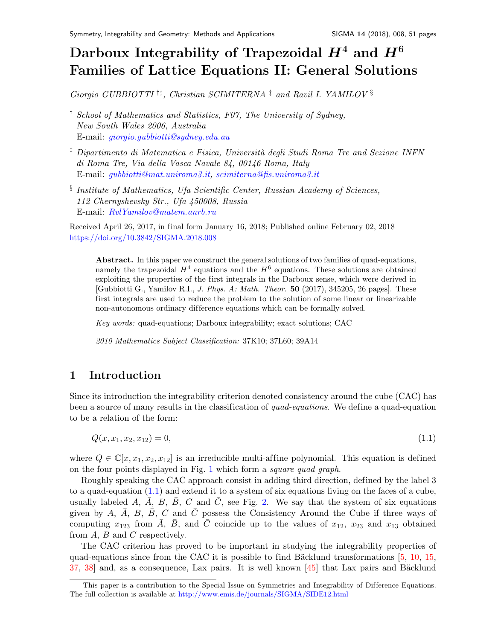# Darboux Integrability of Trapezoidal  $H^4$  and  $H^6$ Families of Lattice Equations II: General Solution[s](#page-0-0)

Giorgio GUBBIOTTI †‡, Christian SCIMITERNA ‡ and Ravil I. YAMILOV §

- † School of Mathematics and Statistics, F07, The University of Sydney, New South Wales 2006, Australia E-mail: [giorgio.gubbiotti@sydney.edu.au](mailto:giorgio.gubbiotti@sydney.edu.au)
- $\frac{1}{4}$  Dipartimento di Matematica e Fisica, Università degli Studi Roma Tre and Sezione INFN di Roma Tre, Via della Vasca Navale 84, 00146 Roma, Italy E-mail: [gubbiotti@mat.uniroma3.it,](mailto:gubbiotti@mat.uniroma3.it) [scimiterna@fis.uniroma3.it](mailto:scimiterna@fis.uniroma3.it)
- § Institute of Mathematics, Ufa Scientific Center, Russian Academy of Sciences, 112 Chernyshevsky Str., Ufa 450008, Russia E-mail: [RvlYamilov@matem.anrb.ru](mailto:RvlYamilov@matem.anrb.ru)

Received April 26, 2017, in final form January 16, 2018; Published online February 02, 2018 <https://doi.org/10.3842/SIGMA.2018.008>

Abstract. In this paper we construct the general solutions of two families of quad-equations, namely the trapezoidal  $H^4$  equations and the  $H^6$  equations. These solutions are obtained exploiting the properties of the first integrals in the Darboux sense, which were derived in [Gubbiotti G., Yamilov R.I., J. Phys. A: Math. Theor. 50 (2017), 345205, 26 pages]. These first integrals are used to reduce the problem to the solution of some linear or linearizable non-autonomous ordinary dif ference equations which can be formally solved.

Key words: quad-equations; Darboux integrability; exact solutions; CAC

2010 Mathematics Subject Classification: 37K10; 37L60; 39A14

# 1 Introduction

Since its introduction the integrability criterion denoted consistency around the cube (CAC) has been a source of many results in the classification of quad-equations. We define a quad-equation to be a relation of the form:

<span id="page-0-1"></span>
$$
Q(x, x_1, x_2, x_{12}) = 0,\t\t(1.1)
$$

where  $Q \in \mathbb{C}[x, x_1, x_2, x_{12}]$  is an irreducible multi-affine polynomial. This equation is defined on the four points displayed in Fig. [1](#page-1-0) which form a square quad graph.

Roughly speaking the CAC approach consist in adding third direction, defined by the label 3 to a quad-equation [\(1.1\)](#page-0-1) and extend it to a system of six equations living on the faces of a cube, usually labeled A,  $\bar{A}$ , B,  $\bar{B}$ , C and  $\bar{C}$ , see Fig. [2.](#page-1-1) We say that the system of six equations given by A,  $\bar{A}$ , B,  $\bar{B}$ , C and  $\bar{C}$  possess the Consistency Around the Cube if three ways of computing  $x_{123}$  from  $\overline{A}$ ,  $\overline{B}$ , and  $\overline{C}$  coincide up to the values of  $x_{12}$ ,  $x_{23}$  and  $x_{13}$  obtained from  $A$ ,  $B$  and  $C$  respectively.

The CAC criterion has proved to be important in studying the integrability properties of quad-equations since from the CAC it is possible to find Bäcklund transformations  $[5, 10, 15,$  $[5, 10, 15,$  $[5, 10, 15,$  $[5, 10, 15,$  $[5, 10, 15,$  $37, 38$  $37, 38$ ] and, as a consequence, Lax pairs. It is well known  $\left[45\right]$  that Lax pairs and Bäcklund

<span id="page-0-0"></span>This paper is a contribution to the Special Issue on Symmetries and Integrability of Difference Equations. The full collection is available at <http://www.emis.de/journals/SIGMA/SIDE12.html>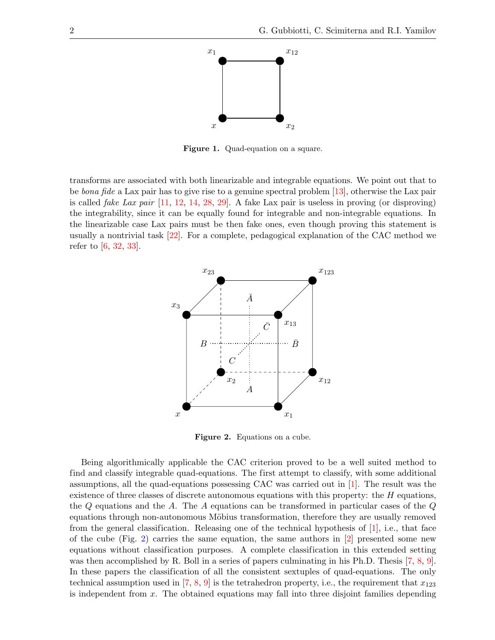

<span id="page-1-0"></span>Figure 1. Quad-equation on a square.

transforms are associated with both linearizable and integrable equations. We point out that to be *bona fide* a Lax pair has to give rise to a genuine spectral problem [\[13\]](#page-49-3), otherwise the Lax pair is called *fake Lax pair*  $\left[11, 12, 14, 28, 29\right]$  $\left[11, 12, 14, 28, 29\right]$  $\left[11, 12, 14, 28, 29\right]$  $\left[11, 12, 14, 28, 29\right]$  $\left[11, 12, 14, 28, 29\right]$  $\left[11, 12, 14, 28, 29\right]$  $\left[11, 12, 14, 28, 29\right]$  $\left[11, 12, 14, 28, 29\right]$  $\left[11, 12, 14, 28, 29\right]$ . A fake Lax pair is useless in proving (or disproving) the integrability, since it can be equally found for integrable and non-integrable equations. In the linearizable case Lax pairs must be then fake ones, even though proving this statement is usually a nontrivial task [\[22\]](#page-50-5). For a complete, pedagogical explanation of the CAC method we refer to [\[6,](#page-49-7) [32,](#page-50-6) [33\]](#page-50-7).



<span id="page-1-1"></span>Figure 2. Equations on a cube.

Being algorithmically applicable the CAC criterion proved to be a well suited method to find and classify integrable quad-equations. The first attempt to classify, with some additional assumptions, all the quad-equations possessing CAC was carried out in [\[1\]](#page-49-8). The result was the existence of three classes of discrete autonomous equations with this property: the  $H$  equations, the  $Q$  equations and the  $A$ . The  $A$  equations can be transformed in particular cases of the  $Q$ equations through non-autonomous Möbius transformation, therefore they are usually removed from the general classification. Releasing one of the technical hypothesis of [\[1\]](#page-49-8), i.e., that face of the cube (Fig. [2\)](#page-1-1) carries the same equation, the same authors in [\[2\]](#page-49-9) presented some new equations without classification purposes. A complete classification in this extended setting was then accomplished by R. Boll in a series of papers culminating in his Ph.D. Thesis [\[7,](#page-49-10) [8,](#page-49-11) [9\]](#page-49-12). In these papers the classification of all the consistent sextuples of quad-equations. The only technical assumption used in  $[7, 8, 9]$  $[7, 8, 9]$  $[7, 8, 9]$  $[7, 8, 9]$  $[7, 8, 9]$  is the tetrahedron property, i.e., the requirement that  $x_{123}$ is independent from  $x$ . The obtained equations may fall into three disjoint families depending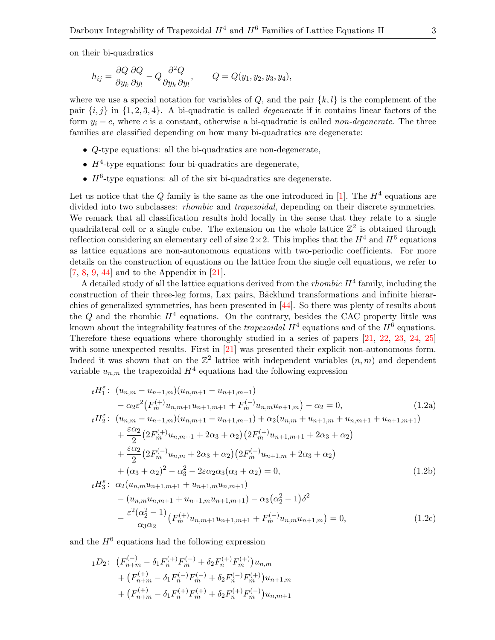on their bi-quadratics

$$
h_{ij} = \frac{\partial Q}{\partial y_k} \frac{\partial Q}{\partial y_l} - Q \frac{\partial^2 Q}{\partial y_k \partial y_l}, \qquad Q = Q(y_1, y_2, y_3, y_4),
$$

where we use a special notation for variables of  $Q$ , and the pair  $\{k, l\}$  is the complement of the pair  $\{i, j\}$  in  $\{1, 2, 3, 4\}$ . A bi-quadratic is called *degenerate* if it contains linear factors of the form  $y_i - c$ , where c is a constant, otherwise a bi-quadratic is called non-degenerate. The three families are classified depending on how many bi-quadratics are degenerate:

- Q-type equations: all the bi-quadratics are non-degenerate,
- $H^4$ -type equations: four bi-quadratics are degenerate,
- $H<sup>6</sup>$ -type equations: all of the six bi-quadratics are degenerate.

Let us notice that the Q family is the same as the one introduced in [\[1\]](#page-49-8). The  $H^4$  equations are divided into two subclasses: *rhombic* and *trapezoidal*, depending on their discrete symmetries. We remark that all classification results hold locally in the sense that they relate to a single quadrilateral cell or a single cube. The extension on the whole lattice  $\mathbb{Z}^2$  is obtained through reflection considering an elementary cell of size  $2 \times 2$ . This implies that the  $H^4$  and  $H^6$  equations as lattice equations are non-autonomous equations with two-periodic coefficients. For more details on the construction of equations on the lattice from the single cell equations, we refer to [\[7,](#page-49-10) [8,](#page-49-11) [9,](#page-49-12) [44\]](#page-50-8) and to the Appendix in [\[21\]](#page-49-13).

A detailed study of all the lattice equations derived from the *rhombic*  $H^4$  family, including the construction of their three-leg forms, Lax pairs, Bäcklund transformations and infinite hierarchies of generalized symmetries, has been presented in [\[44\]](#page-50-8). So there was plenty of results about the Q and the rhombic  $H^4$  equations. On the contrary, besides the CAC property little was known about the integrability features of the *trapezoidal*  $H^4$  equations and of the  $H^6$  equations. Therefore these equations where thoroughly studied in a series of papers [\[21,](#page-49-13) [22,](#page-50-5) [23,](#page-50-9) [24,](#page-50-10) [25\]](#page-50-11) with some unexpected results. First in [\[21\]](#page-49-13) was presented their explicit non-autonomous form. Indeed it was shown that on the  $\mathbb{Z}^2$  lattice with independent variables  $(n, m)$  and dependent variable  $u_{n,m}$  the trapezoidal  $H^4$  equations had the following expression

<span id="page-2-2"></span><span id="page-2-0"></span>
$$
{}_{t}H_{1}^{\varepsilon} \colon (u_{n,m} - u_{n+1,m})(u_{n,m+1} - u_{n+1,m+1})
$$
  
\t
$$
- \alpha_{2}\varepsilon^{2} (F_{m}^{(+)}u_{n,m+1}u_{n+1,m+1} + F_{m}^{(-)}u_{n,m}u_{n+1,m}) - \alpha_{2} = 0,
$$
\t(1.2a)  
\t
$$
{}_{t}H_{2}^{\varepsilon} \colon (u_{n,m} - u_{n+1,m})(u_{n,m+1} - u_{n+1,m+1}) + \alpha_{2}(u_{n,m} + u_{n+1,m} + u_{n,m+1} + u_{n+1,m+1})
$$
  
\t
$$
+ \frac{\varepsilon\alpha_{2}}{2} (2F_{m}^{(+)}u_{n,m+1} + 2\alpha_{3} + \alpha_{2}) (2F_{m}^{(+)}u_{n+1,m+1} + 2\alpha_{3} + \alpha_{2})
$$
  
\t
$$
+ \frac{\varepsilon\alpha_{2}}{2} (2F_{m}^{(-)}u_{n,m} + 2\alpha_{3} + \alpha_{2}) (2F_{m}^{(-)}u_{n+1,m} + 2\alpha_{3} + \alpha_{2})
$$
  
\t
$$
+ (\alpha_{3} + \alpha_{2})^{2} - \alpha_{3}^{2} - 2\varepsilon\alpha_{2}\alpha_{3}(\alpha_{3} + \alpha_{2}) = 0,
$$
\t(1.2b)

<span id="page-2-4"></span><span id="page-2-3"></span>
$$
{}_{t}H_{3}^{\varepsilon} : \alpha_{2}(u_{n,m}u_{n+1,m+1} + u_{n+1,m}u_{n,m+1})
$$
  
-(u\_{n,m}u\_{n,m+1} + u\_{n+1,m}u\_{n+1,m+1}) - \alpha\_{3}(\alpha\_{2}^{2} - 1)\delta^{2}  
-\frac{\varepsilon^{2}(\alpha\_{2}^{2} - 1)}{\alpha\_{3}\alpha\_{2}}(F\_{m}^{(+)}u\_{n,m+1}u\_{n+1,m+1} + F\_{m}^{(-)}u\_{n,m}u\_{n+1,m}) = 0, (1.2c)

and the  $H^6$  equations had the following expression

<span id="page-2-1"></span>
$$
{}_{1}D_{2}: \ \ (F_{n+m}^{(-)}-\delta_{1}F_{n}^{(+)}F_{m}^{(-)}+\delta_{2}F_{n}^{(+)}F_{m}^{(+)})u_{n,m}+\ \ (F_{n+m}^{(+)}-\delta_{1}F_{n}^{(-)}F_{m}^{(-)}+\delta_{2}F_{n}^{(-)}F_{m}^{(+)})u_{n+1,m}+\ \ (F_{n+m}^{(+)}-\delta_{1}F_{n}^{(+)}F_{m}^{(+)}+\delta_{2}F_{n}^{(+)}F_{m}^{(-)})u_{n,m+1}
$$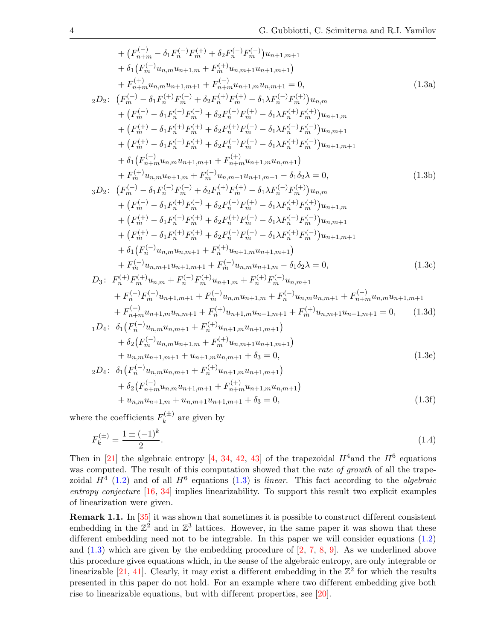<span id="page-3-5"></span><span id="page-3-1"></span>+ 
$$
(F_{n+m}^{(-)} - \delta_1 F_n^{(-)} F_m^{(+)} + \delta_2 F_n^{(-)} F_m^{(-)} ) u_{n+1,m+1}
$$
  
+  $\delta_1 (F_n^{(-)} u_{n,m} u_{n+1,m} + F_n^{(+)} u_{n,m+1} u_{n+1,m+1})$   
+  $F_{n+m}^{(-)} u_{n,m} u_{n+1,m+1} + F_{n+m}^{(-)} u_{n,m+1,m+1} = 0,$  (1.3a)  
2D:  $(F_m^{(-)} - \delta_1 F_n^{(-)} F_m^{(-)} + \delta_2 F_n^{(+)} F_m^{(+)} - \delta_1 \lambda F_n^{(-)} F_m^{(+)} ) u_{n,m}$   
+  $(F_m^{(-)} - \delta_1 F_n^{(-)} F_m^{(-)} + \delta_2 F_n^{(-)} F_m^{(+)} - \delta_1 \lambda F_n^{(-)} F_m^{(+)} ) u_{n+1,m}$   
+  $(F_m^{(+)} - \delta_1 F_n^{(-)} F_m^{(+)} + \delta_2 F_n^{(-)} F_m^{(-)} - \delta_1 \lambda F_n^{(-)} F_m^{(-)} ) u_{n,m+1}$   
+  $(F_m^{(+)} - \delta_1 F_n^{(-)} F_m^{(+)} + \delta_2 F_n^{(-)} F_m^{(-)} - \delta_1 \lambda F_n^{(+)} F_m^{(-)} ) u_{n+1,m+1}$   
+  $\delta_1 (F_{n-m}^{(-)} u_{n,m} u_{n+1,m+1} + F_{n+m}^{(+)} u_{n+1,m+1} u_{n+1})$   
+  $F_n^{(+)} u_{n,m} u_{n+1,m} + F_n^{(-)} u_{n,m+1} u_{n+1,m+1} - \delta_1 \delta_2 \lambda = 0,$  (1.3b)  
3D<sub>2</sub>:  $(F_m^{(-)} - \delta_1 F_n^{(-)} F_m^{(-)} + \delta_2 F_n^{(+)} F_m^{(+)} - \delta_1 \lambda F_n^{(-)} F_m^{(+)} ) u_{n,m}$   
+  $(F_m^{(-)} - \delta_1 F_n^{(-)} F_m^{(-)} + \delta_2 F_n^{(-)} F_m^{(-)} - \delta_1 \lambda F_n^{(-)} F_m^{(-)} ) u_{n,m}$   
+  $(F_m^{(+)} - \delta_1 F_n^{(-)} F_m^{(+)} + \delta_2 F_n^{(-)} F_m^{(-)} - \delta_1 \lambda F_n^{(-)} F_m^{(-)} ) u_{n,m+1}$   
+

<span id="page-3-6"></span><span id="page-3-4"></span><span id="page-3-3"></span><span id="page-3-2"></span><span id="page-3-0"></span>
$$
+ u_{n,m}u_{n+1,m} + u_{n,m+1}u_{n+1,m+1} + \delta_3 = 0,
$$
\n(1.3f)

where the coefficients  $F_k^{(\pm)}$  $k^{(\pm)}$  are given by

$$
F_k^{(\pm)} = \frac{1 \pm (-1)^k}{2}.\tag{1.4}
$$

Then in [\[21\]](#page-49-13) the algebraic entropy [\[4,](#page-49-14) [34,](#page-50-12) [42,](#page-50-13) [43\]](#page-50-14) of the trapezoidal  $H^4$  and the  $H^6$  equations was computed. The result of this computation showed that the rate of growth of all the trapezoidal  $H^4$  [\(1.2\)](#page-2-0) and of all  $H^6$  equations [\(1.3\)](#page-2-1) is linear. This fact according to the algebraic entropy conjecture [\[16,](#page-49-15) [34\]](#page-50-12) implies linearizability. To support this result two explicit examples of linearization were given.

Remark 1.1. In [\[35\]](#page-50-15) it was shown that sometimes it is possible to construct different consistent embedding in the  $\mathbb{Z}^2$  and in  $\mathbb{Z}^3$  lattices. However, in the same paper it was shown that these different embedding need not to be integrable. In this paper we will consider equations  $(1.2)$ and  $(1.3)$  which are given by the embedding procedure of  $[2, 7, 8, 9]$  $[2, 7, 8, 9]$  $[2, 7, 8, 9]$  $[2, 7, 8, 9]$  $[2, 7, 8, 9]$  $[2, 7, 8, 9]$  $[2, 7, 8, 9]$ . As we underlined above this procedure gives equations which, in the sense of the algebraic entropy, are only integrable or linearizable [\[21,](#page-49-13) [41\]](#page-50-16). Clearly, it may exist a different embedding in the  $\mathbb{Z}^2$  for which the results presented in this paper do not hold. For an example where two dif ferent embedding give both rise to linearizable equations, but with different properties, see  $[20]$ .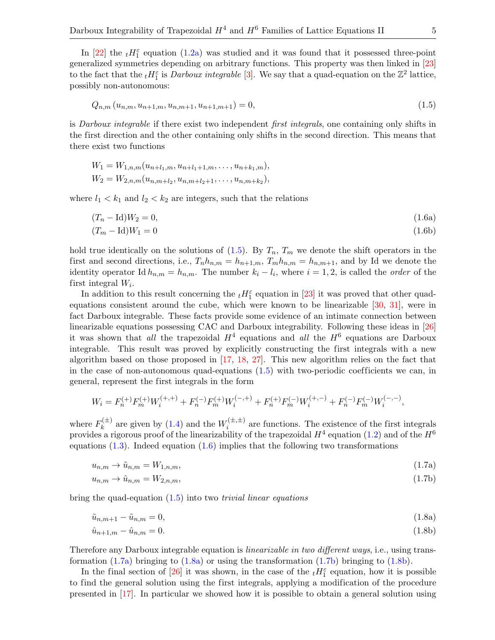In [\[22\]](#page-50-5) the  $_t H_1^{\varepsilon}$  equation [\(1.2a\)](#page-2-2) was studied and it was found that it possessed three-point generalized symmetries depending on arbitrary functions. This property was then linked in [\[23\]](#page-50-9) to the fact that the  ${}_{t}H_{1}^{\varepsilon}$  is *Darboux integrable* [\[3\]](#page-49-17). We say that a quad-equation on the  $\mathbb{Z}^{2}$  lattice, possibly non-autonomous:

<span id="page-4-0"></span>
$$
Q_{n,m}(u_{n,m},u_{n+1,m},u_{n,m+1},u_{n+1,m+1}) = 0,
$$
\n(1.5)

is Darboux integrable if there exist two independent first integrals, one containing only shifts in the first direction and the other containing only shifts in the second direction. This means that there exist two functions

$$
W_1 = W_{1,n,m}(u_{n+l_1,m}, u_{n+l_1+1,m}, \dots, u_{n+k_1,m}),
$$
  

$$
W_2 = W_{2,n,m}(u_{n,m+l_2}, u_{n,m+l_2+1}, \dots, u_{n,m+k_2}),
$$

where  $l_1 < k_1$  and  $l_2 < k_2$  are integers, such that the relations

<span id="page-4-6"></span><span id="page-4-1"></span>
$$
(T_n - \mathrm{Id})W_2 = 0,\tag{1.6a}
$$

$$
(T_m - \text{Id})W_1 = 0\tag{1.6b}
$$

hold true identically on the solutions of  $(1.5)$ . By  $T_n$ ,  $T_m$  we denote the shift operators in the first and second directions, i.e.,  $T_n h_{n,m} = h_{n+1,m}$ ,  $T_m h_{n,m} = h_{n,m+1}$ , and by Id we denote the identity operator Id  $h_{n,m} = h_{n,m}$ . The number  $k_i - l_i$ , where  $i = 1, 2$ , is called the *order* of the first integral  $W_i$ .

In addition to this result concerning the  $_t H_1^{\varepsilon}$  equation in [\[23\]](#page-50-9) it was proved that other quadequations consistent around the cube, which were known to be linearizable [\[30,](#page-50-17) [31\]](#page-50-18), were in fact Darboux integrable. These facts provide some evidence of an intimate connection between linearizable equations possessing CAC and Darboux integrability. Following these ideas in [\[26\]](#page-50-19) it was shown that all the trapezoidal  $H^4$  equations and all the  $H^6$  equations are Darboux integrable. This result was proved by explicitly constructing the first integrals with a new algorithm based on those proposed in [\[17,](#page-49-18) [18,](#page-49-19) [27\]](#page-50-20). This new algorithm relies on the fact that in the case of non-autonomous quad-equations  $(1.5)$  with two-periodic coefficients we can, in general, represent the first integrals in the form

$$
W_i = F_n^{(+)} F_m^{(+)} W_i^{(+,+)} + F_n^{(-)} F_m^{(+)} W_i^{(-,+)} + F_n^{(+)} F_m^{(-)} W_i^{(+,-)} + F_n^{(-)} F_m^{(-)} W_i^{(-,-)},
$$

where  $F_k^{(\pm)}$  $\mathbf{R}_k^{(\pm)}$  are given by [\(1.4\)](#page-3-0) and the  $W_i^{(\pm,\pm)}$  $i^{(\pm,\pm)}$  are functions. The existence of the first integrals provides a rigorous proof of the linearizability of the trapezoidal  $H^4$  equation [\(1.2\)](#page-2-0) and of the  $H^6$ equations  $(1.3)$ . Indeed equation  $(1.6)$  implies that the following two transformations

<span id="page-4-4"></span><span id="page-4-2"></span>
$$
u_{n,m} \to \tilde{u}_{n,m} = W_{1,n,m},\tag{1.7a}
$$

$$
u_{n,m} \to \hat{u}_{n,m} = W_{2,n,m},\tag{1.7b}
$$

bring the quad-equation  $(1.5)$  into two *trivial linear equations* 

$$
\tilde{u}_{n,m+1} - \tilde{u}_{n,m} = 0,\t\t(1.8a)
$$

<span id="page-4-5"></span><span id="page-4-3"></span>
$$
\hat{u}_{n+1,m} - \hat{u}_{n,m} = 0. \tag{1.8b}
$$

Therefore any Darboux integrable equation is *linearizable in two different ways*, i.e., using transformation  $(1.7a)$  bringing to  $(1.8a)$  or using the transformation  $(1.7b)$  bringing to  $(1.8b)$ .

In the final section of [\[26\]](#page-50-19) it was shown, in the case of the  $_t H_1^{\varepsilon}$  equation, how it is possible to find the general solution using the first integrals, applying a modification of the procedure presented in [\[17\]](#page-49-18). In particular we showed how it is possible to obtain a general solution using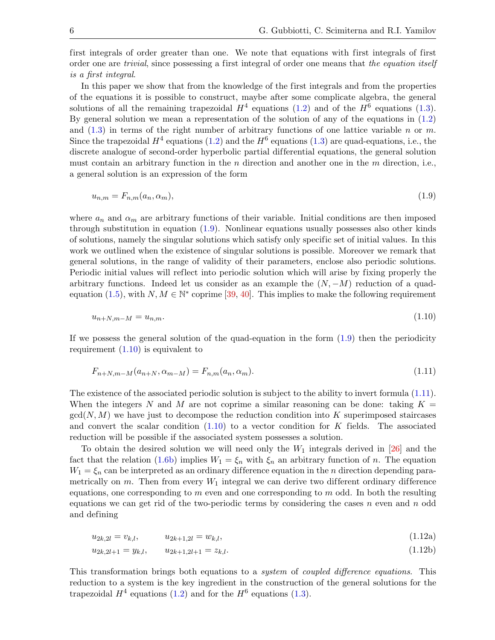first integrals of order greater than one. We note that equations with first integrals of first order one are trivial, since possessing a first integral of order one means that the equation itself is a first integral.

In this paper we show that from the knowledge of the first integrals and from the properties of the equations it is possible to construct, maybe after some complicate algebra, the general solutions of all the remaining trapezoidal  $H^4$  equations [\(1.2\)](#page-2-0) and of the  $H^6$  equations [\(1.3\)](#page-2-1). By general solution we mean a representation of the solution of any of the equations in [\(1.2\)](#page-2-0) and  $(1.3)$  in terms of the right number of arbitrary functions of one lattice variable n or m. Since the trapezoidal  $H^4$  equations [\(1.2\)](#page-2-0) and the  $H^6$  equations [\(1.3\)](#page-2-1) are quad-equations, i.e., the discrete analogue of second-order hyperbolic partial differential equations, the general solution must contain an arbitrary function in the *n* direction and another one in the *m* direction, i.e., a general solution is an expression of the form

<span id="page-5-0"></span>
$$
u_{n,m} = F_{n,m}(a_n, \alpha_m), \tag{1.9}
$$

where  $a_n$  and  $\alpha_m$  are arbitrary functions of their variable. Initial conditions are then imposed through substitution in equation [\(1.9\)](#page-5-0). Nonlinear equations usually possesses also other kinds of solutions, namely the singular solutions which satisfy only specific set of initial values. In this work we outlined when the existence of singular solutions is possible. Moreover we remark that general solutions, in the range of validity of their parameters, enclose also periodic solutions. Periodic initial values will reflect into periodic solution which will arise by fixing properly the arbitrary functions. Indeed let us consider as an example the  $(N, -M)$  reduction of a quad-equation [\(1.5\)](#page-4-0), with  $N, M \in \mathbb{N}^*$  coprime [\[39,](#page-50-21) [40\]](#page-50-22). This implies to make the following requirement

<span id="page-5-1"></span>
$$
u_{n+N,m-M} = u_{n,m}.\tag{1.10}
$$

If we possess the general solution of the quad-equation in the form  $(1.9)$  then the periodicity requirement  $(1.10)$  is equivalent to

<span id="page-5-2"></span>
$$
F_{n+N,m-M}(a_{n+N}, \alpha_{m-M}) = F_{n,m}(a_n, \alpha_m). \tag{1.11}
$$

The existence of the associated periodic solution is subject to the ability to invert formula [\(1.11\)](#page-5-2). When the integers N and M are not coprime a similar reasoning can be done: taking  $K =$  $gcd(N, M)$  we have just to decompose the reduction condition into K superimposed staircases and convert the scalar condition  $(1.10)$  to a vector condition for K fields. The associated reduction will be possible if the associated system possesses a solution.

To obtain the desired solution we will need only the  $W_1$  integrals derived in [\[26\]](#page-50-19) and the fact that the relation [\(1.6b\)](#page-4-6) implies  $W_1 = \xi_n$  with  $\xi_n$  an arbitrary function of n. The equation  $W_1 = \xi_n$  can be interpreted as an ordinary difference equation in the *n* direction depending parametrically on  $m$ . Then from every  $W_1$  integral we can derive two different ordinary difference equations, one corresponding to  $m$  even and one corresponding to  $m$  odd. In both the resulting equations we can get rid of the two-periodic terms by considering the cases n even and n odd and defining

<span id="page-5-5"></span><span id="page-5-4"></span><span id="page-5-3"></span>
$$
u_{2k,2l} = v_{k,l}, \t u_{2k+1,2l} = w_{k,l}, \t (1.12a)
$$

$$
u_{2k,2l+1} = y_{k,l}, \qquad u_{2k+1,2l+1} = z_{k,l}.\tag{1.12b}
$$

This transformation brings both equations to a system of coupled difference equations. This reduction to a system is the key ingredient in the construction of the general solutions for the trapezoidal  $H^4$  equations [\(1.2\)](#page-2-0) and for the  $H^6$  equations [\(1.3\)](#page-2-1).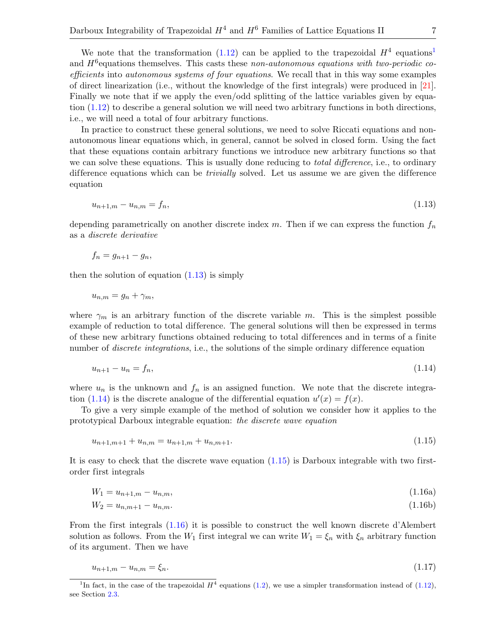We note that the transformation [\(1.12\)](#page-5-3) can be applied to the trapezoidal  $H^4$  equations<sup>[1](#page-6-0)</sup> and  $H^6$  equations themselves. This casts these non-autonomous equations with two-periodic coefficients into autonomous systems of four equations. We recall that in this way some examples of direct linearization (i.e., without the knowledge of the first integrals) were produced in [\[21\]](#page-49-13). Finally we note that if we apply the even/odd splitting of the lattice variables given by equation [\(1.12\)](#page-5-3) to describe a general solution we will need two arbitrary functions in both directions, i.e., we will need a total of four arbitrary functions.

In practice to construct these general solutions, we need to solve Riccati equations and nonautonomous linear equations which, in general, cannot be solved in closed form. Using the fact that these equations contain arbitrary functions we introduce new arbitrary functions so that we can solve these equations. This is usually done reducing to *total difference*, i.e., to ordinary difference equations which can be *trivially* solved. Let us assume we are given the difference equation

<span id="page-6-1"></span>
$$
u_{n+1,m} - u_{n,m} = f_n,\tag{1.13}
$$

depending parametrically on another discrete index  $m$ . Then if we can express the function  $f_n$ as a discrete derivative

$$
f_n = g_{n+1} - g_n,
$$

then the solution of equation  $(1.13)$  is simply

$$
u_{n,m}=g_n+\gamma_m,
$$

where  $\gamma_m$  is an arbitrary function of the discrete variable m. This is the simplest possible example of reduction to total difference. The general solutions will then be expressed in terms of these new arbitrary functions obtained reducing to total dif ferences and in terms of a finite number of *discrete integrations*, i.e., the solutions of the simple ordinary difference equation

<span id="page-6-2"></span>
$$
u_{n+1} - u_n = f_n,\tag{1.14}
$$

where  $u_n$  is the unknown and  $f_n$  is an assigned function. We note that the discrete integra-tion [\(1.14\)](#page-6-2) is the discrete analogue of the differential equation  $u'(x) = f(x)$ .

To give a very simple example of the method of solution we consider how it applies to the prototypical Darboux integrable equation: the discrete wave equation

<span id="page-6-4"></span><span id="page-6-3"></span>
$$
u_{n+1,m+1} + u_{n,m} = u_{n+1,m} + u_{n,m+1}.\tag{1.15}
$$

It is easy to check that the discrete wave equation [\(1.15\)](#page-6-3) is Darboux integrable with two firstorder first integrals

$$
W_1 = u_{n+1,m} - u_{n,m},\tag{1.16a}
$$

$$
W_2 = u_{n,m+1} - u_{n,m}.\tag{1.16b}
$$

From the first integrals [\(1.16\)](#page-6-4) it is possible to construct the well known discrete d'Alembert solution as follows. From the  $W_1$  first integral we can write  $W_1 = \xi_n$  with  $\xi_n$  arbitrary function of its argument. Then we have

<span id="page-6-5"></span>
$$
u_{n+1,m} - u_{n,m} = \xi_n. \tag{1.17}
$$

<span id="page-6-0"></span><sup>&</sup>lt;sup>1</sup>In fact, in the case of the trapezoidal  $H^4$  equations [\(1.2\)](#page-2-0), we use a simpler transformation instead of [\(1.12\)](#page-5-3), see Section [2.3.](#page-20-0)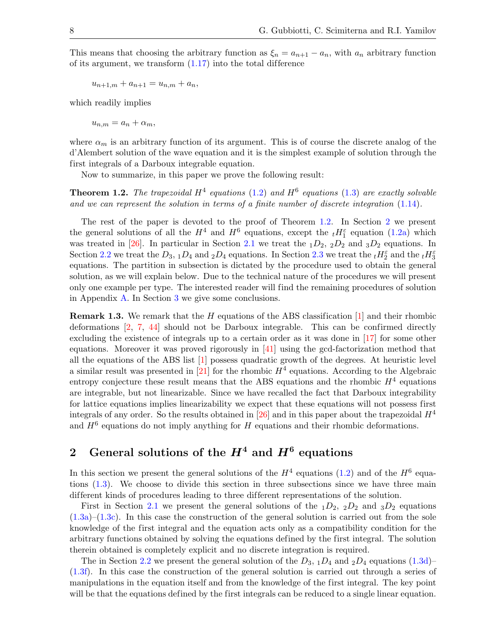This means that choosing the arbitrary function as  $\xi_n = a_{n+1} - a_n$ , with  $a_n$  arbitrary function of its argument, we transform  $(1.17)$  into the total difference

$$
u_{n+1,m} + a_{n+1} = u_{n,m} + a_n,
$$

which readily implies

$$
u_{n,m} = a_n + \alpha_m,
$$

where  $\alpha_m$  is an arbitrary function of its argument. This is of course the discrete analog of the d'Alembert solution of the wave equation and it is the simplest example of solution through the first integrals of a Darboux integrable equation.

Now to summarize, in this paper we prove the following result:

<span id="page-7-0"></span>**Theorem 1.2.** The trapezoidal  $H^4$  equations [\(1.2\)](#page-2-0) and  $H^6$  equations [\(1.3\)](#page-2-1) are exactly solvable and we can represent the solution in terms of a finite number of discrete integration  $(1.14)$ .

The rest of the paper is devoted to the proof of Theorem [1.2.](#page-7-0) In Section [2](#page-7-1) we present the general solutions of all the  $H^4$  and  $H^6$  equations, except the  $_tH_1^{\varepsilon}$  equation [\(1.2a\)](#page-2-2) which was treated in [\[26\]](#page-50-19). In particular in Section [2.1](#page-8-0) we treat the  $_1D_2$ ,  $_2D_2$  and  $_3D_2$  equations. In Section [2.2](#page-15-0) we treat the  $D_3$ ,  $_1D_4$  and  $_2D_4$  equations. In Section [2.3](#page-20-0) we treat the  $_tH_2^{\varepsilon}$  and the  $_tH_3^{\varepsilon}$ equations. The partition in subsection is dictated by the procedure used to obtain the general solution, as we will explain below. Due to the technical nature of the procedures we will present only one example per type. The interested reader will find the remaining procedures of solution in Appendix [A.](#page-29-0) In Section [3](#page-29-1) we give some conclusions.

**Remark 1.3.** We remark that the H equations of the ABS classification  $\begin{bmatrix} 1 \end{bmatrix}$  and their rhombic deformations [\[2,](#page-49-9) [7,](#page-49-10) [44\]](#page-50-8) should not be Darboux integrable. This can be confirmed directly excluding the existence of integrals up to a certain order as it was done in [\[17\]](#page-49-18) for some other equations. Moreover it was proved rigorously in  $[41]$  using the gcd-factorization method that all the equations of the ABS list [\[1\]](#page-49-8) possess quadratic growth of the degrees. At heuristic level a similar result was presented in [\[21\]](#page-49-13) for the rhombic  $H^4$  equations. According to the Algebraic entropy conjecture these result means that the ABS equations and the rhombic  $H^4$  equations are integrable, but not linearizable. Since we have recalled the fact that Darboux integrability for lattice equations implies linearizability we expect that these equations will not possess first integrals of any order. So the results obtained in [\[26\]](#page-50-19) and in this paper about the trapezoidal  $H<sup>4</sup>$ and  $H^6$  equations do not imply anything for H equations and their rhombic deformations.

# <span id="page-7-1"></span>2 General solutions of the  $H^4$  and  $H^6$  equations

In this section we present the general solutions of the  $H^4$  equations [\(1.2\)](#page-2-0) and of the  $H^6$  equations [\(1.3\)](#page-2-1). We choose to divide this section in three subsections since we have three main different kinds of procedures leading to three different representations of the solution.

First in Section [2.1](#page-8-0) we present the general solutions of the  $_1D_2$ ,  $_2D_2$  and  $_3D_2$  equations  $(1.3a)$ – $(1.3c)$ . In this case the construction of the general solution is carried out from the sole knowledge of the first integral and the equation acts only as a compatibility condition for the arbitrary functions obtained by solving the equations defined by the first integral. The solution therein obtained is completely explicit and no discrete integration is required.

The in Section [2.2](#page-15-0) we present the general solution of the  $D_3$ ,  $_1D_4$  and  $_2D_4$  equations [\(1.3d\)](#page-3-3)– [\(1.3f\)](#page-3-4). In this case the construction of the general solution is carried out through a series of manipulations in the equation itself and from the knowledge of the first integral. The key point will be that the equations defined by the first integrals can be reduced to a single linear equation.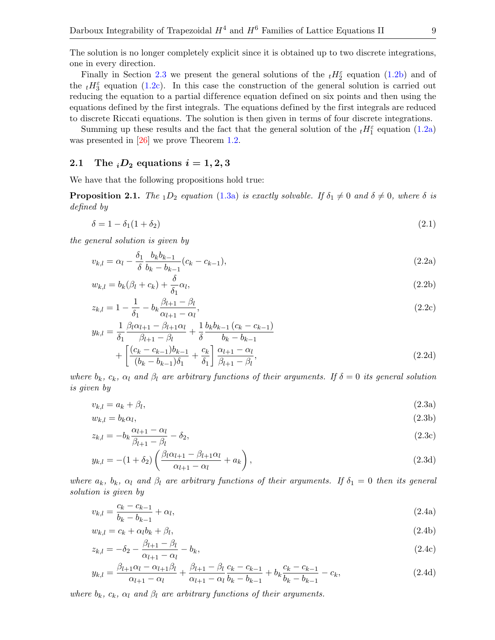The solution is no longer completely explicit since it is obtained up to two discrete integrations, one in every direction.

Finally in Section [2.3](#page-20-0) we present the general solutions of the  $_tH_2^{\varepsilon}$  equation [\(1.2b\)](#page-2-3) and of the  $_t H_3^{\varepsilon}$  equation [\(1.2c\)](#page-2-4). In this case the construction of the general solution is carried out reducing the equation to a partial difference equation defined on six points and then using the equations defined by the first integrals. The equations defined by the first integrals are reduced to discrete Riccati equations. The solution is then given in terms of four discrete integrations.

Summing up these results and the fact that the general solution of the  $_tH_1^{\varepsilon}$  equation [\(1.2a\)](#page-2-2) was presented in [\[26\]](#page-50-19) we prove Theorem [1.2.](#page-7-0)

#### <span id="page-8-0"></span>2.1 The  $_iD_2$  equations  $i = 1, 2, 3$

We have that the following propositions hold true:

<span id="page-8-5"></span>**Proposition 2.1.** The <sub>1</sub>D<sub>2</sub> equation [\(1.3a\)](#page-3-1) is exactly solvable. If  $\delta_1 \neq 0$  and  $\delta \neq 0$ , where  $\delta$  is defined by

<span id="page-8-1"></span>
$$
\delta = 1 - \delta_1 (1 + \delta_2) \tag{2.1}
$$

the general solution is given by

<span id="page-8-2"></span>
$$
v_{k,l} = \alpha_l - \frac{\delta_1}{\delta} \frac{b_k b_{k-1}}{b_k - b_{k-1}} (c_k - c_{k-1}),
$$
\n(2.2a)

$$
w_{k,l} = b_k(\beta_l + c_k) + \frac{\delta}{\delta_1} \alpha_l,
$$
\n(2.2b)

$$
z_{k,l} = 1 - \frac{1}{\delta_1} - b_k \frac{\beta_{l+1} - \beta_l}{\alpha_{l+1} - \alpha_l},
$$
\n(2.2c)

$$
y_{k,l} = \frac{1}{\delta_1} \frac{\beta_l \alpha_{l+1} - \beta_{l+1} \alpha_l}{\beta_{l+1} - \beta_l} + \frac{1}{\delta} \frac{b_k b_{k-1} (c_k - c_{k-1})}{b_k - b_{k-1}} + \left[ \frac{(c_k - c_{k-1}) b_{k-1}}{(b_k - b_{k-1}) \delta_1} + \frac{c_k}{\delta_1} \right] \frac{\alpha_{l+1} - \alpha_l}{\beta_{l+1} - \beta_l},
$$
\n(2.2d)

where  $b_k$ ,  $c_k$ ,  $\alpha_l$  and  $\beta_l$  are arbitrary functions of their arguments. If  $\delta = 0$  its general solution is given by

<span id="page-8-3"></span>
$$
v_{k,l} = a_k + \beta_l,\tag{2.3a}
$$

$$
w_{k,l} = b_k \alpha_l,\tag{2.3b}
$$

$$
z_{k,l} = -b_k \frac{\alpha_{l+1} - \alpha_l}{\beta_{l+1} - \beta_l} - \delta_2,\tag{2.3c}
$$

$$
y_{k,l} = -(1+\delta_2) \left( \frac{\beta_l \alpha_{l+1} - \beta_{l+1} \alpha_l}{\alpha_{l+1} - \alpha_l} + a_k \right),\tag{2.3d}
$$

where  $a_k$ ,  $b_k$ ,  $\alpha_l$  and  $\beta_l$  are arbitrary functions of their arguments. If  $\delta_1 = 0$  then its general solution is given by

<span id="page-8-4"></span>
$$
v_{k,l} = \frac{c_k - c_{k-1}}{b_k - b_{k-1}} + \alpha_l, \tag{2.4a}
$$

$$
w_{k,l} = c_k + \alpha_l b_k + \beta_l, \tag{2.4b}
$$

$$
z_{k,l} = -\delta_2 - \frac{\beta_{l+1} - \beta_l}{\alpha_{l+1} - \alpha_l} - b_k,
$$
\n(2.4c)

$$
y_{k,l} = \frac{\beta_{l+1}\alpha_l - \alpha_{l+1}\beta_l}{\alpha_{l+1} - \alpha_l} + \frac{\beta_{l+1} - \beta_l}{\alpha_{l+1} - \alpha_l} \frac{c_k - c_{k-1}}{b_k - b_{k-1}} + b_k \frac{c_k - c_{k-1}}{b_k - b_{k-1}} - c_k,
$$
\n(2.4d)

where  $b_k$ ,  $c_k$ ,  $\alpha_l$  and  $\beta_l$  are arbitrary functions of their arguments.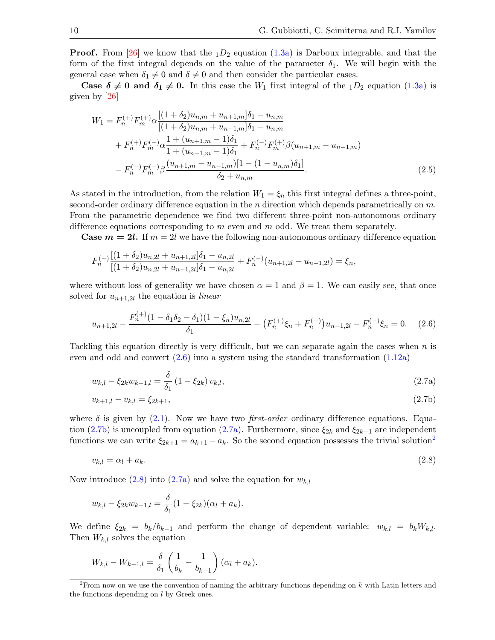**Proof.** From [\[26\]](#page-50-19) we know that the  $_1D_2$  equation [\(1.3a\)](#page-3-1) is Darboux integrable, and that the form of the first integral depends on the value of the parameter  $\delta_1$ . We will begin with the general case when  $\delta_1 \neq 0$  and  $\delta \neq 0$  and then consider the particular cases.

**Case**  $\delta \neq 0$  **and**  $\delta_1 \neq 0$ **.** In this case the  $W_1$  first integral of the  $_1D_2$  equation [\(1.3a\)](#page-3-1) is given by [\[26\]](#page-50-19)

<span id="page-9-6"></span>
$$
W_{1} = F_{n}^{(+)}F_{m}^{(+)}\alpha \frac{[(1+\delta_{2})u_{n,m} + u_{n+1,m}]\delta_{1} - u_{n,m}}{[(1+\delta_{2})u_{n,m} + u_{n-1,m}]\delta_{1} - u_{n,m}} + F_{n}^{(+)}F_{m}^{(-)}\alpha \frac{1 + (u_{n+1,m} - 1)\delta_{1}}{1 + (u_{n-1,m} - 1)\delta_{1}} + F_{n}^{(-)}F_{m}^{(+)}\beta (u_{n+1,m} - u_{n-1,m}) - F_{n}^{(-)}F_{m}^{(-)}\beta \frac{(u_{n+1,m} - u_{n-1,m})[1 - (1 - u_{n,m})\delta_{1}]}{\delta_{2} + u_{n,m}}.
$$
\n(2.5)

As stated in the introduction, from the relation  $W_1 = \xi_n$  this first integral defines a three-point, second-order ordinary difference equation in the n direction which depends parametrically on  $m$ . From the parametric dependence we find two different three-point non-autonomous ordinary difference equations corresponding to  $m$  even and  $m$  odd. We treat them separately.

**Case**  $m = 2l$ **.** If  $m = 2l$  we have the following non-autonomous ordinary difference equation

$$
F_n^{(+)} \frac{[(1+\delta_2)u_{n,2l} + u_{n+1,2l}]\delta_1 - u_{n,2l}}{[(1+\delta_2)u_{n,2l} + u_{n-1,2l}]\delta_1 - u_{n,2l}} + F_n^{(-)}(u_{n+1,2l} - u_{n-1,2l}) = \xi_n,
$$

where without loss of generality we have chosen  $\alpha = 1$  and  $\beta = 1$ . We can easily see, that once solved for  $u_{n+1,2l}$  the equation is *linear* 

<span id="page-9-0"></span>
$$
u_{n+1,2l} - \frac{F_n^{(+)}(1 - \delta_1 \delta_2 - \delta_1)(1 - \xi_n)u_{n,2l}}{\delta_1} - \left(F_n^{(+)}\xi_n + F_n^{(-)}\right)u_{n-1,2l} - F_n^{(-)}\xi_n = 0. \tag{2.6}
$$

Tackling this equation directly is very difficult, but we can separate again the cases when  $n$  is even and odd and convert  $(2.6)$  into a system using the standard transformation  $(1.12a)$ 

<span id="page-9-5"></span>
$$
w_{k,l} - \xi_{2k} w_{k-1,l} = \frac{\delta}{\delta_1} \left( 1 - \xi_{2k} \right) v_{k,l},\tag{2.7a}
$$

<span id="page-9-2"></span><span id="page-9-1"></span>
$$
v_{k+1,l} - v_{k,l} = \xi_{2k+1},\tag{2.7b}
$$

where  $\delta$  is given by [\(2.1\)](#page-8-1). Now we have two *first-order* ordinary difference equations. Equa-tion [\(2.7b\)](#page-9-1) is uncoupled from equation [\(2.7a\)](#page-9-2). Furthermore, since  $\xi_{2k}$  and  $\xi_{2k+1}$  are independent functions we can write  $\xi_{2k+1} = a_{k+1} - a_k$  $\xi_{2k+1} = a_{k+1} - a_k$  $\xi_{2k+1} = a_{k+1} - a_k$ . So the second equation possesses the trivial solution<sup>2</sup>

<span id="page-9-4"></span>
$$
v_{k,l} = \alpha_l + a_k. \tag{2.8}
$$

Now introduce [\(2.8\)](#page-9-4) into [\(2.7a\)](#page-9-2) and solve the equation for  $w_{k,l}$ 

$$
w_{k,l} - \xi_{2k} w_{k-1,l} = \frac{\delta}{\delta_1} (1 - \xi_{2k}) (\alpha_l + a_k).
$$

We define  $\xi_{2k} = b_k/b_{k-1}$  and perform the change of dependent variable:  $w_{k,l} = b_k W_{k,l}$ . Then  $W_{k,l}$  solves the equation

$$
W_{k,l} - W_{k-1,l} = \frac{\delta}{\delta_1} \left( \frac{1}{b_k} - \frac{1}{b_{k-1}} \right) (\alpha_l + a_k).
$$

<span id="page-9-3"></span><sup>&</sup>lt;sup>2</sup>From now on we use the convention of naming the arbitrary functions depending on  $k$  with Latin letters and the functions depending on  $l$  by Greek ones.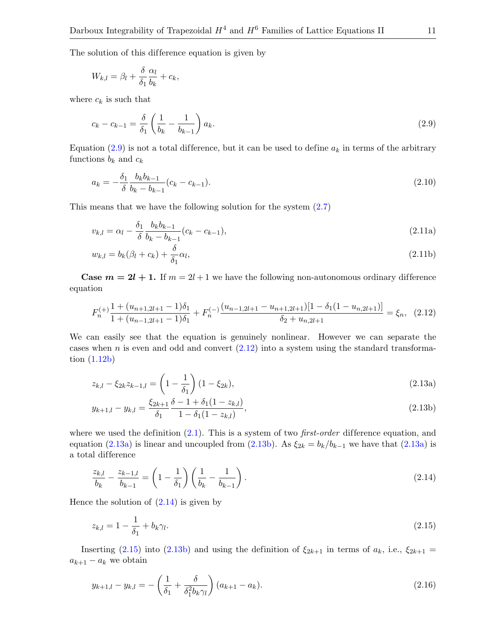The solution of this difference equation is given by

$$
W_{k,l} = \beta_l + \frac{\delta}{\delta_1} \frac{\alpha_l}{b_k} + c_k,
$$

where  $c_k$  is such that

<span id="page-10-0"></span>
$$
c_k - c_{k-1} = \frac{\delta}{\delta_1} \left( \frac{1}{b_k} - \frac{1}{b_{k-1}} \right) a_k.
$$
 (2.9)

Equation [\(2.9\)](#page-10-0) is not a total difference, but it can be used to define  $a_k$  in terms of the arbitrary functions  $b_k$  and  $c_k$ 

<span id="page-10-7"></span>
$$
a_k = -\frac{\delta_1}{\delta} \frac{b_k b_{k-1}}{b_k - b_{k-1}} (c_k - c_{k-1}).
$$
\n(2.10)

This means that we have the following solution for the system [\(2.7\)](#page-9-5)

<span id="page-10-8"></span>
$$
v_{k,l} = \alpha_l - \frac{\delta_1}{\delta} \frac{b_k b_{k-1}}{b_k - b_{k-1}} (c_k - c_{k-1}),
$$
\n(2.11a)

$$
w_{k,l} = b_k(\beta_l + c_k) + \frac{\delta}{\delta_1} \alpha_l,
$$
\n(2.11b)

**Case**  $m = 2l + 1$ **.** If  $m = 2l + 1$  we have the following non-autonomous ordinary difference equation

<span id="page-10-1"></span>
$$
F_n^{(+)} \frac{1 + (u_{n+1,2l+1} - 1)\delta_1}{1 + (u_{n-1,2l+1} - 1)\delta_1} + F_n^{(-)} \frac{(u_{n-1,2l+1} - u_{n+1,2l+1})[1 - \delta_1(1 - u_{n,2l+1})]}{\delta_2 + u_{n,2l+1}} = \xi_n, \tag{2.12}
$$

We can easily see that the equation is genuinely nonlinear. However we can separate the cases when n is even and odd and convert  $(2.12)$  into a system using the standard transformation [\(1.12b\)](#page-5-5)

<span id="page-10-9"></span><span id="page-10-2"></span>
$$
z_{k,l} - \xi_{2k} z_{k-1,l} = \left(1 - \frac{1}{\delta_1}\right)(1 - \xi_{2k}),\tag{2.13a}
$$

<span id="page-10-3"></span>
$$
y_{k+1,l} - y_{k,l} = \frac{\xi_{2k+1}}{\delta_1} \frac{\delta - 1 + \delta_1 (1 - z_{k,l})}{1 - \delta_1 (1 - z_{k,l})},
$$
\n(2.13b)

where we used the definition  $(2.1)$ . This is a system of two *first-order* difference equation, and equation [\(2.13a\)](#page-10-2) is linear and uncoupled from [\(2.13b\)](#page-10-3). As  $\xi_{2k} = b_k/b_{k-1}$  we have that (2.13a) is a total difference

<span id="page-10-4"></span>
$$
\frac{z_{k,l}}{b_k} - \frac{z_{k-1,l}}{b_{k-1}} = \left(1 - \frac{1}{\delta_1}\right) \left(\frac{1}{b_k} - \frac{1}{b_{k-1}}\right). \tag{2.14}
$$

Hence the solution of  $(2.14)$  is given by

<span id="page-10-5"></span>
$$
z_{k,l} = 1 - \frac{1}{\delta_1} + b_k \gamma_l. \tag{2.15}
$$

Inserting [\(2.15\)](#page-10-5) into [\(2.13b\)](#page-10-3) and using the definition of  $\xi_{2k+1}$  in terms of  $a_k$ , i.e.,  $\xi_{2k+1}$  =  $a_{k+1} - a_k$  we obtain

<span id="page-10-6"></span>
$$
y_{k+1,l} - y_{k,l} = -\left(\frac{1}{\delta_1} + \frac{\delta}{\delta_1^2 b_k \gamma_l}\right) (a_{k+1} - a_k).
$$
 (2.16)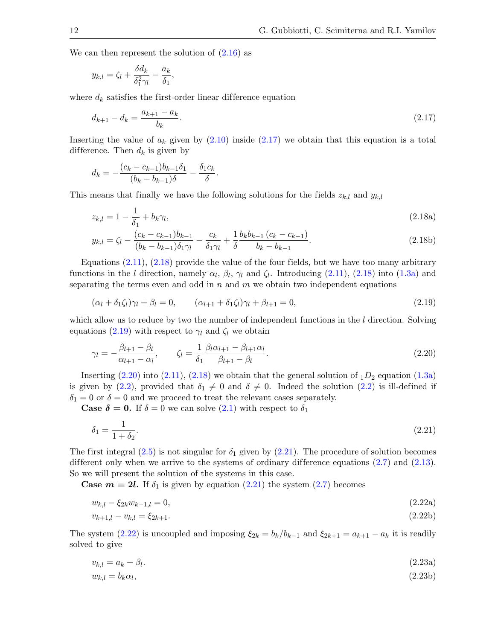We can then represent the solution of  $(2.16)$  as

$$
y_{k,l} = \zeta_l + \frac{\delta d_k}{\delta_1^2 \gamma_l} - \frac{a_k}{\delta_1},
$$

where  $d_k$  satisfies the first-order linear difference equation

<span id="page-11-0"></span>
$$
d_{k+1} - d_k = \frac{a_{k+1} - a_k}{b_k}.\tag{2.17}
$$

Inserting the value of  $a_k$  given by  $(2.10)$  inside  $(2.17)$  we obtain that this equation is a total difference. Then  $d_k$  is given by

<span id="page-11-1"></span>
$$
d_k = -\frac{(c_k - c_{k-1})b_{k-1}\delta_1}{(b_k - b_{k-1})\delta} - \frac{\delta_1 c_k}{\delta}.
$$

This means that finally we have the following solutions for the fields  $z_{k,l}$  and  $y_{k,l}$ 

$$
z_{k,l} = 1 - \frac{1}{\delta_1} + b_k \gamma_l, \tag{2.18a}
$$

$$
y_{k,l} = \zeta_l - \frac{(c_k - c_{k-1})b_{k-1}}{(b_k - b_{k-1})\delta_1\gamma_l} - \frac{c_k}{\delta_1\gamma_l} + \frac{1}{\delta} \frac{b_k b_{k-1} (c_k - c_{k-1})}{b_k - b_{k-1}}.
$$
\n(2.18b)

Equations [\(2.11\)](#page-10-8), [\(2.18\)](#page-11-1) provide the value of the four fields, but we have too many arbitrary functions in the l direction, namely  $\alpha_l$ ,  $\beta_l$ ,  $\gamma_l$  and  $\zeta_l$ . Introducing [\(2.11\)](#page-10-8), [\(2.18\)](#page-11-1) into [\(1.3a\)](#page-3-1) and separating the terms even and odd in  $n$  and  $m$  we obtain two independent equations

<span id="page-11-2"></span>
$$
(\alpha_l + \delta_1 \zeta_l)\gamma_l + \beta_l = 0, \qquad (\alpha_{l+1} + \delta_1 \zeta_l)\gamma_l + \beta_{l+1} = 0,
$$
\n
$$
(2.19)
$$

which allow us to reduce by two the number of independent functions in the  $l$  direction. Solving equations [\(2.19\)](#page-11-2) with respect to  $\gamma_l$  and  $\zeta_l$  we obtain

<span id="page-11-3"></span>
$$
\gamma_l = -\frac{\beta_{l+1} - \beta_l}{\alpha_{l+1} - \alpha_l}, \qquad \zeta_l = \frac{1}{\delta_1} \frac{\beta_l \alpha_{l+1} - \beta_{l+1} \alpha_l}{\beta_{l+1} - \beta_l}.
$$
\n(2.20)

Inserting  $(2.20)$  into  $(2.11)$ ,  $(2.18)$  we obtain that the general solution of  $_1D_2$  equation  $(1.3a)$ is given by [\(2.2\)](#page-8-2), provided that  $\delta_1 \neq 0$  and  $\delta \neq 0$ . Indeed the solution (2.2) is ill-defined if  $\delta_1 = 0$  or  $\delta = 0$  and we proceed to treat the relevant cases separately.

**Case**  $\delta = 0$ **.** If  $\delta = 0$  we can solve  $(2.1)$  with respect to  $\delta_1$ 

<span id="page-11-4"></span>
$$
\delta_1 = \frac{1}{1 + \delta_2}.\tag{2.21}
$$

The first integral [\(2.5\)](#page-9-6) is not singular for  $\delta_1$  given by [\(2.21\)](#page-11-4). The procedure of solution becomes different only when we arrive to the systems of ordinary difference equations  $(2.7)$  and  $(2.13)$ . So we will present the solution of the systems in this case.

**Case**  $m = 2l$ **.** If  $\delta_1$  is given by equation [\(2.21\)](#page-11-4) the system [\(2.7\)](#page-9-5) becomes

<span id="page-11-5"></span>
$$
w_{k,l} - \xi_{2k} w_{k-1,l} = 0,\t\t(2.22a)
$$

$$
v_{k+1,l} - v_{k,l} = \xi_{2k+1}.\tag{2.22b}
$$

The system [\(2.22\)](#page-11-5) is uncoupled and imposing  $\xi_{2k} = b_k/b_{k-1}$  and  $\xi_{2k+1} = a_{k+1} - a_k$  it is readily solved to give

<span id="page-11-6"></span>
$$
v_{k,l} = a_k + \beta_l. \tag{2.23a}
$$

$$
w_{k,l} = b_k \alpha_l,\tag{2.23b}
$$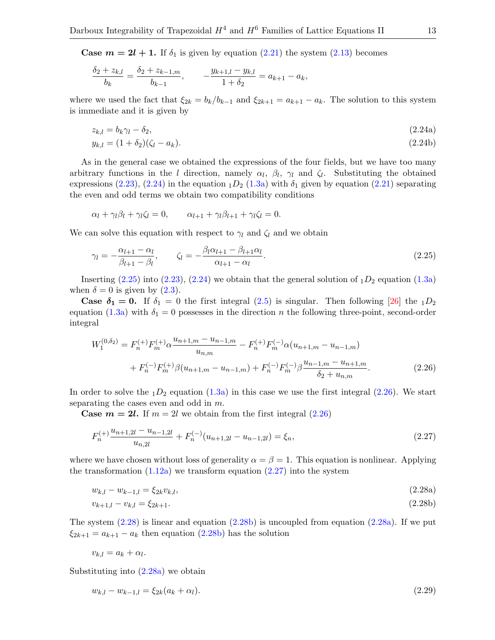**Case**  $m = 2l + 1$ **.** If  $\delta_1$  is given by equation  $(2.21)$  the system  $(2.13)$  becomes

$$
\frac{\delta_2 + z_{k,l}}{b_k} = \frac{\delta_2 + z_{k-1,m}}{b_{k-1}}, \qquad -\frac{y_{k+1,l} - y_{k,l}}{1 + \delta_2} = a_{k+1} - a_k,
$$

where we used the fact that  $\xi_{2k} = b_k/b_{k-1}$  and  $\xi_{2k+1} = a_{k+1} - a_k$ . The solution to this system is immediate and it is given by

<span id="page-12-0"></span>
$$
z_{k,l} = b_k \gamma_l - \delta_2,\tag{2.24a}
$$

$$
y_{k,l} = (1 + \delta_2)(\zeta_l - a_k). \tag{2.24b}
$$

As in the general case we obtained the expressions of the four fields, but we have too many arbitrary functions in the l direction, namely  $\alpha_l$ ,  $\beta_l$ ,  $\gamma_l$  and  $\zeta_l$ . Substituting the obtained expressions [\(2.23\)](#page-11-6), [\(2.24\)](#page-12-0) in the equation  $_1D_2$  [\(1.3a\)](#page-3-1) with  $\delta_1$  given by equation [\(2.21\)](#page-11-4) separating the even and odd terms we obtain two compatibility conditions

$$
\alpha_l + \gamma_l \beta_l + \gamma_l \zeta_l = 0, \qquad \alpha_{l+1} + \gamma_l \beta_{l+1} + \gamma_l \zeta_l = 0.
$$

We can solve this equation with respect to  $\gamma_l$  and  $\zeta_l$  and we obtain

<span id="page-12-1"></span>
$$
\gamma_l = -\frac{\alpha_{l+1} - \alpha_l}{\beta_{l+1} - \beta_l}, \qquad \zeta_l = -\frac{\beta_l \alpha_{l+1} - \beta_{l+1} \alpha_l}{\alpha_{l+1} - \alpha_l}.
$$
\n(2.25)

Inserting  $(2.25)$  into  $(2.23)$ ,  $(2.24)$  we obtain that the general solution of  $_1D_2$  equation  $(1.3a)$ when  $\delta = 0$  is given by  $(2.3)$ .

**Case**  $\delta_1 = 0$ **.** If  $\delta_1 = 0$  the first integral  $(2.5)$  is singular. Then following [\[26\]](#page-50-19) the  $_1D_2$ equation [\(1.3a\)](#page-3-1) with  $\delta_1 = 0$  possesses in the direction n the following three-point, second-order integral

<span id="page-12-2"></span>
$$
W_1^{(0,\delta_2)} = F_n^{(+)} F_m^{(+)} \alpha \frac{u_{n+1,m} - u_{n-1,m}}{u_{n,m}} - F_n^{(+)} F_m^{(-)} \alpha (u_{n+1,m} - u_{n-1,m})
$$
  
+ 
$$
F_n^{(-)} F_m^{(+)} \beta (u_{n+1,m} - u_{n-1,m}) + F_n^{(-)} F_m^{(-)} \beta \frac{u_{n-1,m} - u_{n+1,m}}{\delta_2 + u_{n,m}}.
$$
 (2.26)

In order to solve the  $_1D_2$  equation  $(1.3a)$  in this case we use the first integral  $(2.26)$ . We start separating the cases even and odd in m.

**Case**  $m = 2l$ **.** If  $m = 2l$  we obtain from the first integral  $(2.26)$ 

<span id="page-12-3"></span>
$$
F_n^{(+)} \frac{u_{n+1,2l} - u_{n-1,2l}}{u_{n,2l}} + F_n^{(-)}(u_{n+1,2l} - u_{n-1,2l}) = \xi_n,
$$
\n(2.27)

where we have chosen without loss of generality  $\alpha = \beta = 1$ . This equation is nonlinear. Applying the transformation  $(1.12a)$  we transform equation  $(2.27)$  into the system

$$
w_{k,l} - w_{k-1,l} = \xi_{2k} v_{k,l},\tag{2.28a}
$$

<span id="page-12-6"></span><span id="page-12-5"></span><span id="page-12-4"></span>
$$
v_{k+1,l} - v_{k,l} = \xi_{2k+1}.\tag{2.28b}
$$

The system  $(2.28)$  is linear and equation  $(2.28b)$  is uncoupled from equation  $(2.28a)$ . If we put  $\xi_{2k+1} = a_{k+1} - a_k$  then equation  $(2.28b)$  has the solution

$$
v_{k,l} = a_k + \alpha_l.
$$

Substituting into [\(2.28a\)](#page-12-6) we obtain

<span id="page-12-7"></span>
$$
w_{k,l} - w_{k-1,l} = \xi_{2k}(a_k + \alpha_l). \tag{2.29}
$$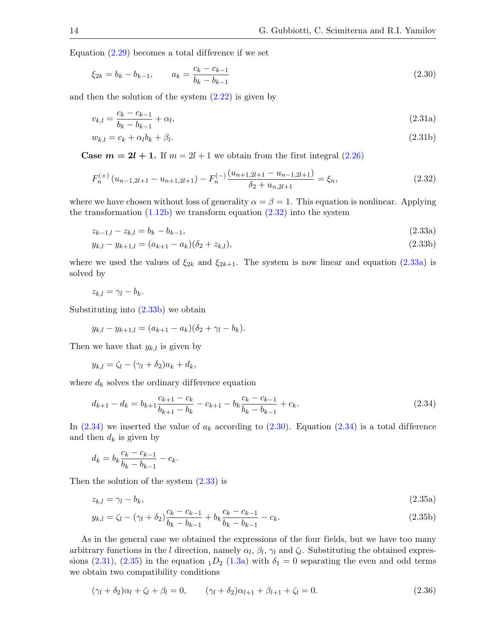Equation  $(2.29)$  becomes a total difference if we set

<span id="page-13-4"></span>
$$
\xi_{2k} = b_k - b_{k-1}, \qquad a_k = \frac{c_k - c_{k-1}}{b_k - b_{k-1}}
$$
\n(2.30)

and then the solution of the system  $(2.22)$  is given by

<span id="page-13-6"></span>
$$
v_{k,l} = \frac{c_k - c_{k-1}}{b_k - b_{k-1}} + \alpha_l,
$$
\n(2.31a)

$$
w_{k,l} = c_k + \alpha_l b_k + \beta_l. \tag{2.31b}
$$

**Case**  $m = 2l + 1$ **.** If  $m = 2l + 1$  we obtain from the first integral  $(2.26)$ 

<span id="page-13-0"></span>
$$
F_n^{(+)}\left(u_{n-1,2l+1} - u_{n+1,2l+1}\right) - F_n^{(-)}\frac{\left(u_{n+1,2l+1} - u_{n-1,2l+1}\right)}{\delta_2 + u_{n,2l+1}} = \xi_n,\tag{2.32}
$$

where we have chosen without loss of generality  $\alpha = \beta = 1$ . This equation is nonlinear. Applying the transformation  $(1.12b)$  we transform equation  $(2.32)$  into the system

<span id="page-13-5"></span><span id="page-13-2"></span><span id="page-13-1"></span>
$$
z_{k-1,l} - z_{k,l} = b_k - b_{k-1},\tag{2.33a}
$$

$$
y_{k,l} - y_{k+1,l} = (a_{k+1} - a_k)(\delta_2 + z_{k,l}),
$$
\n(2.33b)

where we used the values of  $\xi_{2k}$  and  $\xi_{2k+1}$ . The system is now linear and equation [\(2.33a\)](#page-13-1) is solved by

$$
z_{k,l} = \gamma_l - b_k.
$$

Substituting into [\(2.33b\)](#page-13-2) we obtain

$$
y_{k,l} - y_{k+1,l} = (a_{k+1} - a_k)(\delta_2 + \gamma_l - b_k).
$$

Then we have that  $y_{k,l}$  is given by

$$
y_{k,l} = \zeta_l - (\gamma_l + \delta_2)a_k + d_k,
$$

where  $d_k$  solves the ordinary difference equation

<span id="page-13-3"></span>
$$
d_{k+1} - d_k = b_{k+1} \frac{c_{k+1} - c_k}{b_{k+1} - b_k} - c_{k+1} - b_k \frac{c_k - c_{k-1}}{b_k - b_{k-1}} + c_k.
$$
\n(2.34)

In  $(2.34)$  we inserted the value of  $a_k$  according to  $(2.30)$ . Equation  $(2.34)$  is a total difference and then  $d_k$  is given by

<span id="page-13-7"></span>
$$
d_k = b_k \frac{c_k - c_{k-1}}{b_k - b_{k-1}} - c_k.
$$

Then the solution of the system [\(2.33\)](#page-13-5) is

$$
z_{k,l} = \gamma_l - b_k,\tag{2.35a}
$$

$$
y_{k,l} = \zeta_l - (\gamma_l + \delta_2) \frac{c_k - c_{k-1}}{b_k - b_{k-1}} + b_k \frac{c_k - c_{k-1}}{b_k - b_{k-1}} - c_k.
$$
\n(2.35b)

As in the general case we obtained the expressions of the four fields, but we have too many arbitrary functions in the l direction, namely  $\alpha_l$ ,  $\beta_l$ ,  $\gamma_l$  and  $\zeta_l$ . Substituting the obtained expres-sions [\(2.31\)](#page-13-6), [\(2.35\)](#page-13-7) in the equation  $_1D_2$  [\(1.3a\)](#page-3-1) with  $\delta_1 = 0$  separating the even and odd terms we obtain two compatibility conditions

<span id="page-13-8"></span>
$$
(\gamma_l + \delta_2)\alpha_l + \zeta_l + \beta_l = 0, \qquad (\gamma_l + \delta_2)\alpha_{l+1} + \beta_{l+1} + \zeta_l = 0.
$$
\n(2.36)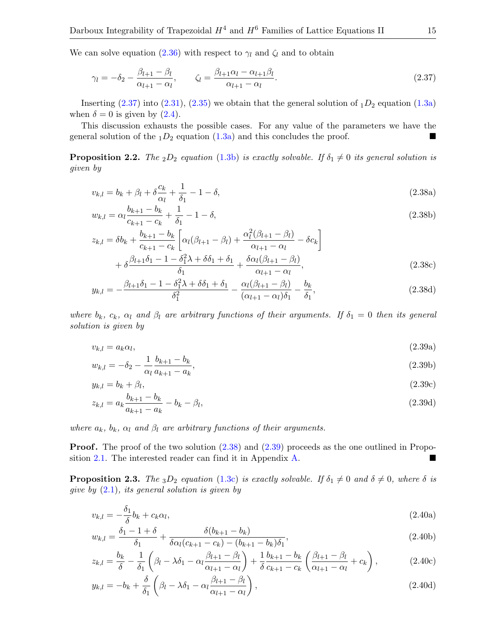We can solve equation [\(2.36\)](#page-13-8) with respect to  $\gamma_l$  and  $\zeta_l$  and to obtain

<span id="page-14-0"></span>
$$
\gamma_l = -\delta_2 - \frac{\beta_{l+1} - \beta_l}{\alpha_{l+1} - \alpha_l}, \qquad \zeta_l = \frac{\beta_{l+1}\alpha_l - \alpha_{l+1}\beta_l}{\alpha_{l+1} - \alpha_l}.
$$
\n(2.37)

Inserting  $(2.37)$  into  $(2.31)$ ,  $(2.35)$  we obtain that the general solution of  $_1D_2$  equation  $(1.3a)$ when  $\delta = 0$  is given by  $(2.4)$ .

This discussion exhausts the possible cases. For any value of the parameters we have the general solution of the  $_1D_2$  equation  $(1.3a)$  and this concludes the proof.

**Proposition 2.2.** The <sub>2</sub>D<sub>2</sub> equation [\(1.3b\)](#page-3-5) is exactly solvable. If  $\delta_1 \neq 0$  its general solution is given by

<span id="page-14-1"></span>
$$
v_{k,l} = b_k + \beta_l + \delta \frac{c_k}{\alpha_l} + \frac{1}{\delta_1} - 1 - \delta,\tag{2.38a}
$$

$$
w_{k,l} = \alpha_l \frac{b_{k+1} - b_k}{c_{k+1} - c_k} + \frac{1}{\delta_1} - 1 - \delta,
$$
\n(2.38b)

$$
z_{k,l} = \delta b_k + \frac{b_{k+1} - b_k}{c_{k+1} - c_k} \left[ \alpha_l (\beta_{l+1} - \beta_l) + \frac{\alpha_l^2 (\beta_{l+1} - \beta_l)}{\alpha_{l+1} - \alpha_l} - \delta c_k \right] + \delta \frac{\beta_{l+1} \delta_1 - 1 - \delta_1^2 \lambda + \delta \delta_1 + \delta_1}{\delta_1} + \frac{\delta \alpha_l (\beta_{l+1} - \beta_l)}{\alpha_{l+1} - \alpha_l},
$$
(2.38c)

$$
y_{k,l} = -\frac{\beta_{l+1}\delta_1 - 1 - \delta_1^2 \lambda + \delta \delta_1 + \delta_1}{\delta_1^2} - \frac{\alpha_l(\beta_{l+1} - \beta_l)}{(\alpha_{l+1} - \alpha_l)\delta_1} - \frac{b_k}{\delta_1},
$$
\n(2.38d)

where  $b_k$ ,  $c_k$ ,  $\alpha_l$  and  $\beta_l$  are arbitrary functions of their arguments. If  $\delta_1 = 0$  then its general solution is given by

<span id="page-14-2"></span>
$$
v_{k,l} = a_k \alpha_l,\tag{2.39a}
$$

$$
w_{k,l} = -\delta_2 - \frac{1}{\alpha_l} \frac{b_{k+1} - b_k}{a_{k+1} - a_k},
$$
\n(2.39b)

$$
y_{k,l} = b_k + \beta_l, \tag{2.39c}
$$

$$
z_{k,l} = a_k \frac{b_{k+1} - b_k}{a_{k+1} - a_k} - b_k - \beta_l,
$$
\n(2.39d)

where  $a_k$ ,  $b_k$ ,  $\alpha_l$  and  $\beta_l$  are arbitrary functions of their arguments.

**Proof.** The proof of the two solution  $(2.38)$  and  $(2.39)$  proceeds as the one outlined in Proposition [2.1.](#page-8-5) The interested reader can find it in Appendix [A.](#page-29-0)

**Proposition 2.3.** The  $_3D_2$  equation [\(1.3c\)](#page-3-2) is exactly solvable. If  $\delta_1 \neq 0$  and  $\delta \neq 0$ , where  $\delta$  is give by  $(2.1)$ , its general solution is given by

<span id="page-14-3"></span>
$$
v_{k,l} = -\frac{\delta_1}{\delta} b_k + c_k \alpha_l, \tag{2.40a}
$$

$$
w_{k,l} = \frac{\delta_1 - 1 + \delta}{\delta_1} + \frac{\delta(b_{k+1} - b_k)}{\delta \alpha_l (c_{k+1} - c_k) - (b_{k+1} - b_k)\delta_1},\tag{2.40b}
$$

$$
z_{k,l} = \frac{b_k}{\delta} - \frac{1}{\delta_1} \left( \beta_l - \lambda \delta_1 - \alpha_l \frac{\beta_{l+1} - \beta_l}{\alpha_{l+1} - \alpha_l} \right) + \frac{1}{\delta} \frac{b_{k+1} - b_k}{c_{k+1} - c_k} \left( \frac{\beta_{l+1} - \beta_l}{\alpha_{l+1} - \alpha_l} + c_k \right),\tag{2.40c}
$$

$$
y_{k,l} = -b_k + \frac{\delta}{\delta_1} \left( \beta_l - \lambda \delta_1 - \alpha_l \frac{\beta_{l+1} - \beta_l}{\alpha_{l+1} - \alpha_l} \right),
$$
\n(2.40d)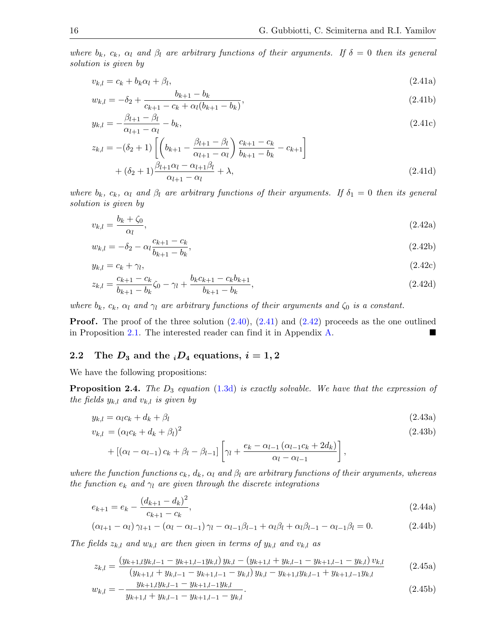where  $b_k$ ,  $c_k$ ,  $\alpha_l$  and  $\beta_l$  are arbitrary functions of their arguments. If  $\delta = 0$  then its general solution is given by

<span id="page-15-1"></span>
$$
v_{k,l} = c_k + b_k \alpha_l + \beta_l, \tag{2.41a}
$$

$$
w_{k,l} = -\delta_2 + \frac{b_{k+1} - b_k}{c_{k+1} - c_k + \alpha_l(b_{k+1} - b_k)},
$$
\n(2.41b)

$$
y_{k,l} = -\frac{\beta_{l+1} - \beta_l}{\alpha_{l+1} - \alpha_l} - b_k,\tag{2.41c}
$$

$$
z_{k,l} = -(\delta_2 + 1) \left[ \left( b_{k+1} - \frac{\beta_{l+1} - \beta_l}{\alpha_{l+1} - \alpha_l} \right) \frac{c_{k+1} - c_k}{b_{k+1} - b_k} - c_{k+1} \right] + (\delta_2 + 1) \frac{\beta_{l+1} \alpha_l - \alpha_{l+1} \beta_l}{\alpha_{l+1} - \alpha_l} + \lambda,
$$
\n(2.41d)

where  $b_k$ ,  $c_k$ ,  $\alpha_l$  and  $\beta_l$  are arbitrary functions of their arguments. If  $\delta_1 = 0$  then its general solution is given by

<span id="page-15-2"></span>
$$
v_{k,l} = \frac{b_k + \zeta_0}{\alpha_l},\tag{2.42a}
$$

$$
w_{k,l} = -\delta_2 - \alpha_l \frac{c_{k+1} - c_k}{b_{k+1} - b_k},\tag{2.42b}
$$

$$
y_{k,l} = c_k + \gamma_l,\tag{2.42c}
$$

$$
z_{k,l} = \frac{c_{k+1} - c_k}{b_{k+1} - b_k} \zeta_0 - \gamma_l + \frac{b_k c_{k+1} - c_k b_{k+1}}{b_{k+1} - b_k},
$$
\n(2.42d)

where  $b_k$ ,  $c_k$ ,  $\alpha_l$  and  $\gamma_l$  are arbitrary functions of their arguments and  $\zeta_0$  is a constant.

**Proof.** The proof of the three solution  $(2.40)$ ,  $(2.41)$  and  $(2.42)$  proceeds as the one outlined in Proposition [2.1.](#page-8-5) The interested reader can find it in Appendix [A.](#page-29-0)

#### <span id="page-15-0"></span>2.2 The  $D_3$  and the  $_iD_4$  equations,  $i = 1, 2$

We have the following propositions:

<span id="page-15-9"></span>**Proposition 2.4.** The  $D_3$  equation [\(1.3d\)](#page-3-3) is exactly solvable. We have that the expression of the fields  $y_{k,l}$  and  $v_{k,l}$  is given by

$$
y_{k,l} = \alpha_l c_k + d_k + \beta_l \tag{2.43a}
$$

<span id="page-15-7"></span><span id="page-15-5"></span>
$$
v_{k,l} = (\alpha_l c_k + d_k + \beta_l)^2
$$
  
+ 
$$
[(\alpha_l - \alpha_{l-1}) c_k + \beta_l - \beta_{l-1}] \left[ \gamma_l + \frac{e_k - \alpha_{l-1} (\alpha_{l-1} c_k + 2d_k)}{\alpha_l - \alpha_{l-1}} \right],
$$
 (2.43b)

where the function functions  $c_k$ ,  $d_k$ ,  $\alpha_l$  and  $\beta_l$  are arbitrary functions of their arguments, whereas the function  $e_k$  and  $\gamma_l$  are given through the discrete integrations

<span id="page-15-6"></span>
$$
e_{k+1} = e_k - \frac{(d_{k+1} - d_k)^2}{c_{k+1} - c_k},
$$
\n(2.44a)

<span id="page-15-3"></span>
$$
(\alpha_{l+1} - \alpha_l)\gamma_{l+1} - (\alpha_l - \alpha_{l-1})\gamma_l - \alpha_{l-1}\beta_{l-1} + \alpha_l\beta_l + \alpha_l\beta_{l-1} - \alpha_{l-1}\beta_l = 0.
$$
 (2.44b)

The fields  $z_{k,l}$  and  $w_{k,l}$  are then given in terms of  $y_{k,l}$  and  $v_{k,l}$  as

<span id="page-15-8"></span><span id="page-15-4"></span>
$$
z_{k,l} = \frac{\left(y_{k+1,l}y_{k,l-1} - y_{k+1,l-1}y_{k,l}\right)y_{k,l} - \left(y_{k+1,l} + y_{k,l-1} - y_{k+1,l-1} - y_{k,l}\right)v_{k,l}}{\left(y_{k+1,l} + y_{k,l-1} - y_{k+1,l-1} - y_{k,l}\right)y_{k,l} - y_{k+1,l}y_{k,l-1} + y_{k+1,l-1}y_{k,l}}\tag{2.45a}
$$

$$
w_{k,l} = -\frac{y_{k+1,l}y_{k,l-1} - y_{k+1,l-1}y_{k,l}}{y_{k+1,l} + y_{k,l-1} - y_{k+1,l-1} - y_{k,l}}.
$$
\n(2.45b)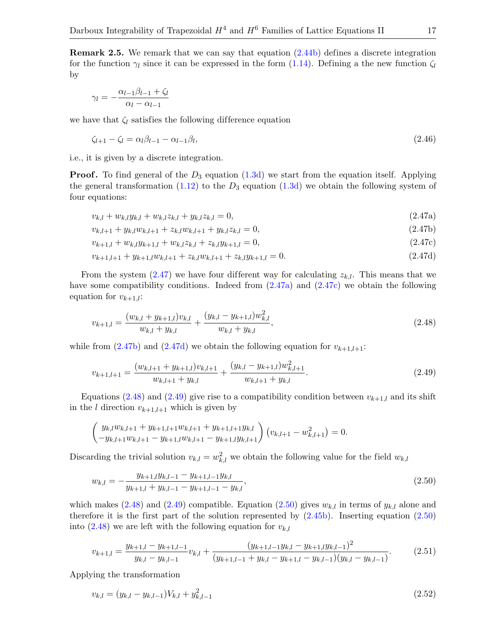Remark 2.5. We remark that we can say that equation [\(2.44b\)](#page-15-3) defines a discrete integration for the function  $\gamma_l$  since it can be expressed in the form [\(1.14\)](#page-6-2). Defining a the new function  $\zeta_l$ by

$$
\gamma_l = -\frac{\alpha_{l-1}\beta_{l-1} + \zeta_l}{\alpha_l - \alpha_{l-1}}
$$

we have that  $\zeta_l$  satisfies the following difference equation

<span id="page-16-10"></span>
$$
\zeta_{l+1} - \zeta_l = \alpha_l \beta_{l-1} - \alpha_{l-1} \beta_l,\tag{2.46}
$$

i.e., it is given by a discrete integration.

**Proof.** To find general of the  $D_3$  equation [\(1.3d\)](#page-3-3) we start from the equation itself. Applying the general transformation  $(1.12)$  to the  $D_3$  equation  $(1.3d)$  we obtain the following system of four equations:

<span id="page-16-3"></span><span id="page-16-1"></span><span id="page-16-0"></span>
$$
v_{k,l} + w_{k,l} y_{k,l} + w_{k,l} z_{k,l} + y_{k,l} z_{k,l} = 0,
$$
\n(2.47a)

<span id="page-16-2"></span>
$$
v_{k,l+1} + y_{k,l} w_{k,l+1} + z_{k,l} w_{k,l+1} + y_{k,l} z_{k,l} = 0,
$$
\n(2.47b)

<span id="page-16-4"></span>
$$
v_{k+1,l} + w_{k,l}y_{k+1,l} + w_{k,l}z_{k,l} + z_{k,l}y_{k+1,l} = 0,
$$
\n(2.47c)

$$
v_{k+1,l+1} + y_{k+1,l} w_{k,l+1} + z_{k,l} w_{k,l+1} + z_{k,l} y_{k+1,l} = 0.
$$
\n(2.47d)

From the system  $(2.47)$  we have four different way for calculating  $z_{k,l}$ . This means that we have some compatibility conditions. Indeed from  $(2.47a)$  and  $(2.47c)$  we obtain the following equation for  $v_{k+1,l}$ :

<span id="page-16-5"></span>
$$
v_{k+1,l} = \frac{(w_{k,l} + y_{k+1,l})v_{k,l}}{w_{k,l} + y_{k,l}} + \frac{(y_{k,l} - y_{k+1,l})w_{k,l}^2}{w_{k,l} + y_{k,l}},
$$
\n(2.48)

while from [\(2.47b\)](#page-16-3) and [\(2.47d\)](#page-16-4) we obtain the following equation for  $v_{k+1,l+1}$ :

<span id="page-16-6"></span>
$$
v_{k+1,l+1} = \frac{(w_{k,l+1} + y_{k+1,l})v_{k,l+1}}{w_{k,l+1} + y_{k,l}} + \frac{(y_{k,l} - y_{k+1,l})w_{k,l+1}^2}{w_{k,l+1} + y_{k,l}}.
$$
\n(2.49)

Equations [\(2.48\)](#page-16-5) and [\(2.49\)](#page-16-6) give rise to a compatibility condition between  $v_{k+1,l}$  and its shift in the *l* direction  $v_{k+1,l+1}$  which is given by

$$
\begin{pmatrix} y_{k,l}w_{k,l+1} + y_{k+1,l+1}w_{k,l+1} + y_{k+1,l+1}y_{k,l} \\ -y_{k,l+1}w_{k,l+1} - y_{k+1,l}w_{k,l+1} - y_{k+1,l}y_{k,l+1} \end{pmatrix} \left(v_{k,l+1} - w_{k,l+1}^2\right) = 0.
$$

Discarding the trivial solution  $v_{k,l} = w_{k,l}^2$  we obtain the following value for the field  $w_{k,l}$ 

<span id="page-16-7"></span>
$$
w_{k,l} = -\frac{y_{k+1,l}y_{k,l-1} - y_{k+1,l-1}y_{k,l}}{y_{k+1,l} + y_{k,l-1} - y_{k+1,l-1} - y_{k,l}},
$$
\n(2.50)

which makes [\(2.48\)](#page-16-5) and [\(2.49\)](#page-16-6) compatible. Equation [\(2.50\)](#page-16-7) gives  $w_{k,l}$  in terms of  $y_{k,l}$  alone and therefore it is the first part of the solution represented by  $(2.45b)$ . Inserting equation  $(2.50)$ into  $(2.48)$  we are left with the following equation for  $v_{k,l}$ 

<span id="page-16-8"></span>
$$
v_{k+1,l} = \frac{y_{k+1,l} - y_{k+1,l-1}}{y_{k,l} - y_{k,l-1}} v_{k,l} + \frac{(y_{k+1,l-1}y_{k,l} - y_{k+1,l}y_{k,l-1})^2}{(y_{k+1,l-1} + y_{k,l} - y_{k+1,l} - y_{k,l-1})(y_{k,l} - y_{k,l-1})}.
$$
(2.51)

Applying the transformation

<span id="page-16-9"></span>
$$
v_{k,l} = (y_{k,l} - y_{k,l-1})V_{k,l} + y_{k,l-1}^2
$$
\n(2.52)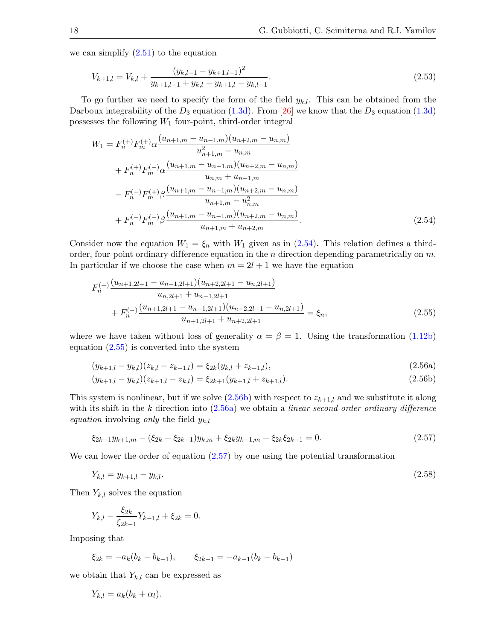we can simplify [\(2.51\)](#page-16-8) to the equation

<span id="page-17-6"></span>
$$
V_{k+1,l} = V_{k,l} + \frac{(y_{k,l-1} - y_{k+1,l-1})^2}{y_{k+1,l-1} + y_{k,l} - y_{k+1,l} - y_{k,l-1}}.
$$
\n(2.53)

To go further we need to specify the form of the field  $y_{k,l}$ . This can be obtained from the Darboux integrability of the  $D_3$  equation [\(1.3d\)](#page-3-3). From [\[26\]](#page-50-19) we know that the  $D_3$  equation (1.3d) possesses the following  $W_1$  four-point, third-order integral

$$
W_{1} = F_{n}^{(+)}F_{m}^{(+)}\alpha \frac{(u_{n+1,m} - u_{n-1,m})(u_{n+2,m} - u_{n,m})}{u_{n+1,m}^{2} - u_{n,m}}
$$
  
+  $F_{n}^{(+)}F_{m}^{(-)}\alpha \frac{(u_{n+1,m} - u_{n-1,m})(u_{n+2,m} - u_{n,m})}{u_{n,m} + u_{n-1,m}}$   
-  $F_{n}^{(-)}F_{m}^{(+)}\beta \frac{(u_{n+1,m} - u_{n-1,m})(u_{n+2,m} - u_{n,m})}{u_{n+1,m} - u_{n,m}^{2}}$   
+  $F_{n}^{(-)}F_{m}^{(-)}\beta \frac{(u_{n+1,m} - u_{n-1,m})(u_{n+2,m} - u_{n,m})}{u_{n+1,m} + u_{n+2,m}}$ . (2.54)

Consider now the equation  $W_1 = \xi_n$  with  $W_1$  given as in [\(2.54\)](#page-17-0). This relation defines a thirdorder, four-point ordinary difference equation in the n direction depending parametrically on  $m$ . In particular if we choose the case when  $m = 2l + 1$  we have the equation

<span id="page-17-1"></span><span id="page-17-0"></span>
$$
F_n^{(+)} \frac{(u_{n+1,2l+1} - u_{n-1,2l+1})(u_{n+2,2l+1} - u_{n,2l+1})}{u_{n,2l+1} + u_{n-1,2l+1}} + F_n^{(-)} \frac{(u_{n+1,2l+1} - u_{n-1,2l+1})(u_{n+2,2l+1} - u_{n,2l+1})}{u_{n+1,2l+1} + u_{n+2,2l+1}} = \xi_n,
$$
\n(2.55)

where we have taken without loss of generality  $\alpha = \beta = 1$ . Using the transformation [\(1.12b\)](#page-5-5) equation  $(2.55)$  is converted into the system

$$
(y_{k+1,l} - y_{k,l})(z_{k,l} - z_{k-1,l}) = \xi_{2k}(y_{k,l} + z_{k-1,l}),
$$
\n(2.56a)

<span id="page-17-3"></span><span id="page-17-2"></span>
$$
(y_{k+1,l} - y_{k,l})(z_{k+1,l} - z_{k,l}) = \xi_{2k+1}(y_{k+1,l} + z_{k+1,l}).
$$
\n(2.56b)

This system is nonlinear, but if we solve  $(2.56b)$  with respect to  $z_{k+1,l}$  and we substitute it along with its shift in the  $k$  direction into  $(2.56a)$  we obtain a linear second-order ordinary difference *equation* involving *only* the field  $y_{k,l}$ 

<span id="page-17-4"></span>
$$
\xi_{2k-1}y_{k+1,m} - (\xi_{2k} + \xi_{2k-1})y_{k,m} + \xi_{2k}y_{k-1,m} + \xi_{2k}\xi_{2k-1} = 0.
$$
\n(2.57)

We can lower the order of equation [\(2.57\)](#page-17-4) by one using the potential transformation

<span id="page-17-5"></span>
$$
Y_{k,l} = y_{k+1,l} - y_{k,l}.\tag{2.58}
$$

Then  $Y_{k,l}$  solves the equation

$$
Y_{k,l} - \frac{\xi_{2k}}{\xi_{2k-1}} Y_{k-1,l} + \xi_{2k} = 0.
$$

Imposing that

$$
\xi_{2k} = -a_k(b_k - b_{k-1}), \qquad \xi_{2k-1} = -a_{k-1}(b_k - b_{k-1})
$$

we obtain that  $Y_{k,l}$  can be expressed as

$$
Y_{k,l} = a_k(b_k + \alpha_l).
$$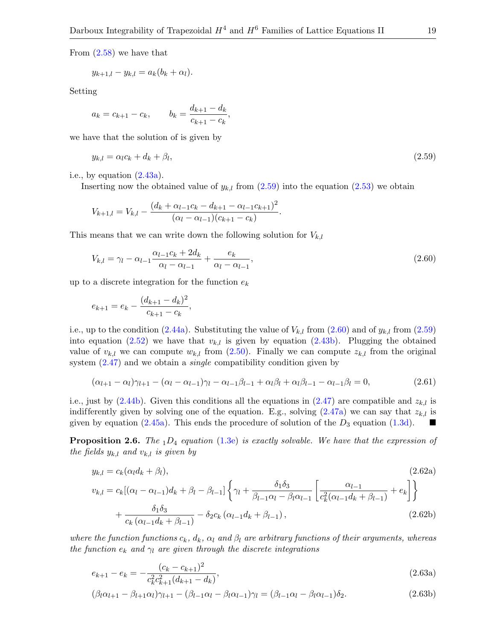From  $(2.58)$  we have that

$$
y_{k+1,l} - y_{k,l} = a_k(b_k + \alpha_l).
$$

Setting

$$
a_k = c_{k+1} - c_k
$$
,  $b_k = \frac{d_{k+1} - d_k}{c_{k+1} - c_k}$ ,

we have that the solution of is given by

<span id="page-18-0"></span>
$$
y_{k,l} = \alpha_l c_k + d_k + \beta_l,\tag{2.59}
$$

i.e., by equation  $(2.43a)$ .

Inserting now the obtained value of  $y_{k,l}$  from  $(2.59)$  into the equation  $(2.53)$  we obtain

$$
V_{k+1,l} = V_{k,l} - \frac{(d_k + \alpha_{l-1}c_k - d_{k+1} - \alpha_{l-1}c_{k+1})^2}{(\alpha_l - \alpha_{l-1})(c_{k+1} - c_k)}.
$$

This means that we can write down the following solution for  $V_{k,l}$ 

<span id="page-18-1"></span>
$$
V_{k,l} = \gamma_l - \alpha_{l-1} \frac{\alpha_{l-1} c_k + 2d_k}{\alpha_l - \alpha_{l-1}} + \frac{e_k}{\alpha_l - \alpha_{l-1}},
$$
\n(2.60)

up to a discrete integration for the function  $e_k$ 

$$
e_{k+1} = e_k - \frac{(d_{k+1} - d_k)^2}{c_{k+1} - c_k},
$$

i.e., up to the condition [\(2.44a\)](#page-15-6). Substituting the value of  $V_{k,l}$  from [\(2.60\)](#page-18-1) and of  $y_{k,l}$  from [\(2.59\)](#page-18-0) into equation  $(2.52)$  we have that  $v_{k,l}$  is given by equation  $(2.43b)$ . Plugging the obtained value of  $v_{k,l}$  we can compute  $w_{k,l}$  from [\(2.50\)](#page-16-7). Finally we can compute  $z_{k,l}$  from the original system  $(2.47)$  and we obtain a *single* compatibility condition given by

$$
(\alpha_{l+1} - \alpha_l)\gamma_{l+1} - (\alpha_l - \alpha_{l-1})\gamma_l - \alpha_{l-1}\beta_{l-1} + \alpha_l\beta_l + \alpha_l\beta_{l-1} - \alpha_{l-1}\beta_l = 0, \qquad (2.61)
$$

i.e., just by  $(2.44b)$ . Given this conditions all the equations in  $(2.47)$  are compatible and  $z_{k,l}$  is indifferently given by solving one of the equation. E.g., solving  $(2.47a)$  we can say that  $z_{k,l}$  is given by equation [\(2.45a\)](#page-15-8). This ends the procedure of solution of the  $D_3$  equation [\(1.3d\)](#page-3-3).

**Proposition 2.6.** The  $_1D_4$  equation [\(1.3e\)](#page-3-6) is exactly solvable. We have that the expression of the fields  $y_{k,l}$  and  $v_{k,l}$  is given by

<span id="page-18-5"></span><span id="page-18-3"></span>
$$
y_{k,l} = c_k(\alpha_l d_k + \beta_l),
$$
\n
$$
(2.62a)
$$
\n
$$
v_{k,l} = c_k[(\alpha_l - \alpha_{l-1})d_k + \beta_l - \beta_{l-1}]\left\{\gamma_l + \frac{\delta_1 \delta_3}{\beta_{l-1} \alpha_l - \beta_l \alpha_{l-1}} \left[\frac{\alpha_{l-1}}{c_k^2(\alpha_{l-1} d_k + \beta_{l-1})} + e_k\right]\right\}
$$
\n
$$
+ \frac{\delta_1 \delta_3}{c_k(\alpha_{l-1} d_k + \beta_{l-1})} - \delta_2 c_k(\alpha_{l-1} d_k + \beta_{l-1}),
$$
\n
$$
(2.62b)
$$

where the function functions  $c_k$ ,  $d_k$ ,  $\alpha_l$  and  $\beta_l$  are arbitrary functions of their arguments, whereas the function  $e_k$  and  $\gamma_l$  are given through the discrete integrations

<span id="page-18-4"></span>
$$
e_{k+1} - e_k = -\frac{(c_k - c_{k+1})^2}{c_k^2 c_{k+1}^2 (d_{k+1} - d_k)},
$$
\n(2.63a)

<span id="page-18-2"></span>
$$
(\beta_l \alpha_{l+1} - \beta_{l+1} \alpha_l) \gamma_{l+1} - (\beta_{l-1} \alpha_l - \beta_l \alpha_{l-1}) \gamma_l = (\beta_{l-1} \alpha_l - \beta_l \alpha_{l-1}) \delta_2.
$$
\n(2.63b)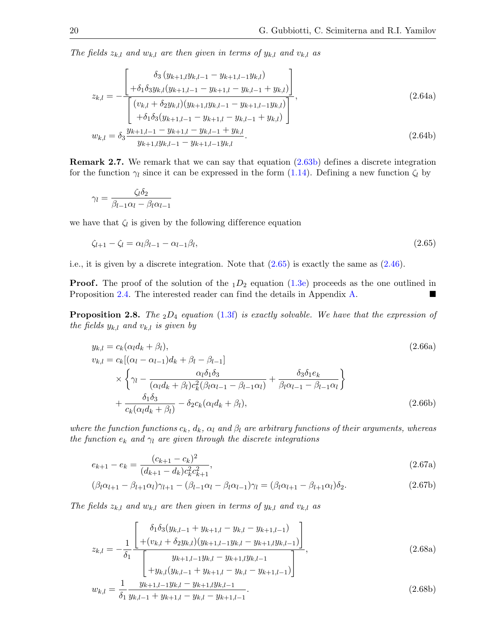The fields  $z_{k,l}$  and  $w_{k,l}$  are then given in terms of  $y_{k,l}$  and  $v_{k,l}$  as

$$
z_{k,l} = -\frac{\begin{bmatrix} \delta_3(y_{k+1,l}y_{k,l-1} - y_{k+1,l-1}y_{k,l}) \\ + \delta_1 \delta_3 y_{k,l}(y_{k+1,l-1} - y_{k+1,l} - y_{k,l-1} + y_{k,l}) \end{bmatrix}}{\begin{bmatrix} (v_{k,l} + \delta_2 y_{k,l})(y_{k+1,l}y_{k,l-1} - y_{k+1,l-1}y_{k,l}) \\ + \delta_1 \delta_3(y_{k+1,l-1} - y_{k+1,l} - y_{k,l-1} + y_{k,l}) \end{bmatrix}},
$$
\n(2.64a)

<span id="page-19-1"></span>
$$
w_{k,l} = \delta_3 \frac{y_{k+1,l-1} - y_{k+1,l} - y_{k,l-1} + y_{k,l}}{y_{k+1,l} y_{k,l-1} - y_{k+1,l-1} y_{k,l}}.
$$
\n(2.64b)

Remark 2.7. We remark that we can say that equation [\(2.63b\)](#page-18-2) defines a discrete integration for the function  $\gamma_l$  since it can be expressed in the form [\(1.14\)](#page-6-2). Defining a new function  $\zeta_l$  by

<span id="page-19-0"></span>
$$
\gamma_l = \frac{\zeta_l \delta_2}{\beta_{l-1} \alpha_l - \beta_l \alpha_{l-1}}
$$

we have that  $\zeta_l$  is given by the following difference equation

$$
\zeta_{l+1} - \zeta_l = \alpha_l \beta_{l-1} - \alpha_{l-1} \beta_l,\tag{2.65}
$$

i.e., it is given by a discrete integration. Note that [\(2.65\)](#page-19-0) is exactly the same as [\(2.46\)](#page-16-10).

**Proof.** The proof of the solution of the  $_1D_2$  equation [\(1.3e\)](#page-3-6) proceeds as the one outlined in Proposition [2.4.](#page-15-9) The interested reader can find the details in Appendix [A.](#page-29-0)

**Proposition 2.8.** The  $_2D_4$  equation [\(1.3f\)](#page-3-4) is exactly solvable. We have that the expression of the fields  $y_{k,l}$  and  $v_{k,l}$  is given by

<span id="page-19-5"></span><span id="page-19-3"></span>
$$
y_{k,l} = c_k(\alpha_l d_k + \beta_l),
$$
  
\n
$$
v_{k,l} = c_k[(\alpha_l - \alpha_{l-1})d_k + \beta_l - \beta_{l-1}]
$$
  
\n
$$
\times \left\{\gamma_l - \frac{\alpha_l \delta_1 \delta_3}{(\alpha_l d_k + \beta_l) c_k^2 (\beta_l \alpha_{l-1} - \beta_{l-1} \alpha_l)} + \frac{\delta_3 \delta_1 e_k}{\beta_l \alpha_{l-1} - \beta_{l-1} \alpha_l}\right\}
$$
  
\n
$$
+ \frac{\delta_1 \delta_3}{c_k(\alpha_l d_k + \beta_l)} - \delta_2 c_k(\alpha_l d_k + \beta_l),
$$
\n(2.66b)

where the function functions  $c_k$ ,  $d_k$ ,  $\alpha_l$  and  $\beta_l$  are arbitrary functions of their arguments, whereas the function  $e_k$  and  $\gamma_l$  are given through the discrete integrations

<span id="page-19-4"></span>
$$
e_{k+1} - e_k = \frac{(c_{k+1} - c_k)^2}{(d_{k+1} - d_k)c_k^2 c_{k+1}^2},\tag{2.67a}
$$

<span id="page-19-6"></span>
$$
(\beta_l \alpha_{l+1} - \beta_{l+1} \alpha_l) \gamma_{l+1} - (\beta_{l-1} \alpha_l - \beta_l \alpha_{l-1}) \gamma_l = (\beta_l \alpha_{l+1} - \beta_{l+1} \alpha_l) \delta_2.
$$
\n(2.67b)

The fields  $z_{k,l}$  and  $w_{k,l}$  are then given in terms of  $y_{k,l}$  and  $v_{k,l}$  as

$$
z_{k,l} = -\frac{1}{\delta_1} \frac{\begin{bmatrix} \delta_1 \delta_3 (y_{k,l-1} + y_{k+1,l} - y_{k,l} - y_{k+1,l-1}) \\ + (v_{k,l} + \delta_2 y_{k,l}) (y_{k+1,l-1} y_{k,l} - y_{k+1,l} y_{k,l-1}) \end{bmatrix}}{\begin{bmatrix} y_{k+1,l-1} y_{k,l} - y_{k+1,l} y_{k,l-1} \\ + y_{k,l} (y_{k,l-1} + y_{k+1,l} - y_{k,l} - y_{k+1,l-1}) \end{bmatrix}},
$$
\n(2.68a)

<span id="page-19-2"></span>
$$
w_{k,l} = \frac{1}{\delta_1} \frac{y_{k+1,l-1} y_{k,l} - y_{k+1,l} y_{k,l-1}}{y_{k,l-1} + y_{k+1,l} - y_{k,l} - y_{k+1,l-1}}.
$$
\n(2.68b)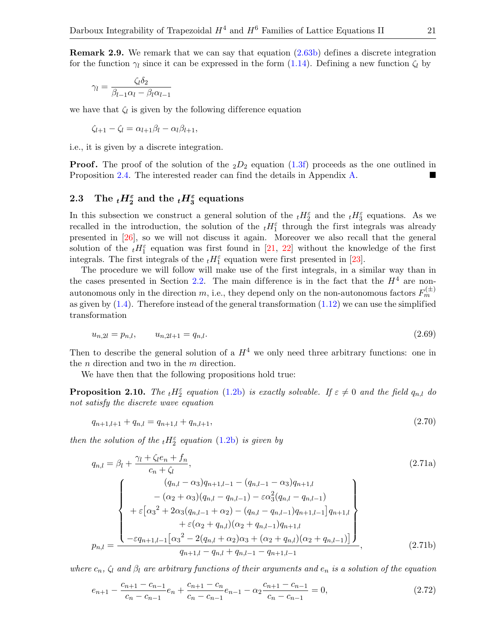Remark 2.9. We remark that we can say that equation [\(2.63b\)](#page-18-2) defines a discrete integration for the function  $\gamma_l$  since it can be expressed in the form [\(1.14\)](#page-6-2). Defining a new function  $\zeta_l$  by

$$
\gamma_l = \frac{\zeta_l \delta_2}{\beta_{l-1} \alpha_l - \beta_l \alpha_{l-1}}
$$

we have that  $\zeta_l$  is given by the following difference equation

$$
\zeta_{l+1} - \zeta_l = \alpha_{l+1}\beta_l - \alpha_l\beta_{l+1},
$$

i.e., it is given by a discrete integration.

**Proof.** The proof of the solution of the  $_2D_2$  equation [\(1.3f\)](#page-3-4) proceeds as the one outlined in Proposition [2.4.](#page-15-9) The interested reader can find the details in Appendix [A.](#page-29-0)

# <span id="page-20-0"></span>2.3 The  $_tH_2^{\varepsilon}$  and the  $_tH_3^{\varepsilon}$  equations

In this subsection we construct a general solution of the  $_t H_2^{\varepsilon}$  and the  $_t H_3^{\varepsilon}$  equations. As we recalled in the introduction, the solution of the  $_t H_1^{\varepsilon}$  through the first integrals was already presented in [\[26\]](#page-50-19), so we will not discuss it again. Moreover we also recall that the general solution of the  $_t H_1^{\varepsilon}$  equation was first found in [\[21,](#page-49-13) [22\]](#page-50-5) without the knowledge of the first integrals. The first integrals of the  $_t H_1^{\varepsilon}$  equation were first presented in [\[23\]](#page-50-9).

The procedure we will follow will make use of the first integrals, in a similar way than in the cases presented in Section [2.2.](#page-15-0) The main difference is in the fact that the  $H<sup>4</sup>$  are nonautonomous only in the direction m, i.e., they depend only on the non-autonomous factors  $F_m^{(\pm)}$ as given by  $(1.4)$ . Therefore instead of the general transformation  $(1.12)$  we can use the simplified transformation

<span id="page-20-3"></span>
$$
u_{n,2l} = p_{n,l}, \qquad u_{n,2l+1} = q_{n,l}. \tag{2.69}
$$

Then to describe the general solution of a  $H<sup>4</sup>$  we only need three arbitrary functions: one in the  $n$  direction and two in the  $m$  direction.

We have then that the following propositions hold true:

<span id="page-20-6"></span>**Proposition 2.10.** The  ${}_{t}H_{2}^{\varepsilon}$  equation [\(1.2b\)](#page-2-3) is exactly solvable. If  $\varepsilon \neq 0$  and the field  $q_{n,l}$  do not satisfy the discrete wave equation

<span id="page-20-5"></span><span id="page-20-2"></span>
$$
q_{n+1,l+1} + q_{n,l} = q_{n+1,l} + q_{n,l+1},\tag{2.70}
$$

then the solution of the  $_{t}H_{2}^{\varepsilon}$  equation [\(1.2b\)](#page-2-3) is given by

$$
q_{n,l} = \beta_l + \frac{\gamma_l + \zeta_l e_n + f_n}{c_n + \zeta_l},
$$
\n
$$
= \begin{Bmatrix}\n(q_{n,l} - \alpha_3)q_{n+1,l-1} - (q_{n,l-1} - \alpha_3)q_{n+1,l} \\
-(\alpha_2 + \alpha_3)(q_{n,l} - q_{n,l-1}) - \varepsilon \alpha_3^2(q_{n,l} - q_{n,l-1}) \\
+\varepsilon [\alpha_3^2 + 2\alpha_3(q_{n,l-1} + \alpha_2) - (q_{n,l} - q_{n,l-1})q_{n+1,l-1}]q_{n+1,l} \\
+\varepsilon (\alpha_2 + q_{n,l})(\alpha_2 + q_{n,l-1})q_{n+1,l} \\
-\varepsilon q_{n+1,l-1} [\alpha_3^2 - 2(q_{n,l} + \alpha_2)\alpha_3 + (\alpha_2 + q_{n,l})(\alpha_2 + q_{n,l-1})]\n\end{Bmatrix},
$$
\n(2.71b)

where  $c_n$ ,  $\zeta_l$  and  $\beta_l$  are arbitrary functions of their arguments and  $e_n$  is a solution of the equation

<span id="page-20-4"></span><span id="page-20-1"></span>
$$
e_{n+1} - \frac{c_{n+1} - c_{n-1}}{c_n - c_{n-1}} e_n + \frac{c_{n+1} - c_n}{c_n - c_{n-1}} e_{n-1} - \alpha_2 \frac{c_{n+1} - c_{n-1}}{c_n - c_{n-1}} = 0,
$$
\n(2.72)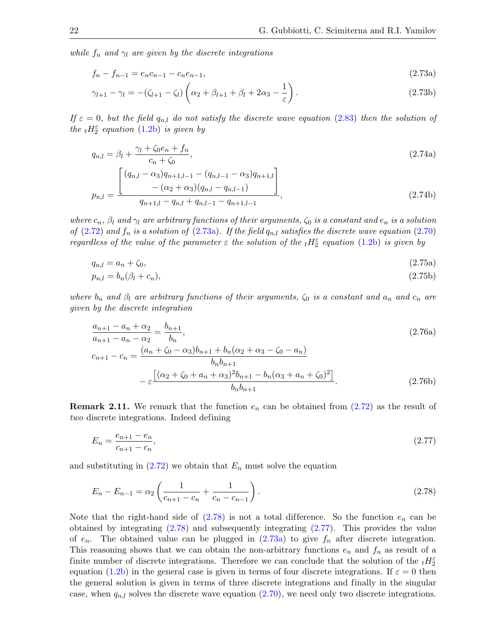while  $f_n$  and  $\gamma_l$  are given by the discrete integrations

$$
f_n - f_{n-1} = e_n c_{n-1} - c_n e_{n-1}, \tag{2.73a}
$$

<span id="page-21-6"></span><span id="page-21-0"></span>
$$
\gamma_{l+1} - \gamma_l = -(\zeta_{l+1} - \zeta_l) \left( \alpha_2 + \beta_{l+1} + \beta_l + 2\alpha_3 - \frac{1}{\varepsilon} \right). \tag{2.73b}
$$

If  $\varepsilon = 0$ , but the field  $q_{n,l}$  do not satisfy the discrete wave equation [\(2.83\)](#page-23-0) then the solution of the  $_{t}H_{2}^{\varepsilon}$  equation [\(1.2b\)](#page-2-3) is given by

$$
q_{n,l} = \beta_l + \frac{\gamma_l + \zeta_0 e_n + f_n}{c_n + \zeta_0},\tag{2.74a}
$$

<span id="page-21-8"></span><span id="page-21-7"></span>
$$
p_{n,l} = \frac{\left[ (q_{n,l} - \alpha_3)q_{n+1,l-1} - (q_{n,l-1} - \alpha_3)q_{n+1,l} \right]}{q_{n+1,l} - q_{n,l} + q_{n,l-1} - q_{n+1,l-1}},
$$
\n(2.74b)

where  $c_n$ ,  $\beta_l$  and  $\gamma_l$  are arbitrary functions of their arguments,  $\zeta_0$  is a constant and  $e_n$  is a solution of [\(2.72\)](#page-20-1) and  $f_n$  is a solution of [\(2.73a\)](#page-21-0). If the field  $q_{n,l}$  satisfies the discrete wave equation [\(2.70\)](#page-20-2) regardless of the value of the parameter  $\varepsilon$  the solution of the  ${}_{t}H_{2}^{\varepsilon}$  equation [\(1.2b\)](#page-2-3) is given by

<span id="page-21-3"></span>
$$
q_{n,l} = a_n + \zeta_0,\tag{2.75a}
$$

$$
p_{n,l} = b_n(\beta_l + c_n),\tag{2.75b}
$$

where  $b_n$  and  $\beta_l$  are arbitrary functions of their arguments,  $\zeta_0$  is a constant and  $a_n$  and  $c_n$  are given by the discrete integration

<span id="page-21-5"></span><span id="page-21-4"></span>
$$
\frac{a_{n+1} - a_n + \alpha_2}{a_{n+1} - a_n - \alpha_2} = \frac{b_{n+1}}{b_n},
$$
\n
$$
c_{n+1} - c_n = \frac{(a_n + \zeta_0 - \alpha_3)b_{n+1} + b_n(\alpha_2 + \alpha_3 - \zeta_0 - a_n)}{b_n b_{n+1}}
$$
\n
$$
- \varepsilon \frac{\left[ (\alpha_2 + \zeta_0 + a_n + \alpha_3)^2 b_{n+1} - b_n(\alpha_3 + a_n + \zeta_0)^2 \right]}{b_n b_{n+1}}.
$$
\n(2.76b)

**Remark 2.11.** We remark that the function  $e_n$  can be obtained from  $(2.72)$  as the result of two discrete integrations. Indeed defining

<span id="page-21-2"></span>
$$
E_n = \frac{e_{n+1} - e_n}{c_{n+1} - c_n},\tag{2.77}
$$

and substituting in  $(2.72)$  we obtain that  $E_n$  must solve the equation

<span id="page-21-1"></span>
$$
E_n - E_{n-1} = \alpha_2 \left( \frac{1}{c_{n+1} - c_n} + \frac{1}{c_n - c_{n-1}} \right). \tag{2.78}
$$

Note that the right-hand side of  $(2.78)$  is not a total difference. So the function  $e_n$  can be obtained by integrating [\(2.78\)](#page-21-1) and subsequently integrating [\(2.77\)](#page-21-2). This provides the value of  $e_n$ . The obtained value can be plugged in  $(2.73a)$  to give  $f_n$  after discrete integration. This reasoning shows that we can obtain the non-arbitrary functions  $e_n$  and  $f_n$  as result of a finite number of discrete integrations. Therefore we can conclude that the solution of the  ${}_{t}H_{2}^{\varepsilon}$ equation [\(1.2b\)](#page-2-3) in the general case is given in terms of four discrete integrations. If  $\varepsilon = 0$  then the general solution is given in terms of three discrete integrations and finally in the singular case, when  $q_{n,l}$  solves the discrete wave equation [\(2.70\)](#page-20-2), we need only two discrete integrations.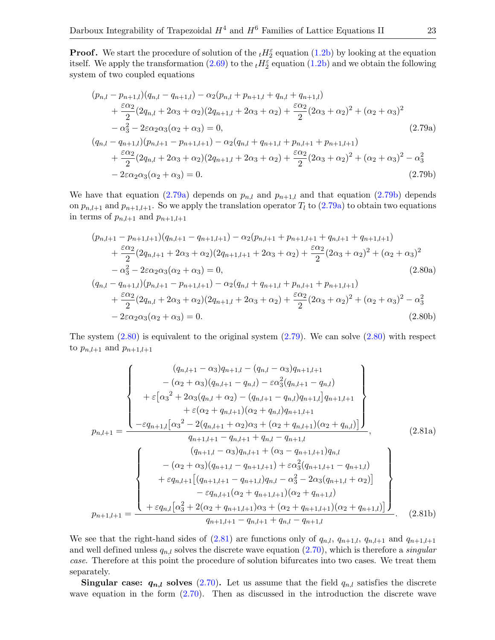**Proof.** We start the procedure of solution of the  ${}_{t}H_{2}^{\varepsilon}$  equation [\(1.2b\)](#page-2-3) by looking at the equation itself. We apply the transformation  $(2.69)$  to the  $_t H_2^{\varepsilon}$  equation  $(1.2b)$  and we obtain the following system of two coupled equations

<span id="page-22-3"></span><span id="page-22-1"></span><span id="page-22-0"></span>
$$
(p_{n,l} - p_{n+1,l})(q_{n,l} - q_{n+1,l}) - \alpha_2(p_{n,l} + p_{n+1,l} + q_{n,l} + q_{n+1,l})
$$
  
+ 
$$
\frac{\varepsilon \alpha_2}{2} (2q_{n,l} + 2\alpha_3 + \alpha_2)(2q_{n+1,l} + 2\alpha_3 + \alpha_2) + \frac{\varepsilon \alpha_2}{2} (2\alpha_3 + \alpha_2)^2 + (\alpha_2 + \alpha_3)^2
$$
  
- 
$$
\alpha_3^2 - 2\varepsilon \alpha_2 \alpha_3 (\alpha_2 + \alpha_3) = 0,
$$
  

$$
(q_{n,l} - q_{n+1,l})(p_{n,l+1} - p_{n+1,l+1}) - \alpha_2 (q_{n,l} + q_{n+1,l} + p_{n,l+1} + p_{n+1,l+1})
$$
  
+ 
$$
\frac{\varepsilon \alpha_2}{2} (2q_{n,l} + 2\alpha_3 + \alpha_2)(2q_{n+1,l} + 2\alpha_3 + \alpha_2) + \frac{\varepsilon \alpha_2}{2} (2\alpha_3 + \alpha_2)^2 + (\alpha_2 + \alpha_3)^2 - \alpha_3^2
$$
  
- 
$$
2\varepsilon \alpha_2 \alpha_3 (\alpha_2 + \alpha_3) = 0.
$$
 (2.79b)

We have that equation [\(2.79a\)](#page-22-0) depends on  $p_{n,l}$  and  $p_{n+1,l}$  and that equation [\(2.79b\)](#page-22-1) depends on  $p_{n,l+1}$  and  $p_{n+1,l+1}$ . So we apply the translation operator  $T_l$  to  $(2.79a)$  to obtain two equations in terms of  $p_{n,l+1}$  and  $p_{n+1,l+1}$ 

<span id="page-22-7"></span><span id="page-22-2"></span>
$$
(p_{n,l+1} - p_{n+1,l+1})(q_{n,l+1} - q_{n+1,l+1}) - \alpha_2(p_{n,l+1} + p_{n+1,l+1} + q_{n,l+1} + q_{n+1,l+1})
$$
  
+ 
$$
\frac{\varepsilon \alpha_2}{2} (2q_{n,l+1} + 2\alpha_3 + \alpha_2)(2q_{n+1,l+1} + 2\alpha_3 + \alpha_2) + \frac{\varepsilon \alpha_2}{2} (2\alpha_3 + \alpha_2)^2 + (\alpha_2 + \alpha_3)^2
$$
  
- 
$$
\alpha_3^2 - 2\varepsilon \alpha_2 \alpha_3 (\alpha_2 + \alpha_3) = 0,
$$
  

$$
(q_{n,l} - q_{n+1,l})(p_{n,l+1} - p_{n+1,l+1}) - \alpha_2 (q_{n,l} + q_{n+1,l} + p_{n,l+1} + p_{n+1,l+1})
$$
  
+ 
$$
\frac{\varepsilon \alpha_2}{2} (2q_{n,l} + 2\alpha_3 + \alpha_2)(2q_{n+1,l} + 2\alpha_3 + \alpha_2) + \frac{\varepsilon \alpha_2}{2} (2\alpha_3 + \alpha_2)^2 + (\alpha_2 + \alpha_3)^2 - \alpha_3^2
$$
  
- 
$$
2\varepsilon \alpha_2 \alpha_3 (\alpha_2 + \alpha_3) = 0.
$$
  
(2.80b)

The system  $(2.80)$  is equivalent to the original system  $(2.79)$ . We can solve  $(2.80)$  with respect to  $p_{n,l+1}$  and  $p_{n+1,l+1}$ 

<span id="page-22-5"></span><span id="page-22-4"></span>
$$
p_{n,l+1} = \frac{(q_{n,l+1} - \alpha_3)q_{n+1,l} - (q_{n,l} - \alpha_3)q_{n+1,l+1}}{\left\{\n\begin{array}{l}\n+ \varepsilon \left[ \alpha_3^2 + 2\alpha_3(q_{n,l+1} - q_{n,l}) - \varepsilon \alpha_3^2(q_{n,l+1} - q_{n,l})\n\end{array}\n\right\}\n+ \varepsilon \left[ \alpha_3^2 + 2\alpha_3(q_{n,l} + \alpha_2) - (q_{n,l+1} - q_{n,l})q_{n+1,l}q_{n+1,l+1}\n\right. \\
\left.\n+ \varepsilon (\alpha_2 + q_{n,l+1}) (\alpha_2 + q_{n,l})q_{n+1,l+1}\n\end{array}\n\right\}\n,p_{n,l+1} = \frac{\left\{\n\begin{array}{l}\n- \varepsilon q_{n+1,l} \left[ \alpha_3^2 - 2(q_{n,l+1} + \alpha_2)\alpha_3 + (\alpha_2 + q_{n,l+1})(\alpha_2 + q_{n,l})\n\end{array}\n\right]}{q_{n+1,l+1} - q_{n,l+1} + q_{n,l} - q_{n+1,l}}\n\right\}\n\left\{\n\begin{array}{l}\n(q_{n+1,l} - \alpha_3)q_{n,l+1} + (\alpha_3 - q_{n+1,l+1})q_{n,l} \\
-(\alpha_2 + \alpha_3)(q_{n+1,l} - q_{n+1,l+1}) + \varepsilon \alpha_3^2(q_{n+1,l+1} - q_{n+1,l})\n\end{array}\n\right\}\n+ \varepsilon q_{n,l+1} \left[ (q_{n+1,l+1} - q_{n+1,l})q_{n,l} - \alpha_3^2 - 2\alpha_3(q_{n+1,l} + \alpha_2) \right] \\
\hline\n-p_{n+1,l+1} = \frac{\varepsilon q_{n,l+1} (\alpha_2 + q_{n+1,l+1}) \alpha_3 + (\alpha_2 + q_{n+1,l+1}) (\alpha_2 + q_{n+1,l})}{q_{n+1,l+1} - q_{n,l+1} + q_{n,l} - q_{n+1,l}}.\n\end{array}\n\right\}.
$$
\n(2.81b)

<span id="page-22-6"></span>We see that the right-hand sides of  $(2.81)$  are functions only of  $q_{n,l}, q_{n+1,l}, q_{n,l+1}$  and  $q_{n+1,l+1}$ and well defined unless  $q_{n,l}$  solves the discrete wave equation  $(2.70)$ , which is therefore a *singular* case. Therefore at this point the procedure of solution bifurcates into two cases. We treat them separately.

**Singular case:**  $q_{n,l}$  solves [\(2.70\)](#page-20-2). Let us assume that the field  $q_{n,l}$  satisfies the discrete wave equation in the form [\(2.70\)](#page-20-2). Then as discussed in the introduction the discrete wave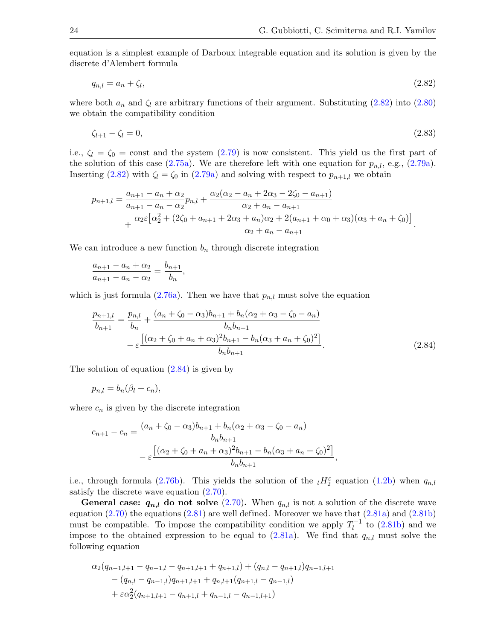equation is a simplest example of Darboux integrable equation and its solution is given by the discrete d'Alembert formula

<span id="page-23-1"></span>
$$
q_{n,l} = a_n + \zeta_l,\tag{2.82}
$$

where both  $a_n$  and  $\zeta_l$  are arbitrary functions of their argument. Substituting [\(2.82\)](#page-23-1) into [\(2.80\)](#page-22-2) we obtain the compatibility condition

<span id="page-23-0"></span>
$$
\zeta_{l+1} - \zeta_l = 0,\tag{2.83}
$$

i.e.,  $\zeta_l = \zeta_0 = \text{const}$  and the system  $(2.79)$  is now consistent. This yield us the first part of the solution of this case  $(2.75a)$ . We are therefore left with one equation for  $p_{n,l}$ , e.g.,  $(2.79a)$ . Inserting [\(2.82\)](#page-23-1) with  $\zeta_l = \zeta_0$  in [\(2.79a\)](#page-22-0) and solving with respect to  $p_{n+1,l}$  we obtain

$$
p_{n+1,l} = \frac{a_{n+1} - a_n + \alpha_2}{a_{n+1} - a_n - \alpha_2} p_{n,l} + \frac{\alpha_2(\alpha_2 - a_n + 2\alpha_3 - 2\zeta_0 - a_{n+1})}{\alpha_2 + a_n - a_{n+1}} + \frac{\alpha_2 \varepsilon [\alpha_2^2 + (2\zeta_0 + a_{n+1} + 2\alpha_3 + a_n)\alpha_2 + 2(a_{n+1} + \alpha_0 + \alpha_3)(\alpha_3 + a_n + \zeta_0)]}{\alpha_2 + a_n - a_{n+1}}.
$$

We can introduce a new function  $b_n$  through discrete integration

$$
\frac{a_{n+1} - a_n + \alpha_2}{a_{n+1} - a_n - \alpha_2} = \frac{b_{n+1}}{b_n},
$$

which is just formula  $(2.76a)$ . Then we have that  $p_{n,l}$  must solve the equation

<span id="page-23-2"></span>
$$
\frac{p_{n+1,l}}{b_{n+1}} = \frac{p_{n,l}}{b_n} + \frac{(a_n + \zeta_0 - \alpha_3)b_{n+1} + b_n(\alpha_2 + \alpha_3 - \zeta_0 - a_n)}{b_n b_{n+1}} - \varepsilon \frac{\left[ (\alpha_2 + \zeta_0 + a_n + \alpha_3)^2 b_{n+1} - b_n(\alpha_3 + a_n + \zeta_0)^2 \right]}{b_n b_{n+1}}.
$$
\n(2.84)

The solution of equation [\(2.84\)](#page-23-2) is given by

$$
p_{n,l}=b_n(\beta_l+c_n),
$$

where  $c_n$  is given by the discrete integration

$$
c_{n+1} - c_n = \frac{(a_n + \zeta_0 - \alpha_3)b_{n+1} + b_n(\alpha_2 + \alpha_3 - \zeta_0 - a_n)}{b_n b_{n+1}}
$$

$$
- \varepsilon \frac{\left[ (\alpha_2 + \zeta_0 + a_n + \alpha_3)^2 b_{n+1} - b_n(\alpha_3 + a_n + \zeta_0)^2 \right]}{b_n b_{n+1}},
$$

i.e., through formula [\(2.76b\)](#page-21-5). This yields the solution of the  $_tH_2^{\epsilon}$  equation [\(1.2b\)](#page-2-3) when  $q_{n,l}$ satisfy the discrete wave equation  $(2.70)$ .

**General case:**  $q_{n,l}$  do not solve [\(2.70\)](#page-20-2). When  $q_{n,l}$  is not a solution of the discrete wave equation  $(2.70)$  the equations  $(2.81)$  are well defined. Moreover we have that  $(2.81a)$  and  $(2.81b)$ must be compatible. To impose the compatibility condition we apply  $T_l^{-1}$  $\binom{n-1}{l}$  to  $(2.81b)$  and we impose to the obtained expression to be equal to  $(2.81a)$ . We find that  $q_{n,l}$  must solve the following equation

$$
\alpha_2(q_{n-1,l+1} - q_{n-1,l} - q_{n+1,l+1} + q_{n+1,l}) + (q_{n,l} - q_{n+1,l})q_{n-1,l+1}
$$

$$
- (q_{n,l} - q_{n-1,l})q_{n+1,l+1} + q_{n,l+1}(q_{n+1,l} - q_{n-1,l})
$$

$$
+ \varepsilon \alpha_2^2(q_{n+1,l+1} - q_{n+1,l} + q_{n-1,l} - q_{n-1,l+1})
$$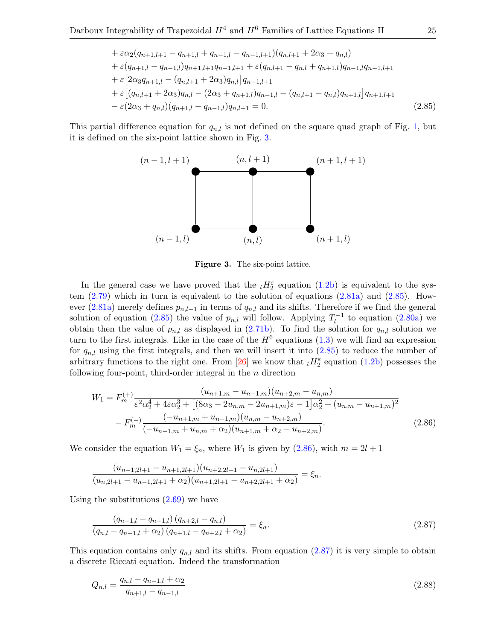+ 
$$
\varepsilon \alpha_2 (q_{n+1,l+1} - q_{n+1,l} + q_{n-1,l} - q_{n-1,l+1}) (q_{n,l+1} + 2\alpha_3 + q_{n,l})
$$
  
+  $\varepsilon (q_{n+1,l} - q_{n-1,l}) q_{n+1,l+1} q_{n-1,l+1} + \varepsilon (q_{n,l+1} - q_{n,l} + q_{n+1,l}) q_{n-1,l} q_{n-1,l+1}$   
+  $\varepsilon [2\alpha_3 q_{n+1,l} - (q_{n,l+1} + 2\alpha_3) q_{n,l}] q_{n-1,l+1}$   
+  $\varepsilon [(q_{n,l+1} + 2\alpha_3) q_{n,l} - (2\alpha_3 + q_{n+1,l}) q_{n-1,l} - (q_{n,l+1} - q_{n,l}) q_{n+1,l}] q_{n+1,l+1}$   
-  $\varepsilon (2\alpha_3 + q_{n,l}) (q_{n+1,l} - q_{n-1,l}) q_{n,l+1} = 0.$  (2.85)

This partial difference equation for  $q_{n,l}$  is not defined on the square quad graph of Fig. [1,](#page-1-0) but it is defined on the six-point lattice shown in Fig. [3.](#page-24-0)



<span id="page-24-2"></span><span id="page-24-1"></span><span id="page-24-0"></span>Figure 3. The six-point lattice.

In the general case we have proved that the  $_tH_2^{\varepsilon}$  equation [\(1.2b\)](#page-2-3) is equivalent to the system  $(2.79)$  which in turn is equivalent to the solution of equations  $(2.81a)$  and  $(2.85)$ . How-ever [\(2.81a\)](#page-22-5) merely defines  $p_{n,l+1}$  in terms of  $q_{n,l}$  and its shifts. Therefore if we find the general solution of equation [\(2.85\)](#page-24-1) the value of  $p_{n,l}$  will follow. Applying  $T_l^{-1}$  $l_l^{-1}$  to equation [\(2.80a\)](#page-22-7) we obtain then the value of  $p_{n,l}$  as displayed in [\(2.71b\)](#page-20-4). To find the solution for  $q_{n,l}$  solution we turn to the first integrals. Like in the case of the  $H^6$  equations  $(1.3)$  we will find an expression for  $q_{n,l}$  using the first integrals, and then we will insert it into  $(2.85)$  to reduce the number of arbitrary functions to the right one. From [\[26\]](#page-50-19) we know that  $_tH_2^{\varepsilon}$  equation [\(1.2b\)](#page-2-3) possesses the following four-point, third-order integral in the  $n$  direction

$$
W_1 = F_m^{(+)} \frac{(u_{n+1,m} - u_{n-1,m})(u_{n+2,m} - u_{n,m})}{\varepsilon^2 \alpha_2^4 + 4\varepsilon \alpha_2^3 + \left[ (8\alpha_3 - 2u_{n,m} - 2u_{n+1,m})\varepsilon - 1 \right] \alpha_2^2 + (u_{n,m} - u_{n+1,m})^2}
$$

$$
- F_m^{(-)} \frac{(-u_{n+1,m} + u_{n-1,m})(u_{n,m} - u_{n+2,m})}{(-u_{n-1,m} + u_{n,m} + \alpha_2)(u_{n+1,m} + \alpha_2 - u_{n+2,m})}.
$$
(2.86)

We consider the equation  $W_1 = \xi_n$ , where  $W_1$  is given by  $(2.86)$ , with  $m = 2l + 1$ 

$$
\frac{(u_{n-1,2l+1} - u_{n+1,2l+1})(u_{n+2,2l+1} - u_{n,2l+1})}{(u_{n,2l+1} - u_{n-1,2l+1} + \alpha_2)(u_{n+1,2l+1} - u_{n+2,2l+1} + \alpha_2)} = \xi_n.
$$

Using the substitutions  $(2.69)$  we have

<span id="page-24-3"></span>
$$
\frac{(q_{n-1,l} - q_{n+1,l}) (q_{n+2,l} - q_{n,l})}{(q_{n,l} - q_{n-1,l} + \alpha_2) (q_{n+1,l} - q_{n+2,l} + \alpha_2)} = \xi_n.
$$
\n(2.87)

This equation contains only  $q_{n,l}$  and its shifts. From equation [\(2.87\)](#page-24-3) it is very simple to obtain a discrete Riccati equation. Indeed the transformation

<span id="page-24-4"></span>
$$
Q_{n,l} = \frac{q_{n,l} - q_{n-1,l} + \alpha_2}{q_{n+1,l} - q_{n-1,l}}
$$
\n(2.88)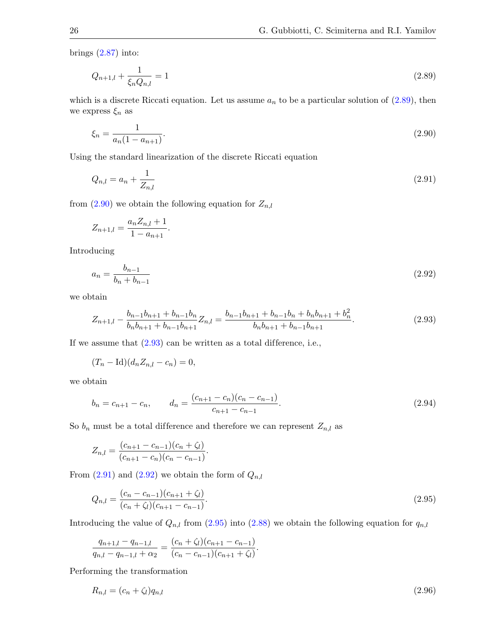brings  $(2.87)$  into:

<span id="page-25-0"></span>
$$
Q_{n+1,l} + \frac{1}{\xi_n Q_{n,l}} = 1\tag{2.89}
$$

which is a discrete Riccati equation. Let us assume  $a_n$  to be a particular solution of  $(2.89)$ , then we express  $\xi_n$  as

<span id="page-25-1"></span>
$$
\xi_n = \frac{1}{a_n(1 - a_{n+1})}.\tag{2.90}
$$

Using the standard linearization of the discrete Riccati equation

<span id="page-25-3"></span>
$$
Q_{n,l} = a_n + \frac{1}{Z_{n,l}} \tag{2.91}
$$

from  $(2.90)$  we obtain the following equation for  $Z_{n,l}$ 

$$
Z_{n+1,l} = \frac{a_n Z_{n,l} + 1}{1 - a_{n+1}}.
$$

Introducing

<span id="page-25-4"></span>
$$
a_n = \frac{b_{n-1}}{b_n + b_{n-1}}\tag{2.92}
$$

we obtain

<span id="page-25-2"></span>
$$
Z_{n+1,l} - \frac{b_{n-1}b_{n+1} + b_{n-1}b_n}{b_n b_{n+1} + b_{n-1} b_{n+1}} Z_{n,l} = \frac{b_{n-1}b_{n+1} + b_{n-1}b_n + b_n b_{n+1} + b_n^2}{b_n b_{n+1} + b_{n-1} b_{n+1}}.
$$
\n(2.93)

If we assume that  $(2.93)$  can be written as a total difference, i.e.,

$$
(T_n - \mathrm{Id})(d_n Z_{n,l} - c_n) = 0,
$$

we obtain

<span id="page-25-7"></span>
$$
b_n = c_{n+1} - c_n, \qquad d_n = \frac{(c_{n+1} - c_n)(c_n - c_{n-1})}{c_{n+1} - c_{n-1}}.
$$
\n(2.94)

So  $b_n$  must be a total difference and therefore we can represent  $Z_{n,l}$  as

$$
Z_{n,l} = \frac{(c_{n+1} - c_{n-1})(c_n + \zeta_l)}{(c_{n+1} - c_n)(c_n - c_{n-1})}.
$$

From  $(2.91)$  and  $(2.92)$  we obtain the form of  $Q_{n,l}$ 

<span id="page-25-5"></span>
$$
Q_{n,l} = \frac{(c_n - c_{n-1})(c_{n+1} + \zeta_l)}{(c_n + \zeta_l)(c_{n+1} - c_{n-1})}.
$$
\n(2.95)

Introducing the value of  $Q_{n,l}$  from [\(2.95\)](#page-25-5) into [\(2.88\)](#page-24-4) we obtain the following equation for  $q_{n,l}$ 

$$
\frac{q_{n+1,l} - q_{n-1,l}}{q_{n,l} - q_{n-1,l} + \alpha_2} = \frac{(c_n + \zeta_l)(c_{n+1} - c_{n-1})}{(c_n - c_{n-1})(c_{n+1} + \zeta_l)}.
$$

Performing the transformation

<span id="page-25-6"></span>
$$
R_{n,l} = (c_n + \zeta_l)q_{n,l} \tag{2.96}
$$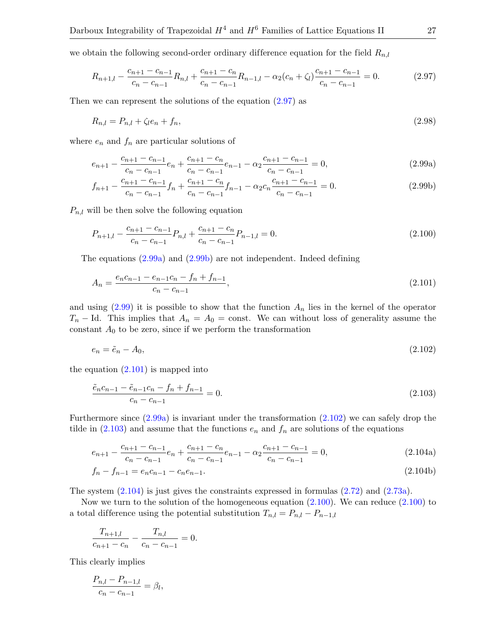we obtain the following second-order ordinary difference equation for the field  $R_{n,l}$ 

<span id="page-26-0"></span>
$$
R_{n+1,l} - \frac{c_{n+1} - c_{n-1}}{c_n - c_{n-1}} R_{n,l} + \frac{c_{n+1} - c_n}{c_n - c_{n-1}} R_{n-1,l} - \alpha_2 (c_n + \zeta_l) \frac{c_{n+1} - c_{n-1}}{c_n - c_{n-1}} = 0.
$$
 (2.97)

Then we can represent the solutions of the equation  $(2.97)$  as

<span id="page-26-9"></span><span id="page-26-3"></span>
$$
R_{n,l} = P_{n,l} + \zeta_l e_n + f_n,\tag{2.98}
$$

where  $e_n$  and  $f_n$  are particular solutions of

<span id="page-26-1"></span>
$$
e_{n+1} - \frac{c_{n+1} - c_{n-1}}{c_n - c_{n-1}} e_n + \frac{c_{n+1} - c_n}{c_n - c_{n-1}} e_{n-1} - \alpha_2 \frac{c_{n+1} - c_{n-1}}{c_n - c_{n-1}} = 0, \tag{2.99a}
$$

<span id="page-26-2"></span>
$$
f_{n+1} - \frac{c_{n+1} - c_{n-1}}{c_n - c_{n-1}} f_n + \frac{c_{n+1} - c_n}{c_n - c_{n-1}} f_{n-1} - \alpha_2 c_n \frac{c_{n+1} - c_{n-1}}{c_n - c_{n-1}} = 0.
$$
 (2.99b)

 $P_{n,l}$  will be then solve the following equation

<span id="page-26-8"></span>
$$
P_{n+1,l} - \frac{c_{n+1} - c_{n-1}}{c_n - c_{n-1}} P_{n,l} + \frac{c_{n+1} - c_n}{c_n - c_{n-1}} P_{n-1,l} = 0.
$$
\n(2.100)

The equations [\(2.99a\)](#page-26-1) and [\(2.99b\)](#page-26-2) are not independent. Indeed defining

<span id="page-26-4"></span>
$$
A_n = \frac{e_n c_{n-1} - e_{n-1} c_n - f_n + f_{n-1}}{c_n - c_{n-1}},
$$
\n(2.101)

and using  $(2.99)$  it is possible to show that the function  $A_n$  lies in the kernel of the operator  $T_n$  – Id. This implies that  $A_n = A_0 = \text{const.}$  We can without loss of generality assume the constant  $A_0$  to be zero, since if we perform the transformation

<span id="page-26-5"></span>
$$
e_n = \tilde{e}_n - A_0,\tag{2.102}
$$

the equation  $(2.101)$  is mapped into

<span id="page-26-6"></span>
$$
\frac{\tilde{e}_n c_{n-1} - \tilde{e}_{n-1} c_n - f_n + f_{n-1}}{c_n - c_{n-1}} = 0.
$$
\n(2.103)

Furthermore since [\(2.99a\)](#page-26-1) is invariant under the transformation [\(2.102\)](#page-26-5) we can safely drop the tilde in  $(2.103)$  and assume that the functions  $e_n$  and  $f_n$  are solutions of the equations

<span id="page-26-7"></span>
$$
e_{n+1} - \frac{c_{n+1} - c_{n-1}}{c_n - c_{n-1}} e_n + \frac{c_{n+1} - c_n}{c_n - c_{n-1}} e_{n-1} - \alpha_2 \frac{c_{n+1} - c_{n-1}}{c_n - c_{n-1}} = 0,
$$
\n(2.104a)

$$
f_n - f_{n-1} = e_n c_{n-1} - c_n e_{n-1}.
$$
\n(2.104b)

The system [\(2.104\)](#page-26-7) is just gives the constraints expressed in formulas [\(2.72\)](#page-20-1) and [\(2.73a\)](#page-21-0).

Now we turn to the solution of the homogeneous equation  $(2.100)$ . We can reduce  $(2.100)$  to a total difference using the potential substitution  $T_{n,l} = P_{n,l} - P_{n-1,l}$ 

$$
\frac{T_{n+1,l}}{c_{n+1}-c_n} - \frac{T_{n,l}}{c_n-c_{n-1}} = 0.
$$

This clearly implies

$$
\frac{P_{n,l} - P_{n-1,l}}{c_n - c_{n-1}} = \beta_l,
$$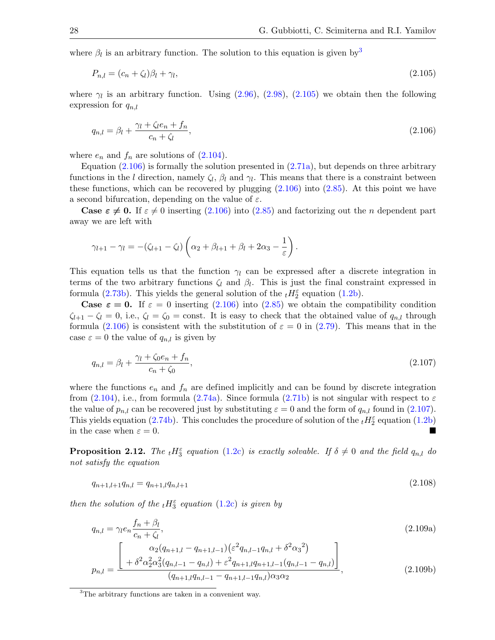where  $\beta_l$  is an arbitrary function. The solution to this equation is given by<sup>[3](#page-27-0)</sup>

<span id="page-27-1"></span>
$$
P_{n,l} = (c_n + \zeta_l)\beta_l + \gamma_l,\tag{2.105}
$$

where  $\gamma_l$  is an arbitrary function. Using  $(2.96)$ ,  $(2.98)$ ,  $(2.105)$  we obtain then the following expression for  $q_{n,l}$ 

<span id="page-27-2"></span>
$$
q_{n,l} = \beta_l + \frac{\gamma_l + \zeta_l e_n + f_n}{c_n + \zeta_l},\tag{2.106}
$$

where  $e_n$  and  $f_n$  are solutions of  $(2.104)$ .

Equation  $(2.106)$  is formally the solution presented in  $(2.71a)$ , but depends on three arbitrary functions in the l direction, namely  $\zeta_l$ ,  $\beta_l$  and  $\gamma_l$ . This means that there is a constraint between these functions, which can be recovered by plugging  $(2.106)$  into  $(2.85)$ . At this point we have a second bifurcation, depending on the value of  $\varepsilon$ .

**Case**  $\epsilon \neq 0$ **.** If  $\epsilon \neq 0$  inserting [\(2.106\)](#page-27-2) into [\(2.85\)](#page-24-1) and factorizing out the n dependent part away we are left with

$$
\gamma_{l+1} - \gamma_l = -(\zeta_{l+1} - \zeta_l) \left( \alpha_2 + \beta_{l+1} + \beta_l + 2\alpha_3 - \frac{1}{\varepsilon} \right).
$$

This equation tells us that the function  $\gamma_l$  can be expressed after a discrete integration in terms of the two arbitrary functions  $\zeta_l$  and  $\beta_l$ . This is just the final constraint expressed in formula [\(2.73b\)](#page-21-6). This yields the general solution of the  $_tH_2^{\varepsilon}$  equation [\(1.2b\)](#page-2-3).

**Case**  $\varepsilon = 0$ **.** If  $\varepsilon = 0$  inserting [\(2.106\)](#page-27-2) into [\(2.85\)](#page-24-1) we obtain the compatibility condition  $\zeta_{l+1} - \zeta_l = 0$ , i.e.,  $\zeta_l = \zeta_0 = \text{const.}$  It is easy to check that the obtained value of  $q_{n,l}$  through formula [\(2.106\)](#page-27-2) is consistent with the substitution of  $\varepsilon = 0$  in [\(2.79\)](#page-22-3). This means that in the case  $\varepsilon = 0$  the value of  $q_{n,l}$  is given by

<span id="page-27-3"></span>
$$
q_{n,l} = \beta_l + \frac{\gamma_l + \zeta_0 e_n + f_n}{c_n + \zeta_0},\tag{2.107}
$$

where the functions  $e_n$  and  $f_n$  are defined implicitly and can be found by discrete integration from [\(2.104\)](#page-26-7), i.e., from formula [\(2.74a\)](#page-21-7). Since formula [\(2.71b\)](#page-20-4) is not singular with respect to  $\varepsilon$ the value of  $p_{n,l}$  can be recovered just by substituting  $\varepsilon = 0$  and the form of  $q_{n,l}$  found in [\(2.107\)](#page-27-3). This yields equation [\(2.74b\)](#page-21-8). This concludes the procedure of solution of the  $_tH_2^{\varepsilon}$  equation [\(1.2b\)](#page-2-3) in the case when  $\varepsilon = 0$ .

**Proposition 2.12.** The  ${}_{t}H_{3}^{\varepsilon}$  equation [\(1.2c\)](#page-2-4) is exactly solvable. If  $\delta \neq 0$  and the field  $q_{n,l}$  do not satisfy the equation

$$
q_{n+1,l+1}q_{n,l} = q_{n+1,l}q_{n,l+1} \tag{2.108}
$$

then the solution of the  $_{t}H_{3}^{\varepsilon}$  equation [\(1.2c\)](#page-2-4) is given by

$$
q_{n,l} = \gamma_l e_n \frac{f_n + \beta_l}{c_n + \zeta_l},
$$
\n
$$
p_{n,l} = \frac{\begin{bmatrix} \alpha_2 (q_{n+1,l} - q_{n+1,l-1}) (\varepsilon^2 q_{n,l-1} q_{n,l} + \delta^2 \alpha_3^2) \\ + \delta^2 \alpha_2^2 \alpha_3^2 (q_{n,l-1} - q_{n,l}) + \varepsilon^2 q_{n+1,l} q_{n+1,l-1} (q_{n,l-1} - q_{n,l}) \end{bmatrix}}{(2.109b)},
$$
\n(2.109b)

<span id="page-27-6"></span><span id="page-27-5"></span><span id="page-27-4"></span> $(q_{n+1,l}q_{n,l-1}-q_{n+1,l-1}q_{n,l})\alpha_3\alpha_2$ 

<span id="page-27-0"></span>
$$
{}^{3}
$$
 The arbitrary functions are taken in a convenient way.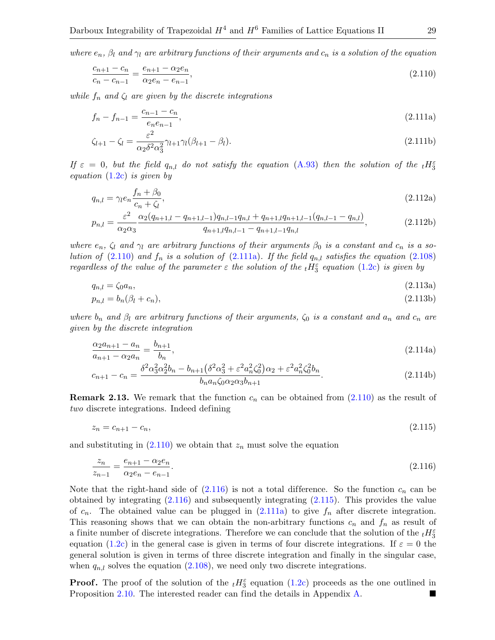where  $e_n$ ,  $\beta_l$  and  $\gamma_l$  are arbitrary functions of their arguments and  $c_n$  is a solution of the equation

<span id="page-28-0"></span>
$$
\frac{c_{n+1} - c_n}{c_n - c_{n-1}} = \frac{e_{n+1} - \alpha_2 e_n}{\alpha_2 e_n - e_{n-1}},\tag{2.110}
$$

while  $f_n$  and  $\zeta_l$  are given by the discrete integrations

<span id="page-28-1"></span>
$$
f_n - f_{n-1} = \frac{c_{n-1} - c_n}{e_n e_{n-1}},
$$
\n(2.111a)

<span id="page-28-7"></span>
$$
\zeta_{l+1} - \zeta_l = \frac{\varepsilon^2}{\alpha_2 \delta^2 \alpha_3^2} \gamma_{l+1} \gamma_l (\beta_{l+1} - \beta_l). \tag{2.111b}
$$

If  $\varepsilon = 0$ , but the field  $q_{n,l}$  do not satisfy the equation [\(A.93\)](#page-45-0) then the solution of the  ${}_{t}H_{3}^{\varepsilon}$ equation  $(1.2c)$  is given by

<span id="page-28-9"></span><span id="page-28-8"></span>
$$
q_{n,l} = \gamma_l e_n \frac{f_n + \beta_0}{c_n + \zeta_l},\tag{2.112a}
$$

$$
p_{n,l} = \frac{\varepsilon^2}{\alpha_2 \alpha_3} \frac{\alpha_2 (q_{n+1,l} - q_{n+1,l-1}) q_{n,l-1} q_{n,l} + q_{n+1,l} q_{n+1,l-1} (q_{n,l-1} - q_{n,l})}{q_{n+1,l} q_{n,l-1} - q_{n+1,l-1} q_{n,l}},
$$
(2.112b)

where  $e_n$ ,  $\zeta_l$  and  $\gamma_l$  are arbitrary functions of their arguments  $\beta_0$  is a constant and  $c_n$  is a solution of  $(2.110)$  and  $f_n$  is a solution of  $(2.111a)$ . If the field  $q_{n,l}$  satisfies the equation  $(2.108)$ regardless of the value of the parameter  $\varepsilon$  the solution of the  ${}_{t}H_{3}^{\varepsilon}$  equation [\(1.2c\)](#page-2-4) is given by

<span id="page-28-4"></span>
$$
q_{n,l} = \zeta_0 a_n,\tag{2.113a}
$$

$$
p_{n,l} = b_n(\beta_l + c_n),\tag{2.113b}
$$

where  $b_n$  and  $\beta_l$  are arbitrary functions of their arguments,  $\zeta_0$  is a constant and  $a_n$  and  $c_n$  are given by the discrete integration

<span id="page-28-5"></span>
$$
\frac{\alpha_2 a_{n+1} - a_n}{a_{n+1} - \alpha_2 a_n} = \frac{b_{n+1}}{b_n},\tag{2.114a}
$$

<span id="page-28-6"></span>
$$
c_{n+1} - c_n = \frac{\delta^2 \alpha_3^2 \alpha_2^2 b_n - b_{n+1} (\delta^2 \alpha_3^2 + \varepsilon^2 a_n^2 \zeta_0^2) \alpha_2 + \varepsilon^2 a_n^2 \zeta_0^2 b_n}{b_n a_n \zeta_0 \alpha_2 \alpha_3 b_{n+1}}.
$$
\n(2.114b)

**Remark 2.13.** We remark that the function  $c_n$  can be obtained from [\(2.110\)](#page-28-0) as the result of two discrete integrations. Indeed defining

<span id="page-28-3"></span>
$$
z_n = c_{n+1} - c_n,\tag{2.115}
$$

and substituting in  $(2.110)$  we obtain that  $z_n$  must solve the equation

<span id="page-28-2"></span>
$$
\frac{z_n}{z_{n-1}} = \frac{e_{n+1} - \alpha_2 e_n}{\alpha_2 e_n - e_{n-1}}.\tag{2.116}
$$

Note that the right-hand side of  $(2.116)$  is not a total difference. So the function  $c_n$  can be obtained by integrating [\(2.116\)](#page-28-2) and subsequently integrating [\(2.115\)](#page-28-3). This provides the value of  $c_n$ . The obtained value can be plugged in  $(2.111a)$  to give  $f_n$  after discrete integration. This reasoning shows that we can obtain the non-arbitrary functions  $c_n$  and  $f_n$  as result of a finite number of discrete integrations. Therefore we can conclude that the solution of the  ${}_{t}H_{3}^{\varepsilon}$ equation [\(1.2c\)](#page-2-4) in the general case is given in terms of four discrete integrations. If  $\varepsilon = 0$  the general solution is given in terms of three discrete integration and finally in the singular case, when  $q_{n,l}$  solves the equation  $(2.108)$ , we need only two discrete integrations.

**Proof.** The proof of the solution of the  $_tH_3^{\varepsilon}$  equation [\(1.2c\)](#page-2-4) proceeds as the one outlined in Proposition [2.10.](#page-20-6) The interested reader can find the details in Appendix [A.](#page-29-0)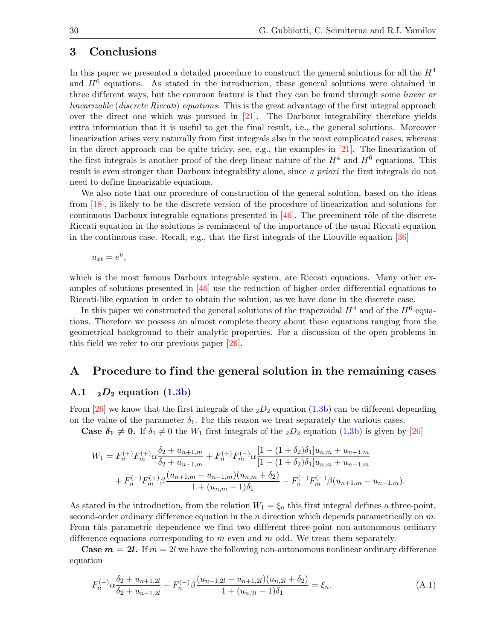# <span id="page-29-1"></span>3 Conclusions

In this paper we presented a detailed procedure to construct the general solutions for all the  $H<sup>4</sup>$ and  $H<sup>6</sup>$  equations. As stated in the introduction, these general solutions were obtained in three different ways, but the common feature is that they can be found through some *linear or* linearizable (discrete Riccati) equations. This is the great advantage of the first integral approach over the direct one which was pursued in [\[21\]](#page-49-13). The Darboux integrability therefore yields extra information that it is useful to get the final result, i.e., the general solutions. Moreover linearization arises very naturally from first integrals also in the most complicated cases, whereas in the direct approach can be quite tricky, see, e.g., the examples in [\[21\]](#page-49-13). The linearization of the first integrals is another proof of the deep linear nature of the  $H<sup>4</sup>$  and  $H<sup>6</sup>$  equations. This result is even stronger than Darboux integrability alone, since a priori the first integrals do not need to define linearizable equations.

We also note that our procedure of construction of the general solution, based on the ideas from [\[18\]](#page-49-19), is likely to be the discrete version of the procedure of linearization and solutions for continuous Darboux integrable equations presented in  $[46]$ . The preeminent rôle of the discrete Riccati equation in the solutions is reminiscent of the importance of the usual Riccati equation in the continuous case. Recall, e.g., that the first integrals of the Liouville equation [\[36\]](#page-50-24)

$$
u_{xt} = e^u,
$$

which is the most famous Darboux integrable system, are Riccati equations. Many other examples of solutions presented in  $[46]$  use the reduction of higher-order differential equations to Riccati-like equation in order to obtain the solution, as we have done in the discrete case.

In this paper we constructed the general solutions of the trapezoidal  $H^4$  and of the  $H^6$  equations. Therefore we possess an almost complete theory about these equations ranging from the geometrical background to their analytic properties. For a discussion of the open problems in this field we refer to our previous paper [\[26\]](#page-50-19).

# <span id="page-29-0"></span>A Procedure to find the general solution in the remaining cases

#### A.1  $_2D_2$  equation  $(1.3b)$

From [\[26\]](#page-50-19) we know that the first integrals of the  $_2D_2$  equation [\(1.3b\)](#page-3-5) can be different depending on the value of the parameter  $\delta_1$ . For this reason we treat separately the various cases.

**Case**  $\delta_1 \neq 0$ **.** If  $\delta_1 \neq 0$  the  $W_1$  first integrals of the  $_2D_2$  equation [\(1.3b\)](#page-3-5) is given by [\[26\]](#page-50-19)

$$
W_1 = F_n^{(+)} F_m^{(+)} \alpha \frac{\delta_2 + u_{n+1,m}}{\delta_2 + u_{n-1,m}} + F_n^{(+)} F_m^{(-)} \alpha \frac{[1 - (1 + \delta_2)\delta_1] u_{n,m} + u_{n+1,m}}{[1 - (1 + \delta_2)\delta_1] u_{n,m} + u_{n-1,m}}
$$
  
+ 
$$
F_n^{(-)} F_m^{(+)} \beta \frac{(u_{n+1,m} - u_{n-1,m})(u_{n,m} + \delta_2)}{1 + (u_{n,m} - 1)\delta_1} - F_n^{(-)} F_m^{(-)} \beta (u_{n+1,m} - u_{n-1,m}).
$$

As stated in the introduction, from the relation  $W_1 = \xi_n$  this first integral defines a three-point, second-order ordinary difference equation in the n direction which depends parametrically on  $m$ . From this parametric dependence we find two different three-point non-autonomous ordinary difference equations corresponding to m even and m odd. We treat them separately.

**Case**  $m = 2l$ **.** If  $m = 2l$  we have the following non-autonomous nonlinear ordinary difference equation

<span id="page-29-2"></span>
$$
F_n^{(+)}\alpha \frac{\delta_2 + u_{n+1,2l}}{\delta_2 + u_{n-1,2l}} - F_n^{(-)}\beta \frac{(u_{n-1,2l} - u_{n+1,2l})(u_{n,2l} + \delta_2)}{1 + (u_{n,2l} - 1)\delta_1} = \xi_n.
$$
 (A.1)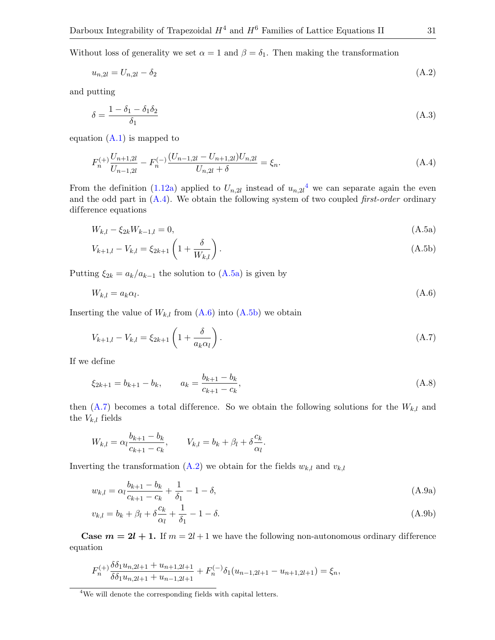Without loss of generality we set  $\alpha = 1$  and  $\beta = \delta_1$ . Then making the transformation

<span id="page-30-6"></span>
$$
u_{n,2l} = U_{n,2l} - \delta_2 \tag{A.2}
$$

and putting

<span id="page-30-7"></span>
$$
\delta = \frac{1 - \delta_1 - \delta_1 \delta_2}{\delta_1} \tag{A.3}
$$

equation  $(A.1)$  is mapped to

<span id="page-30-1"></span>
$$
F_n^{(+)} \frac{U_{n+1,2l}}{U_{n-1,2l}} - F_n^{(-)} \frac{(U_{n-1,2l} - U_{n+1,2l})U_{n,2l}}{U_{n,2l} + \delta} = \xi_n.
$$
\n(A.4)

From the definition [\(1.12a\)](#page-5-4) applied to  $U_{n,2l}$  instead of  $u_{n,2l}$ <sup>[4](#page-30-0)</sup> we can separate again the even and the odd part in  $(A.4)$ . We obtain the following system of two coupled *first-order* ordinary difference equations

<span id="page-30-4"></span><span id="page-30-2"></span>
$$
W_{k,l} - \xi_{2k} W_{k-1,l} = 0,\tag{A.5a}
$$

$$
V_{k+1,l} - V_{k,l} = \xi_{2k+1} \left( 1 + \frac{\delta}{W_{k,l}} \right). \tag{A.5b}
$$

Putting  $\xi_{2k} = a_k/a_{k-1}$  the solution to  $(A.5a)$  is given by

<span id="page-30-3"></span>
$$
W_{k,l} = a_k \alpha_l. \tag{A.6}
$$

Inserting the value of  $W_{k,l}$  from  $(A.6)$  into  $(A.5b)$  we obtain

<span id="page-30-5"></span>
$$
V_{k+1,l} - V_{k,l} = \xi_{2k+1} \left( 1 + \frac{\delta}{a_k \alpha_l} \right). \tag{A.7}
$$

If we define

<span id="page-30-8"></span>
$$
\xi_{2k+1} = b_{k+1} - b_k, \qquad a_k = \frac{b_{k+1} - b_k}{c_{k+1} - c_k},\tag{A.8}
$$

then  $(A.7)$  becomes a total difference. So we obtain the following solutions for the  $W_{k,l}$  and the  $V_{k,l}$  fields

<span id="page-30-9"></span>
$$
W_{k,l} = \alpha_l \frac{b_{k+1} - b_k}{c_{k+1} - c_k}, \qquad V_{k,l} = b_k + \beta_l + \delta \frac{c_k}{\alpha_l}.
$$

Inverting the transformation [\(A.2\)](#page-30-6) we obtain for the fields  $w_{k,l}$  and  $v_{k,l}$ 

$$
w_{k,l} = \alpha_l \frac{b_{k+1} - b_k}{c_{k+1} - c_k} + \frac{1}{\delta_1} - 1 - \delta,
$$
\n(A.9a)

$$
v_{k,l} = b_k + \beta_l + \delta \frac{c_k}{\alpha_l} + \frac{1}{\delta_1} - 1 - \delta. \tag{A.9b}
$$

**Case**  $m = 2l + 1$ **.** If  $m = 2l + 1$  we have the following non-autonomous ordinary difference equation

$$
F_n^{(+)} \frac{\delta \delta_1 u_{n,2l+1} + u_{n+1,2l+1}}{\delta \delta_1 u_{n,2l+1} + u_{n-1,2l+1}} + F_n^{(-)} \delta_1 (u_{n-1,2l+1} - u_{n+1,2l+1}) = \xi_n,
$$

<span id="page-30-0"></span><sup>4</sup>We will denote the corresponding fields with capital letters.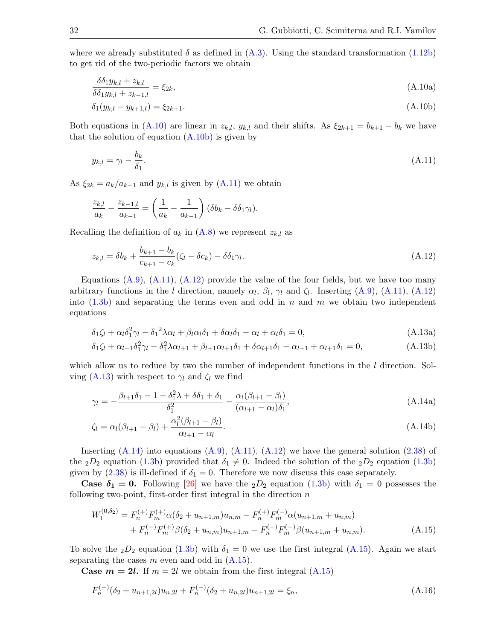where we already substituted  $\delta$  as defined in [\(A.3\)](#page-30-7). Using the standard transformation [\(1.12b\)](#page-5-5) to get rid of the two-periodic factors we obtain

<span id="page-31-0"></span>
$$
\frac{\delta \delta_1 y_{k,l} + z_{k,l}}{\delta \delta_1 y_{k,l} + z_{k-1,l}} = \xi_{2k},\tag{A.10a}
$$

<span id="page-31-1"></span>
$$
\delta_1(y_{k,l} - y_{k+1,l}) = \xi_{2k+1}.\tag{A.10b}
$$

Both equations in [\(A.10\)](#page-31-0) are linear in  $z_{k,l}$ ,  $y_{k,l}$  and their shifts. As  $\xi_{2k+1} = b_{k+1} - b_k$  we have that the solution of equation  $(A.10b)$  is given by

<span id="page-31-2"></span>
$$
y_{k,l} = \gamma_l - \frac{b_k}{\delta_1}.\tag{A.11}
$$

As  $\xi_{2k} = a_k/a_{k-1}$  and  $y_{k,l}$  is given by  $(A.11)$  we obtain

$$
\frac{z_{k,l}}{a_k} - \frac{z_{k-1,l}}{a_{k-1}} = \left(\frac{1}{a_k} - \frac{1}{a_{k-1}}\right) (\delta b_k - \delta \delta_1 \gamma_l).
$$

Recalling the definition of  $a_k$  in  $(A.8)$  we represent  $z_{k,l}$  as

<span id="page-31-3"></span>
$$
z_{k,l} = \delta b_k + \frac{b_{k+1} - b_k}{c_{k+1} - c_k} (\zeta_l - \delta c_k) - \delta \delta_1 \gamma_l.
$$
\n(A.12)

Equations  $(A.9)$ ,  $(A.11)$ ,  $(A.12)$  provide the value of the four fields, but we have too many arbitrary functions in the l direction, namely  $\alpha_l$ ,  $\beta_l$ ,  $\gamma_l$  and  $\zeta_l$ . Inserting [\(A.9\)](#page-30-9), [\(A.11\)](#page-31-2), [\(A.12\)](#page-31-3) into  $(1.3b)$  and separating the terms even and odd in n and m we obtain two independent equations

<span id="page-31-4"></span>
$$
\delta_1 \zeta_l + \alpha_l \delta_1^2 \gamma_l - \delta_1^2 \lambda \alpha_l + \beta_l \alpha_l \delta_1 + \delta \alpha_l \delta_1 - \alpha_l + \alpha_l \delta_1 = 0, \tag{A.13a}
$$

$$
\delta_1 \zeta_l + \alpha_{l+1} \delta_1^2 \gamma_l - \delta_1^2 \lambda \alpha_{l+1} + \beta_{l+1} \alpha_{l+1} \delta_1 + \delta \alpha_{l+1} \delta_1 - \alpha_{l+1} + \alpha_{l+1} \delta_1 = 0, \tag{A.13b}
$$

which allow us to reduce by two the number of independent functions in the  $l$  direction. Sol-ving [\(A.13\)](#page-31-4) with respect to  $\gamma_l$  and  $\zeta_l$  we find

<span id="page-31-5"></span>
$$
\gamma_l = -\frac{\beta_{l+1}\delta_1 - 1 - \delta_1^2\lambda + \delta\delta_1 + \delta_1}{\delta_1^2} - \frac{\alpha_l(\beta_{l+1} - \beta_l)}{(\alpha_{l+1} - \alpha_l)\delta_1},\tag{A.14a}
$$

$$
\zeta_l = \alpha_l(\beta_{l+1} - \beta_l) + \frac{\alpha_l^2(\beta_{l+1} - \beta_l)}{\alpha_{l+1} - \alpha_l}.
$$
\n(A.14b)

Inserting  $(A.14)$  into equations  $(A.9)$ ,  $(A.11)$ ,  $(A.12)$  we have the general solution  $(2.38)$  of the  $_2D_2$  equation [\(1.3b\)](#page-3-5) provided that  $\delta_1 \neq 0$ . Indeed the solution of the  $_2D_2$  equation (1.3b) given by  $(2.38)$  is ill-defined if  $\delta_1 = 0$ . Therefore we now discuss this case separately.

**Case**  $\delta_1 = 0$ **.** Following [\[26\]](#page-50-19) we have the  $_2D_2$  equation [\(1.3b\)](#page-3-5) with  $\delta_1 = 0$  possesses the following two-point, first-order first integral in the direction  $n$ 

<span id="page-31-6"></span>
$$
W_1^{(0,\delta_2)} = F_n^{(+)} F_m^{(+)} \alpha (\delta_2 + u_{n+1,m}) u_{n,m} - F_n^{(+)} F_m^{(-)} \alpha (u_{n+1,m} + u_{n,m}) + F_n^{(-)} F_m^{(+)} \beta (\delta_2 + u_{n,m}) u_{n+1,m} - F_n^{(-)} F_m^{(-)} \beta (u_{n+1,m} + u_{n,m}).
$$
\n(A.15)

To solve the  $_2D_2$  equation [\(1.3b\)](#page-3-5) with  $\delta_1 = 0$  we use the first integral [\(A.15\)](#page-31-6). Again we start separating the cases  $m$  even and odd in  $(A.15)$ .

**Case**  $m = 2l$ **.** If  $m = 2l$  we obtain from the first integral  $(A.15)$ 

<span id="page-31-7"></span>
$$
F_n^{(+)}(\delta_2 + u_{n+1,2l})u_{n,2l} + F_n^{(-)}(\delta_2 + u_{n,2l})u_{n+1,2l} = \xi_n,
$$
\n(A.16)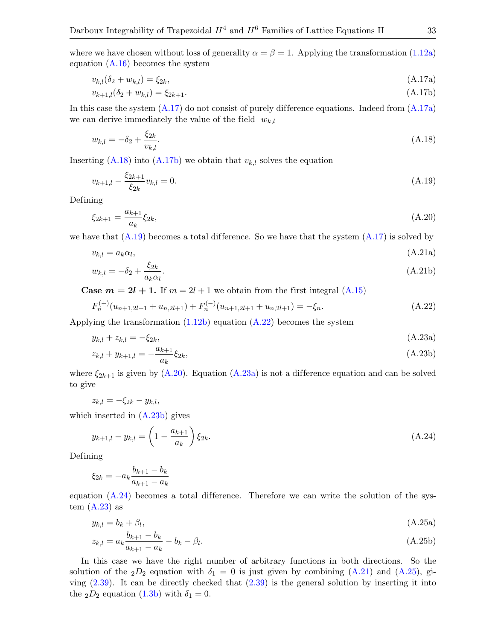where we have chosen without loss of generality  $\alpha = \beta = 1$ . Applying the transformation [\(1.12a\)](#page-5-4) equation  $(A.16)$  becomes the system

<span id="page-32-0"></span>
$$
v_{k,l}(\delta_2 + w_{k,l}) = \xi_{2k},\tag{A.17a}
$$

<span id="page-32-3"></span><span id="page-32-1"></span>
$$
v_{k+1,l}(\delta_2 + w_{k,l}) = \xi_{2k+1}.\tag{A.17b}
$$

In this case the system  $(A.17)$  do not consist of purely difference equations. Indeed from  $(A.17a)$ we can derive immediately the value of the field  $w_{k,l}$ 

<span id="page-32-2"></span>
$$
w_{k,l} = -\delta_2 + \frac{\xi_{2k}}{v_{k,l}}.\tag{A.18}
$$

Inserting  $(A.18)$  into  $(A.17b)$  we obtain that  $v_{k,l}$  solves the equation

<span id="page-32-4"></span>
$$
v_{k+1,l} - \frac{\xi_{2k+1}}{\xi_{2k}} v_{k,l} = 0.
$$
\n(A.19)

Defining

<span id="page-32-6"></span>
$$
\xi_{2k+1} = \frac{a_{k+1}}{a_k} \xi_{2k},\tag{A.20}
$$

we have that  $(A.19)$  becomes a total difference. So we have that the system  $(A.17)$  is solved by

<span id="page-32-11"></span>
$$
v_{k,l} = a_k \alpha_l, \tag{A.21a}
$$

<span id="page-32-5"></span>
$$
w_{k,l} = -\delta_2 + \frac{\xi_{2k}}{a_k \alpha_l}.
$$
\n(A.21b)

**Case**  $m = 2l + 1$ **.** If  $m = 2l + 1$  we obtain from the first integral [\(A.15\)](#page-31-6)

$$
F_n^{(+)}(u_{n+1,2l+1} + u_{n,2l+1}) + F_n^{(-)}(u_{n+1,2l+1} + u_{n,2l+1}) = -\xi_n.
$$
\n(A.22)

Applying the transformation  $(1.12b)$  equation  $(A.22)$  becomes the system

<span id="page-32-10"></span><span id="page-32-8"></span><span id="page-32-7"></span>
$$
y_{k,l} + z_{k,l} = -\xi_{2k},\tag{A.23a}
$$

$$
z_{k,l} + y_{k+1,l} = -\frac{a_{k+1}}{a_k} \xi_{2k},\tag{A.23b}
$$

where  $\xi_{2k+1}$  is given by [\(A.20\)](#page-32-6). Equation [\(A.23a\)](#page-32-7) is not a difference equation and can be solved to give

$$
z_{k,l}=-\xi_{2k}-y_{k,l},
$$

which inserted in [\(A.23b\)](#page-32-8) gives

<span id="page-32-9"></span>
$$
y_{k+1,l} - y_{k,l} = \left(1 - \frac{a_{k+1}}{a_k}\right) \xi_{2k}.
$$
\n(A.24)

Defining

$$
\xi_{2k} = -a_k \frac{b_{k+1} - b_k}{a_{k+1} - a_k}
$$

equation  $(A.24)$  becomes a total difference. Therefore we can write the solution of the system  $(A.23)$  as

<span id="page-32-12"></span>
$$
y_{k,l} = b_k + \beta_l,\tag{A.25a}
$$

$$
z_{k,l} = a_k \frac{b_{k+1} - b_k}{a_{k+1} - a_k} - b_k - \beta_l.
$$
\n(A.25b)

In this case we have the right number of arbitrary functions in both directions. So the solution of the  $_2D_2$  equation with  $\delta_1 = 0$  is just given by combining [\(A.21\)](#page-32-11) and [\(A.25\)](#page-32-12), giving  $(2.39)$ . It can be directly checked that  $(2.39)$  is the general solution by inserting it into the  $_2D_2$  equation [\(1.3b\)](#page-3-5) with  $\delta_1 = 0$ .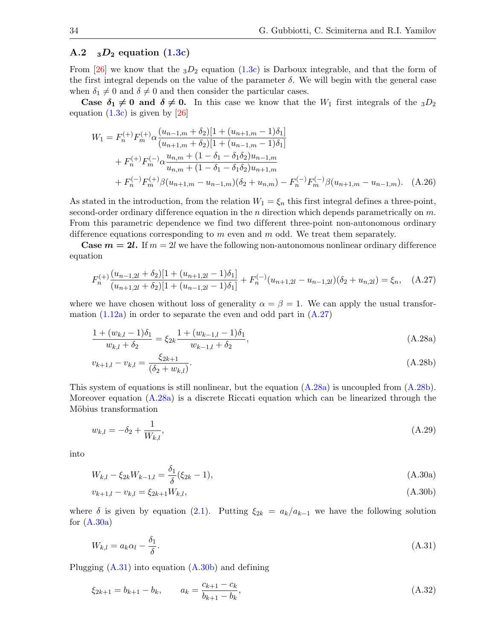## A.2  $_{3}D_{2}$  equation  $(1.3c)$

From [\[26\]](#page-50-19) we know that the  $_3D_2$  equation [\(1.3c\)](#page-3-2) is Darboux integrable, and that the form of the first integral depends on the value of the parameter  $\delta$ . We will begin with the general case when  $\delta_1 \neq 0$  and  $\delta \neq 0$  and then consider the particular cases.

Case  $\delta_1 \neq 0$  and  $\delta \neq 0$ . In this case we know that the  $W_1$  first integrals of the  $3D_2$ equation  $(1.3c)$  is given by [\[26\]](#page-50-19)

<span id="page-33-9"></span>
$$
W_1 = F_n^{(+)} F_m^{(+)} \alpha \frac{(u_{n-1,m} + \delta_2)[1 + (u_{n+1,m} - 1)\delta_1]}{(u_{n+1,m} + \delta_2)[1 + (u_{n-1,m} - 1)\delta_1]}
$$
  
+  $F_n^{(+)} F_m^{(-)} \alpha \frac{u_{n,m} + (1 - \delta_1 - \delta_1 \delta_2)u_{n-1,m}}{u_{n,m} + (1 - \delta_1 - \delta_1 \delta_2)u_{n+1,m}}$   
+  $F_n^{(-)} F_m^{(+)} \beta (u_{n+1,m} - u_{n-1,m}) (\delta_2 + u_{n,m}) - F_n^{(-)} F_m^{(-)} \beta (u_{n+1,m} - u_{n-1,m}).$  (A.26)

As stated in the introduction, from the relation  $W_1 = \xi_n$  this first integral defines a three-point, second-order ordinary difference equation in the n direction which depends parametrically on  $m$ . From this parametric dependence we find two different three-point non-autonomous ordinary difference equations corresponding to  $m$  even and  $m$  odd. We treat them separately.

**Case**  $m = 2l$ **.** If  $m = 2l$  we have the following non-autonomous nonlinear ordinary difference equation

<span id="page-33-0"></span>
$$
F_n^{(+)}\frac{(u_{n-1,2l} + \delta_2)[1 + (u_{n+1,2l} - 1)\delta_1]}{(u_{n+1,2l} + \delta_2)[1 + (u_{n-1,2l} - 1)\delta_1]} + F_n^{(-)}(u_{n+1,2l} - u_{n-1,2l})(\delta_2 + u_{n,2l}) = \xi_n, \quad \text{(A.27)}
$$

where we have chosen without loss of generality  $\alpha = \beta = 1$ . We can apply the usual transformation  $(1.12a)$  in order to separate the even and odd part in  $(A.27)$ 

<span id="page-33-7"></span>
$$
\frac{1 + (w_{k,l} - 1)\delta_1}{w_{k,l} + \delta_2} = \xi_{2k} \frac{1 + (w_{k-1,l} - 1)\delta_1}{w_{k-1,l} + \delta_2},
$$
\n(A.28a)

<span id="page-33-2"></span><span id="page-33-1"></span>
$$
v_{k+1,l} - v_{k,l} = \frac{\xi_{2k+1}}{(\delta_2 + w_{k,l})}.
$$
\n(A.28b)

This system of equations is still nonlinear, but the equation [\(A.28a\)](#page-33-1) is uncoupled from [\(A.28b\)](#page-33-2). Moreover equation [\(A.28a\)](#page-33-1) is a discrete Riccati equation which can be linearized through the Möbius transformation

<span id="page-33-6"></span>
$$
w_{k,l} = -\delta_2 + \frac{1}{W_{k,l}},\tag{A.29}
$$

into

<span id="page-33-3"></span>
$$
W_{k,l} - \xi_{2k} W_{k-1,l} = \frac{\delta_1}{\delta} (\xi_{2k} - 1), \tag{A.30a}
$$

<span id="page-33-5"></span>
$$
v_{k+1,l} - v_{k,l} = \xi_{2k+1} W_{k,l},\tag{A.30b}
$$

where  $\delta$  is given by equation [\(2.1\)](#page-8-1). Putting  $\xi_{2k} = a_k/a_{k-1}$  we have the following solution for  $(A.30a)$ 

<span id="page-33-4"></span>
$$
W_{k,l} = a_k \alpha_l - \frac{\delta_1}{\delta}.\tag{A.31}
$$

Plugging  $(A.31)$  into equation  $(A.30b)$  and defining

<span id="page-33-8"></span>
$$
\xi_{2k+1} = b_{k+1} - b_k, \qquad a_k = \frac{c_{k+1} - c_k}{b_{k+1} - b_k},\tag{A.32}
$$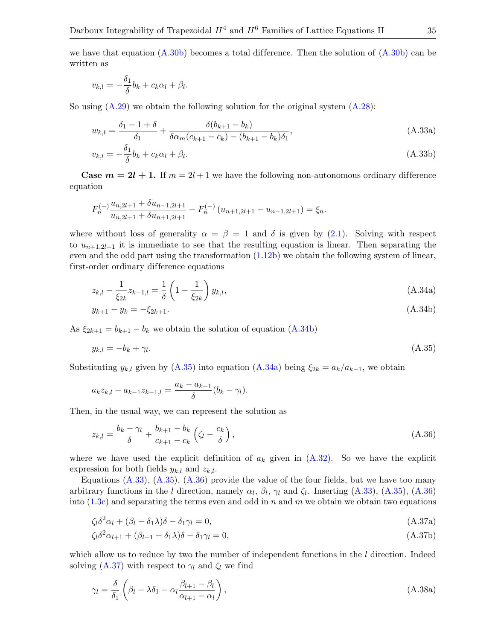we have that equation  $(A.30b)$  becomes a total difference. Then the solution of  $(A.30b)$  can be written as

<span id="page-34-3"></span>
$$
v_{k,l} = -\frac{\delta_1}{\delta}b_k + c_k\alpha_l + \beta_l.
$$

So using  $(A.29)$  we obtain the following solution for the original system  $(A.28)$ :

$$
w_{k,l} = \frac{\delta_1 - 1 + \delta}{\delta_1} + \frac{\delta(b_{k+1} - b_k)}{\delta \alpha_m (c_{k+1} - c_k) - (b_{k+1} - b_k)\delta_1},
$$
\n(A.33a)

$$
v_{k,l} = -\frac{\delta_1}{\delta} b_k + c_k \alpha_l + \beta_l. \tag{A.33b}
$$

**Case**  $m = 2l + 1$ **.** If  $m = 2l + 1$  we have the following non-autonomous ordinary difference equation

$$
F_n^{(+)}\frac{u_{n,2l+1} + \delta u_{n-1,2l+1}}{u_{n,2l+1} + \delta u_{n+1,2l+1}} - F_n^{(-)}(u_{n+1,2l+1} - u_{n-1,2l+1}) = \xi_n.
$$

where without loss of generality  $\alpha = \beta = 1$  and  $\delta$  is given by [\(2.1\)](#page-8-1). Solving with respect to  $u_{n+1,2l+1}$  it is immediate to see that the resulting equation is linear. Then separating the even and the odd part using the transformation [\(1.12b\)](#page-5-5) we obtain the following system of linear, first-order ordinary difference equations

<span id="page-34-7"></span><span id="page-34-2"></span>
$$
z_{k,l} - \frac{1}{\xi_{2k}} z_{k-1,l} = \frac{1}{\delta} \left( 1 - \frac{1}{\xi_{2k}} \right) y_{k,l},
$$
\n(A.34a)

<span id="page-34-0"></span>
$$
y_{k+1} - y_k = -\xi_{2k+1}.\tag{A.34b}
$$

As  $\xi_{2k+1} = b_{k+1} - b_k$  we obtain the solution of equation [\(A.34b\)](#page-34-0)

<span id="page-34-1"></span>
$$
y_{k,l} = -b_k + \gamma_l. \tag{A.35}
$$

Substituting  $y_{k,l}$  given by [\(A.35\)](#page-34-1) into equation [\(A.34a\)](#page-34-2) being  $\xi_{2k} = a_k/a_{k-1}$ , we obtain

$$
a_k z_{k,l} - a_{k-1} z_{k-1,l} = \frac{a_k - a_{k-1}}{\delta} (b_k - \gamma_l).
$$

Then, in the usual way, we can represent the solution as

<span id="page-34-4"></span>
$$
z_{k,l} = \frac{b_k - \gamma_l}{\delta} + \frac{b_{k+1} - b_k}{c_{k+1} - c_k} \left( \zeta_l - \frac{c_k}{\delta} \right),\tag{A.36}
$$

where we have used the explicit definition of  $a_k$  given in  $(A.32)$ . So we have the explicit expression for both fields  $y_{k,l}$  and  $z_{k,l}$ .

<span id="page-34-5"></span>Equations  $(A.33)$ ,  $(A.35)$ ,  $(A.36)$  provide the value of the four fields, but we have too many arbitrary functions in the l direction, namely  $\alpha_l$ ,  $\beta_l$ ,  $\gamma_l$  and  $\zeta_l$ . Inserting [\(A.33\)](#page-34-3), [\(A.35\)](#page-34-1), [\(A.36\)](#page-34-4) into  $(1.3c)$  and separating the terms even and odd in n and m we obtain we obtain two equations

$$
\zeta_l \delta^2 \alpha_l + (\beta_l - \delta_1 \lambda) \delta - \delta_1 \gamma_l = 0, \tag{A.37a}
$$

<span id="page-34-6"></span>
$$
\zeta_l \delta^2 \alpha_{l+1} + (\beta_{l+1} - \delta_1 \lambda) \delta - \delta_1 \gamma_l = 0, \tag{A.37b}
$$

which allow us to reduce by two the number of independent functions in the  $l$  direction. Indeed solving [\(A.37\)](#page-34-5) with respect to  $\gamma_l$  and  $\zeta_l$  we find

$$
\gamma_l = \frac{\delta}{\delta_1} \left( \beta_l - \lambda \delta_1 - \alpha_l \frac{\beta_{l+1} - \beta_l}{\alpha_{l+1} - \alpha_l} \right),\tag{A.38a}
$$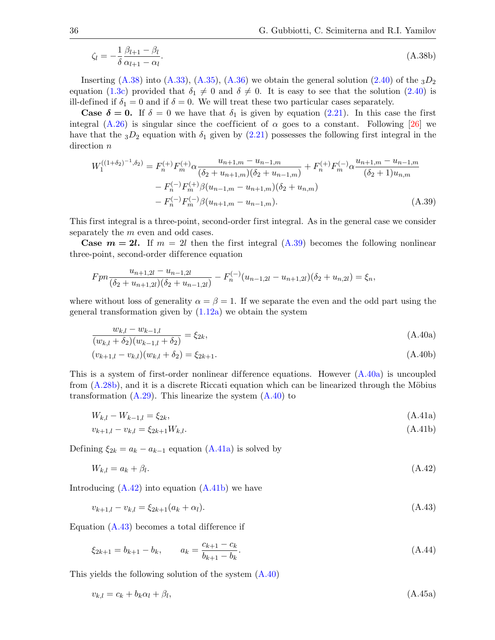$$
\zeta_l = -\frac{1}{\delta} \frac{\beta_{l+1} - \beta_l}{\alpha_{l+1} - \alpha_l}.
$$
\n(A.38b)

Inserting  $(A.38)$  into  $(A.33)$ ,  $(A.35)$ ,  $(A.36)$  we obtain the general solution  $(2.40)$  of the  $_3D_2$ equation [\(1.3c\)](#page-3-2) provided that  $\delta_1 \neq 0$  and  $\delta \neq 0$ . It is easy to see that the solution [\(2.40\)](#page-14-3) is ill-defined if  $\delta_1 = 0$  and if  $\delta = 0$ . We will treat these two particular cases separately.

**Case**  $\delta = 0$ **.** If  $\delta = 0$  we have that  $\delta_1$  is given by equation [\(2.21\)](#page-11-4). In this case the first integral [\(A.26\)](#page-33-9) is singular since the coefficient of  $\alpha$  goes to a constant. Following [\[26\]](#page-50-19) we have that the  $3D_2$  equation with  $\delta_1$  given by [\(2.21\)](#page-11-4) possesses the following first integral in the direction  $n$ 

<span id="page-35-0"></span>
$$
W_1^{((1+\delta_2)^{-1},\delta_2)} = F_n^{(+)} F_m^{(+)} \alpha \frac{u_{n+1,m} - u_{n-1,m}}{(\delta_2 + u_{n+1,m})(\delta_2 + u_{n-1,m})} + F_n^{(+)} F_m^{(-)} \alpha \frac{u_{n+1,m} - u_{n-1,m}}{(\delta_2 + 1)u_{n,m}}
$$

$$
- F_n^{(-)} F_m^{(+)} \beta (u_{n-1,m} - u_{n+1,m})(\delta_2 + u_{n,m})
$$

$$
- F_n^{(-)} F_m^{(-)} \beta (u_{n+1,m} - u_{n-1,m}). \tag{A.39}
$$

This first integral is a three-point, second-order first integral. As in the general case we consider separately the *m* even and odd cases.

**Case**  $m = 2l$ **.** If  $m = 2l$  then the first integral [\(A.39\)](#page-35-0) becomes the following nonlinear three-point, second-order difference equation

$$
Fpn \frac{u_{n+1,2l} - u_{n-1,2l}}{(\delta_2 + u_{n+1,2l})(\delta_2 + u_{n-1,2l})} - F_n^{(-)}(u_{n-1,2l} - u_{n+1,2l})(\delta_2 + u_{n,2l}) = \xi_n,
$$

where without loss of generality  $\alpha = \beta = 1$ . If we separate the even and the odd part using the general transformation given by [\(1.12a\)](#page-5-4) we obtain the system

<span id="page-35-2"></span><span id="page-35-1"></span>
$$
\frac{w_{k,l} - w_{k-1,l}}{(w_{k,l} + \delta_2)(w_{k-1,l} + \delta_2)} = \xi_{2k},\tag{A.40a}
$$

$$
(v_{k+1,l} - v_{k,l})(w_{k,l} + \delta_2) = \xi_{2k+1}.
$$
\n(A.40b)

This is a system of first-order nonlinear difference equations. However  $(A.40a)$  is uncoupled from  $(A.28b)$ , and it is a discrete Riccati equation which can be linearized through the Möbius transformation  $(A.29)$ . This linearize the system  $(A.40)$  to

$$
W_{k,l} - W_{k-1,l} = \xi_{2k},\tag{A.41a}
$$

<span id="page-35-5"></span><span id="page-35-3"></span>
$$
v_{k+1,l} - v_{k,l} = \xi_{2k+1} W_{k,l}.\tag{A.41b}
$$

Defining  $\xi_{2k} = a_k - a_{k-1}$  equation [\(A.41a\)](#page-35-3) is solved by

<span id="page-35-4"></span>
$$
W_{k,l} = a_k + \beta_l. \tag{A.42}
$$

Introducing [\(A.42\)](#page-35-4) into equation [\(A.41b\)](#page-35-5) we have

<span id="page-35-6"></span>
$$
v_{k+1,l} - v_{k,l} = \xi_{2k+1}(a_k + \alpha_l). \tag{A.43}
$$

Equation  $(A.43)$  becomes a total difference if

<span id="page-35-8"></span><span id="page-35-7"></span>
$$
\xi_{2k+1} = b_{k+1} - b_k, \qquad a_k = \frac{c_{k+1} - c_k}{b_{k+1} - b_k}.
$$
\n(A.44)

This yields the following solution of the system [\(A.40\)](#page-35-2)

$$
v_{k,l} = c_k + b_k \alpha_l + \beta_l, \tag{A.45a}
$$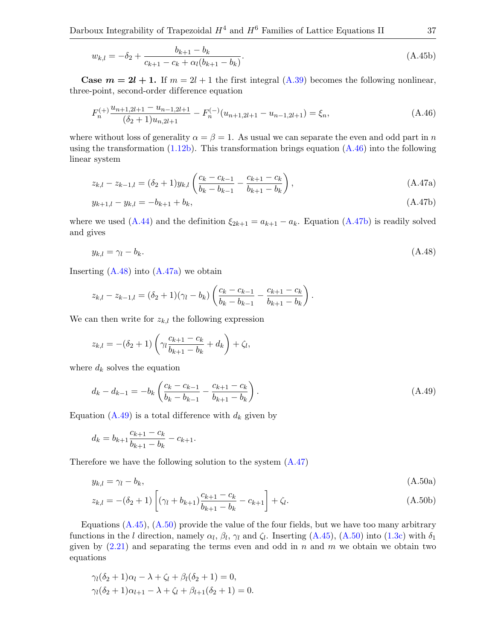Darboux Integrability of Trapezoidal  $H^4$  and  $H^6$  Families of Lattice Equations II 37

$$
w_{k,l} = -\delta_2 + \frac{b_{k+1} - b_k}{c_{k+1} - c_k + \alpha_l(b_{k+1} - b_k)}.\tag{A.45b}
$$

**Case**  $m = 2l + 1$ **.** If  $m = 2l + 1$  the first integral [\(A.39\)](#page-35-0) becomes the following nonlinear, three-point, second-order difference equation

<span id="page-36-0"></span>
$$
F_n^{(+)} \frac{u_{n+1,2l+1} - u_{n-1,2l+1}}{(\delta_2 + 1)u_{n,2l+1}} - F_n^{(-)}(u_{n+1,2l+1} - u_{n-1,2l+1}) = \xi_n,
$$
\n(A.46)

where without loss of generality  $\alpha = \beta = 1$ . As usual we can separate the even and odd part in n using the transformation  $(1.12b)$ . This transformation brings equation  $(A.46)$  into the following linear system

<span id="page-36-5"></span><span id="page-36-3"></span>
$$
z_{k,l} - z_{k-1,l} = (\delta_2 + 1) y_{k,l} \left( \frac{c_k - c_{k-1}}{b_k - b_{k-1}} - \frac{c_{k+1} - c_k}{b_{k+1} - b_k} \right),
$$
\n(A.47a)

<span id="page-36-1"></span>
$$
y_{k+1,l} - y_{k,l} = -b_{k+1} + b_k, \tag{A.47b}
$$

where we used [\(A.44\)](#page-35-7) and the definition  $\xi_{2k+1} = a_{k+1} - a_k$ . Equation [\(A.47b\)](#page-36-1) is readily solved and gives

<span id="page-36-2"></span>
$$
y_{k,l} = \gamma_l - b_k. \tag{A.48}
$$

Inserting  $(A.48)$  into  $(A.47a)$  we obtain

$$
z_{k,l} - z_{k-1,l} = (\delta_2 + 1)(\gamma_l - b_k) \left( \frac{c_k - c_{k-1}}{b_k - b_{k-1}} - \frac{c_{k+1} - c_k}{b_{k+1} - b_k} \right).
$$

We can then write for  $z_{k,l}$  the following expression

$$
z_{k,l} = -(\delta_2 + 1) \left( \gamma_l \frac{c_{k+1} - c_k}{b_{k+1} - b_k} + d_k \right) + \zeta_l,
$$

where  $d_k$  solves the equation

<span id="page-36-4"></span>
$$
d_k - d_{k-1} = -b_k \left( \frac{c_k - c_{k-1}}{b_k - b_{k-1}} - \frac{c_{k+1} - c_k}{b_{k+1} - b_k} \right). \tag{A.49}
$$

Equation [\(A.49\)](#page-36-4) is a total difference with  $d_k$  given by

<span id="page-36-6"></span>
$$
d_k = b_{k+1} \frac{c_{k+1} - c_k}{b_{k+1} - b_k} - c_{k+1}.
$$

Therefore we have the following solution to the system [\(A.47\)](#page-36-5)

$$
y_{k,l} = \gamma_l - b_k, \tag{A.50a}
$$

$$
z_{k,l} = -(\delta_2 + 1) \left[ (\gamma_l + b_{k+1}) \frac{c_{k+1} - c_k}{b_{k+1} - b_k} - c_{k+1} \right] + \zeta_l.
$$
 (A.50b)

Equations  $(A.45)$ ,  $(A.50)$  provide the value of the four fields, but we have too many arbitrary functions in the l direction, namely  $\alpha_l$ ,  $\beta_l$ ,  $\gamma_l$  and  $\zeta_l$ . Inserting [\(A.45\)](#page-35-8), [\(A.50\)](#page-36-6) into [\(1.3c\)](#page-3-2) with  $\delta_1$ given by  $(2.21)$  and separating the terms even and odd in n and m we obtain we obtain two equations

$$
\gamma_l(\delta_2 + 1)\alpha_l - \lambda + \zeta_l + \beta_l(\delta_2 + 1) = 0,\n\gamma_l(\delta_2 + 1)\alpha_{l+1} - \lambda + \zeta_l + \beta_{l+1}(\delta_2 + 1) = 0.
$$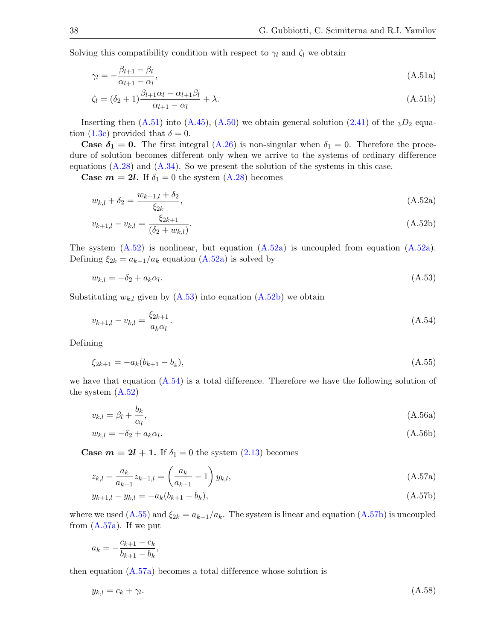Solving this compatibility condition with respect to  $\gamma_l$  and  $\zeta_l$  we obtain

<span id="page-37-0"></span>
$$
\gamma_l = -\frac{\beta_{l+1} - \beta_l}{\alpha_{l+1} - \alpha_l},\tag{A.51a}
$$

$$
\zeta_l = (\delta_2 + 1) \frac{\beta_{l+1} \alpha_l - \alpha_{l+1} \beta_l}{\alpha_{l+1} - \alpha_l} + \lambda.
$$
\n(A.51b)

Inserting then  $(A.51)$  into  $(A.45)$ ,  $(A.50)$  we obtain general solution  $(2.41)$  of the  $3D_2$  equa-tion [\(1.3c\)](#page-3-2) provided that  $\delta = 0$ .

**Case**  $\delta_1 = 0$ **.** The first integral [\(A.26\)](#page-33-9) is non-singular when  $\delta_1 = 0$ . Therefore the procedure of solution becomes different only when we arrive to the systems of ordinary difference equations  $(A.28)$  and  $(A.34)$ . So we present the solution of the systems in this case.

**Case**  $m = 2l$ **.** If  $\delta_1 = 0$  the system  $(A.28)$  becomes

<span id="page-37-2"></span><span id="page-37-1"></span>
$$
w_{k,l} + \delta_2 = \frac{w_{k-1,l} + \delta_2}{\xi_{2k}},
$$
\n(A.52a)

<span id="page-37-4"></span>
$$
v_{k+1,l} - v_{k,l} = \frac{\xi_{2k+1}}{(\delta_2 + w_{k,l})}.
$$
\n(A.52b)

The system  $(A.52)$  is nonlinear, but equation  $(A.52a)$  is uncoupled from equation  $(A.52a)$ . Defining  $\xi_{2k} = a_{k-1}/a_k$  equation  $(A.52a)$  is solved by

<span id="page-37-3"></span>
$$
w_{k,l} = -\delta_2 + a_k \alpha_l. \tag{A.53}
$$

Substituting  $w_{k,l}$  given by  $(A.53)$  into equation  $(A.52b)$  we obtain

<span id="page-37-5"></span>
$$
v_{k+1,l} - v_{k,l} = \frac{\xi_{2k+1}}{a_k \alpha_l}.
$$
\n(A.54)

Defining

<span id="page-37-11"></span><span id="page-37-6"></span>
$$
\xi_{2k+1} = -a_k(b_{k+1} - b_k),\tag{A.55}
$$

we have that equation  $(A.54)$  is a total difference. Therefore we have the following solution of the system [\(A.52\)](#page-37-1)

$$
v_{k,l} = \beta_l + \frac{b_k}{\alpha_l},\tag{A.56a}
$$

<span id="page-37-10"></span>
$$
w_{k,l} = -\delta_2 + a_k \alpha_l. \tag{A.56b}
$$

**Case**  $m = 2l + 1$ **.** If  $\delta_1 = 0$  the system  $(2.13)$  becomes

<span id="page-37-8"></span>
$$
z_{k,l} - \frac{a_k}{a_{k-1}} z_{k-1,l} = \left(\frac{a_k}{a_{k-1}} - 1\right) y_{k,l},\tag{A.57a}
$$

<span id="page-37-7"></span>
$$
y_{k+1,l} - y_{k,l} = -a_k(b_{k+1} - b_k),
$$
\n(A.57b)

where we used [\(A.55\)](#page-37-6) and  $\xi_{2k} = a_{k-1}/a_k$ . The system is linear and equation [\(A.57b\)](#page-37-7) is uncoupled from  $(A.57a)$ . If we put

$$
a_k = -\frac{c_{k+1} - c_k}{b_{k+1} - b_k},
$$

then equation  $(A.57a)$  becomes a total difference whose solution is

<span id="page-37-9"></span>
$$
y_{k,l} = c_k + \gamma_l. \tag{A.58}
$$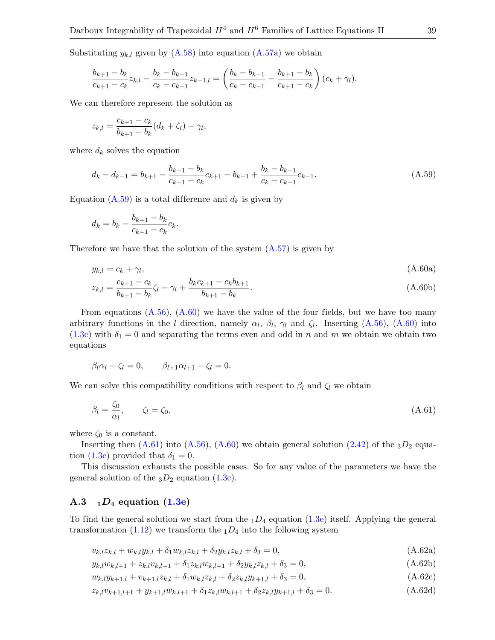Substituting  $y_{k,l}$  given by  $(A.58)$  into equation  $(A.57a)$  we obtain

$$
\frac{b_{k+1}-b_k}{c_{k+1}-c_k}z_{k,l}-\frac{b_k-b_{k-1}}{c_k-c_{k-1}}z_{k-1,l}=\left(\frac{b_k-b_{k-1}}{c_k-c_{k-1}}-\frac{b_{k+1}-b_k}{c_{k+1}-c_k}\right)(c_k+\gamma_l).
$$

We can therefore represent the solution as

$$
z_{k,l} = \frac{c_{k+1} - c_k}{b_{k+1} - b_k} (d_k + \zeta_l) - \gamma_l,
$$

where  $d_k$  solves the equation

<span id="page-38-0"></span>
$$
d_k - d_{k-1} = b_{k+1} - \frac{b_{k+1} - b_k}{c_{k+1} - c_k}c_{k+1} - b_{k-1} + \frac{b_k - b_{k-1}}{c_k - c_{k-1}}c_{k-1}.
$$
\n(A.59)

Equation [\(A.59\)](#page-38-0) is a total difference and  $d_k$  is given by

<span id="page-38-1"></span>
$$
d_k = b_k - \frac{b_{k+1} - b_k}{c_{k+1} - c_k}c_k.
$$

Therefore we have that the solution of the system  $(A.57)$  is given by

$$
y_{k,l} = c_k + \gamma_l, \tag{A.60a}
$$

$$
z_{k,l} = \frac{c_{k+1} - c_k}{b_{k+1} - b_k} \zeta_l - \gamma_l + \frac{b_k c_{k+1} - c_k b_{k+1}}{b_{k+1} - b_k}.
$$
\n(A.60b)

From equations  $(A.56)$ ,  $(A.60)$  we have the value of the four fields, but we have too many arbitrary functions in the l direction, namely  $\alpha_l$ ,  $\beta_l$ ,  $\gamma_l$  and  $\zeta_l$ . Inserting [\(A.56\)](#page-37-11), [\(A.60\)](#page-38-1) into [\(1.3c\)](#page-3-2) with  $\delta_1 = 0$  and separating the terms even and odd in n and m we obtain we obtain two equations

$$
\beta_l \alpha_l - \zeta_l = 0, \qquad \beta_{l+1} \alpha_{l+1} - \zeta_l = 0.
$$

We can solve this compatibility conditions with respect to  $\beta_l$  and  $\zeta_l$  we obtain

<span id="page-38-2"></span>
$$
\beta_l = \frac{\zeta_0}{\alpha_l}, \qquad \zeta_l = \zeta_0,\tag{A.61}
$$

where  $\zeta_0$  is a constant.

Inserting then  $(A.61)$  into  $(A.56)$ ,  $(A.60)$  we obtain general solution  $(2.42)$  of the  $3D_2$  equa-tion [\(1.3c\)](#page-3-2) provided that  $\delta_1 = 0$ .

This discussion exhausts the possible cases. So for any value of the parameters we have the general solution of the  $_3D_2$  equation [\(1.3c\)](#page-3-2).

### A.3  $1D_4$  equation  $(1.3e)$

To find the general solution we start from the  $_1D_4$  equation [\(1.3e\)](#page-3-6) itself. Applying the general transformation [\(1.12\)](#page-5-3) we transform the  $_1D_4$  into the following system

<span id="page-38-6"></span><span id="page-38-4"></span><span id="page-38-3"></span>
$$
v_{k,l}z_{k,l} + w_{k,l}y_{k,l} + \delta_1 w_{k,l}z_{k,l} + \delta_2 y_{k,l}z_{k,l} + \delta_3 = 0,
$$
\n(A.62a)

<span id="page-38-5"></span>
$$
y_{k,l}w_{k,l+1} + z_{k,l}v_{k,l+1} + \delta_1 z_{k,l}w_{k,l+1} + \delta_2 y_{k,l}z_{k,l} + \delta_3 = 0,
$$
\n(A.62b)

<span id="page-38-7"></span>
$$
w_{k,l}y_{k+1,l} + v_{k+1,l}z_{k,l} + \delta_1 w_{k,l}z_{k,l} + \delta_2 z_{k,l}y_{k+1,l} + \delta_3 = 0,
$$
\n(A.62c)

$$
z_{k,l}v_{k+1,l+1} + y_{k+1,l}w_{k,l+1} + \delta_1 z_{k,l}w_{k,l+1} + \delta_2 z_{k,l}y_{k+1,l} + \delta_3 = 0.
$$
\n(A.62d)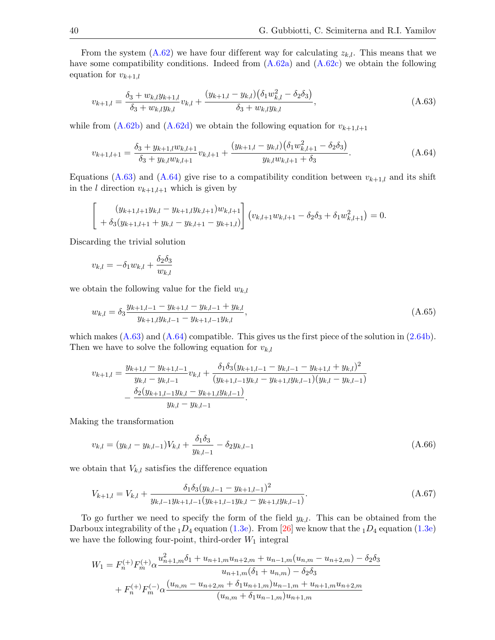From the system [\(A.62\)](#page-38-3) we have four different way for calculating  $z_{k,l}$ . This means that we have some compatibility conditions. Indeed from  $(A.62a)$  and  $(A.62c)$  we obtain the following equation for  $v_{k+1,l}$ 

<span id="page-39-0"></span>
$$
v_{k+1,l} = \frac{\delta_3 + w_{k,l} y_{k+1,l}}{\delta_3 + w_{k,l} y_{k,l}} v_{k,l} + \frac{(y_{k+1,l} - y_{k,l})(\delta_1 w_{k,l}^2 - \delta_2 \delta_3)}{\delta_3 + w_{k,l} y_{k,l}},
$$
(A.63)

while from  $(A.62b)$  and  $(A.62d)$  we obtain the following equation for  $v_{k+1,l+1}$ 

<span id="page-39-1"></span>
$$
v_{k+1,l+1} = \frac{\delta_3 + y_{k+1,l} w_{k,l+1}}{\delta_3 + y_{k,l} w_{k,l+1}} v_{k,l+1} + \frac{(y_{k+1,l} - y_{k,l})(\delta_1 w_{k,l+1}^2 - \delta_2 \delta_3)}{y_{k,l} w_{k,l+1} + \delta_3}.
$$
(A.64)

Equations [\(A.63\)](#page-39-0) and [\(A.64\)](#page-39-1) give rise to a compatibility condition between  $v_{k+1,l}$  and its shift in the *l* direction  $v_{k+1,l+1}$  which is given by

$$
\begin{bmatrix}\n(y_{k+1,l+1}y_{k,l} - y_{k+1,l}y_{k,l+1})w_{k,l+1} \\
+\delta_3(y_{k+1,l+1} + y_{k,l} - y_{k,l+1} - y_{k+1,l})\n\end{bmatrix}\n\begin{bmatrix}\nv_{k,l+1}w_{k,l+1} - \delta_2\delta_3 + \delta_1 w_{k,l+1}^2\n\end{bmatrix} = 0.
$$

Discarding the trivial solution

$$
v_{k,l} = -\delta_1 w_{k,l} + \frac{\delta_2 \delta_3}{w_{k,l}}
$$

we obtain the following value for the field  $w_{k,l}$ 

<span id="page-39-4"></span>
$$
w_{k,l} = \delta_3 \frac{y_{k+1,l-1} - y_{k+1,l} - y_{k,l-1} + y_{k,l}}{y_{k+1,l} y_{k,l-1} - y_{k+1,l-1} y_{k,l}},
$$
\n(A.65)

which makes  $(A.63)$  and  $(A.64)$  compatible. This gives us the first piece of the solution in  $(2.64b)$ . Then we have to solve the following equation for  $v_{k,l}$ 

$$
v_{k+1,l} = \frac{y_{k+1,l} - y_{k+1,l-1}}{y_{k,l} - y_{k,l-1}} v_{k,l} + \frac{\delta_1 \delta_3 (y_{k+1,l-1} - y_{k,l-1} - y_{k+1,l} + y_{k,l})^2}{(y_{k+1,l-1} y_{k,l} - y_{k+1,l} y_{k,l-1})(y_{k,l} - y_{k,l-1})}
$$

$$
- \frac{\delta_2 (y_{k+1,l-1} y_{k,l} - y_{k+1,l} y_{k,l-1})}{y_{k,l} - y_{k,l-1}}.
$$

Making the transformation

<span id="page-39-3"></span>
$$
v_{k,l} = (y_{k,l} - y_{k,l-1})V_{k,l} + \frac{\delta_1 \delta_3}{y_{k,l-1}} - \delta_2 y_{k,l-1}
$$
\n(A.66)

we obtain that  $V_{k,l}$  satisfies the difference equation

<span id="page-39-2"></span>
$$
V_{k+1,l} = V_{k,l} + \frac{\delta_1 \delta_3 (y_{k,l-1} - y_{k+1,l-1})^2}{y_{k,l-1} y_{k+1,l-1} (y_{k+1,l-1} y_{k,l} - y_{k+1,l} y_{k,l-1})}.
$$
\n(A.67)

To go further we need to specify the form of the field  $y_{k,l}$ . This can be obtained from the Darboux integrability of the  $_1D_4$  equation [\(1.3e\)](#page-3-6). From [\[26\]](#page-50-19) we know that the  $_1D_4$  equation (1.3e) we have the following four-point, third-order  $W_1$  integral

$$
W_1 = F_n^{(+)} F_m^{(+)} \alpha \frac{u_{n+1,m}^2 \delta_1 + u_{n+1,m} u_{n+2,m} + u_{n-1,m} (u_{n,m} - u_{n+2,m}) - \delta_2 \delta_3}{u_{n+1,m} (\delta_1 + u_{n,m}) - \delta_2 \delta_3}
$$
  
+  $F_n^{(+)} F_m^{(-)} \alpha \frac{(u_{n,m} - u_{n+2,m} + \delta_1 u_{n+1,m}) u_{n-1,m} + u_{n+1,m} u_{n+2,m}}{(u_{n,m} + \delta_1 u_{n-1,m}) u_{n+1,m}}$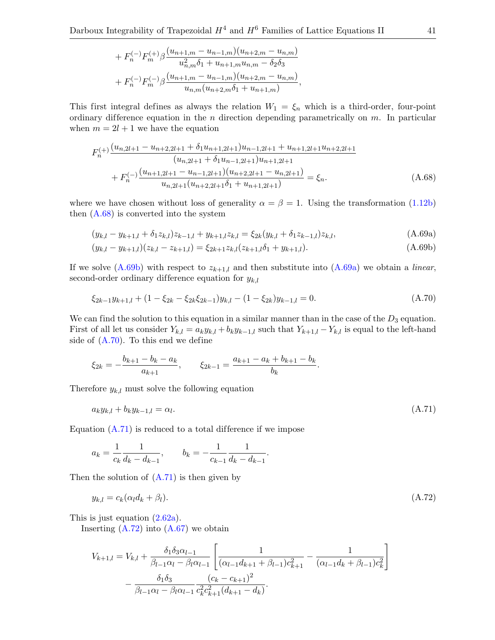+ 
$$
F_n^{(-)} F_m^{(+)} \beta \frac{(u_{n+1,m} - u_{n-1,m})(u_{n+2,m} - u_{n,m})}{u_{n,m}^2 \delta_1 + u_{n+1,m} u_{n,m} - \delta_2 \delta_3}
$$
  
+  $F_n^{(-)} F_m^{(-)} \beta \frac{(u_{n+1,m} - u_{n-1,m})(u_{n+2,m} - u_{n,m})}{u_{n,m}(u_{n+2,m} \delta_1 + u_{n+1,m})}$ ,

This first integral defines as always the relation  $W_1 = \xi_n$  which is a third-order, four-point ordinary difference equation in the n direction depending parametrically on  $m$ . In particular when  $m = 2l + 1$  we have the equation

<span id="page-40-0"></span>
$$
F_{n}^{(+)}\frac{(u_{n,2l+1}-u_{n+2,2l+1}+\delta_{1}u_{n+1,2l+1})u_{n-1,2l+1}+u_{n+1,2l+1}u_{n+2,2l+1}}{(u_{n,2l+1}+\delta_{1}u_{n-1,2l+1})u_{n+1,2l+1}} + F_{n}^{(-)}\frac{(u_{n+1,2l+1}-u_{n-1,2l+1})(u_{n+2,2l+1}-u_{n,2l+1})}{u_{n,2l+1}(u_{n+2,2l+1}\delta_{1}+u_{n+1,2l+1})} = \xi_{n}.
$$
\n(A.68)

where we have chosen without loss of generality  $\alpha = \beta = 1$ . Using the transformation [\(1.12b\)](#page-5-5) then [\(A.68\)](#page-40-0) is converted into the system

<span id="page-40-2"></span><span id="page-40-1"></span>
$$
(y_{k,l} - y_{k+1,l} + \delta_1 z_{k,l})z_{k-1,l} + y_{k+1,l}z_{k,l} = \xi_{2k}(y_{k,l} + \delta_1 z_{k-1,l})z_{k,l},
$$
\n(A.69a)

$$
(y_{k,l} - y_{k+1,l})(z_{k,l} - z_{k+1,l}) = \xi_{2k+1} z_{k,l} (z_{k+1,l} \delta_1 + y_{k+1,l}). \tag{A.69b}
$$

If we solve  $(A.69b)$  with respect to  $z_{k+1,l}$  and then substitute into  $(A.69a)$  we obtain a *linear*, second-order ordinary difference equation for  $y_{k,l}$ 

<span id="page-40-3"></span>
$$
\xi_{2k-1}y_{k+1,l} + (1 - \xi_{2k} - \xi_{2k}\xi_{2k-1})y_{k,l} - (1 - \xi_{2k})y_{k-1,l} = 0.
$$
\n(A.70)

We can find the solution to this equation in a similar manner than in the case of the  $D_3$  equation. First of all let us consider  $Y_{k,l} = a_k y_{k,l} + b_k y_{k-1,l}$  such that  $Y_{k+1,l} - Y_{k,l}$  is equal to the left-hand side of  $(A.70)$ . To this end we define

$$
\xi_{2k} = -\frac{b_{k+1} - b_k - a_k}{a_{k+1}}, \qquad \xi_{2k-1} = \frac{a_{k+1} - a_k + b_{k+1} - b_k}{b_k}.
$$

Therefore  $y_{k,l}$  must solve the following equation

<span id="page-40-4"></span>
$$
a_k y_{k,l} + b_k y_{k-1,l} = \alpha_l. \tag{A.71}
$$

Equation  $(A.71)$  is reduced to a total difference if we impose

$$
a_k = \frac{1}{c_k} \frac{1}{d_k - d_{k-1}}, \qquad b_k = -\frac{1}{c_{k-1}} \frac{1}{d_k - d_{k-1}}.
$$

Then the solution of  $(A.71)$  is then given by

<span id="page-40-5"></span>
$$
y_{k,l} = c_k(\alpha_l d_k + \beta_l). \tag{A.72}
$$

This is just equation [\(2.62a\)](#page-18-3).

Inserting  $(A.72)$  into  $(A.67)$  we obtain

$$
V_{k+1,l} = V_{k,l} + \frac{\delta_1 \delta_3 \alpha_{l-1}}{\beta_{l-1} \alpha_l - \beta_l \alpha_{l-1}} \left[ \frac{1}{(\alpha_{l-1} d_{k+1} + \beta_{l-1}) c_{k+1}^2} - \frac{1}{(\alpha_{l-1} d_k + \beta_{l-1}) c_k^2} \right] - \frac{\delta_1 \delta_3}{\beta_{l-1} \alpha_l - \beta_l \alpha_{l-1}} \frac{(c_k - c_{k+1})^2}{c_k^2 c_{k+1}^2 (d_{k+1} - d_k)}.
$$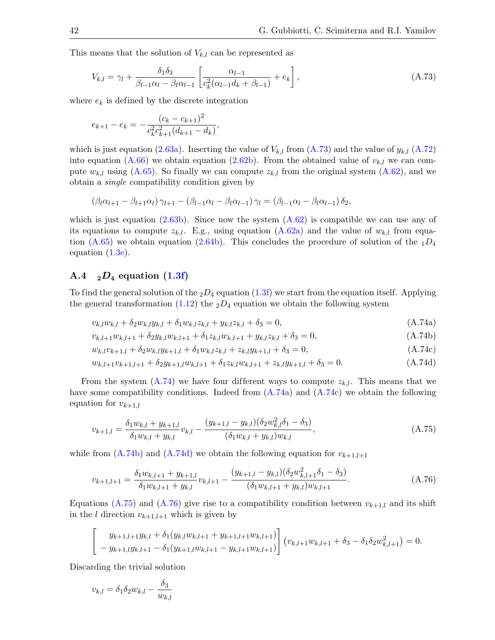This means that the solution of  $V_{k,l}$  can be represented as

<span id="page-41-0"></span>
$$
V_{k,l} = \gamma_l + \frac{\delta_1 \delta_3}{\beta_{l-1} \alpha_l - \beta_l \alpha_{l-1}} \left[ \frac{\alpha_{l-1}}{c_k^2 (\alpha_{l-1} d_k + \beta_{l-1})} + e_k \right],
$$
\n(A.73)

where  $e_k$  is defined by the discrete integration

$$
e_{k+1} - e_k = -\frac{(c_k - c_{k+1})^2}{c_k^2 c_{k+1}^2 (d_{k+1} - d_k)},
$$

which is just equation [\(2.63a\)](#page-18-4). Inserting the value of  $V_{k,l}$  from [\(A.73\)](#page-41-0) and the value of  $y_{k,l}$  [\(A.72\)](#page-40-5) into equation [\(A.66\)](#page-39-3) we obtain equation [\(2.62b\)](#page-18-5). From the obtained value of  $v_{k,l}$  we can compute  $w_{k,l}$  using [\(A.65\)](#page-39-4). So finally we can compute  $z_{k,l}$  from the original system [\(A.62\)](#page-38-3), and we obtain a single compatibility condition given by

$$
(\beta_l \alpha_{l+1} - \beta_{l+1} \alpha_l) \gamma_{l+1} - (\beta_{l-1} \alpha_l - \beta_l \alpha_{l-1}) \gamma_l = (\beta_{l-1} \alpha_l - \beta_l \alpha_{l-1}) \delta_2,
$$

which is just equation  $(2.63b)$ . Since now the system  $(A.62)$  is compatible we can use any of its equations to compute  $z_{k,l}$ . E.g., using equation [\(A.62a\)](#page-38-4) and the value of  $w_{k,l}$  from equation  $(A.65)$  we obtain equation  $(2.64b)$ . This concludes the procedure of solution of the  $_1D_4$ equation [\(1.3e\)](#page-3-6).

## A.4  $_2D_4$  equation  $(1.3f)$

To find the general solution of the  $_2D_4$  equation [\(1.3f\)](#page-3-4) we start from the equation itself. Applying the general transformation [\(1.12\)](#page-5-3) the  $_2D_4$  equation we obtain the following system

<span id="page-41-1"></span>
$$
v_{k,l}w_{k,l} + \delta_2 w_{k,l}y_{k,l} + \delta_1 w_{k,l}z_{k,l} + y_{k,l}z_{k,l} + \delta_3 = 0,
$$
\n(A.74a)

<span id="page-41-4"></span><span id="page-41-2"></span>
$$
v_{k,l+1}w_{k,l+1} + \delta_2 y_{k,l}w_{k,l+1} + \delta_1 z_{k,l}w_{k,l+1} + y_{k,l}z_{k,l} + \delta_3 = 0,
$$
\n(A.74b)

<span id="page-41-5"></span><span id="page-41-3"></span>
$$
w_{k,l}v_{k+1,l} + \delta_2 w_{k,l}y_{k+1,l} + \delta_1 w_{k,l}z_{k,l} + z_{k,l}y_{k+1,l} + \delta_3 = 0,
$$
\n(A.74c)

$$
w_{k,l+1}v_{k+1,l+1} + \delta_2 y_{k+1,l}w_{k,l+1} + \delta_1 z_{k,l}w_{k,l+1} + z_{k,l}y_{k+1,l} + \delta_3 = 0.
$$
\n(A.74d)

From the system [\(A.74\)](#page-41-1) we have four different ways to compute  $z_{k,l}$ . This means that we have some compatibility conditions. Indeed from  $(A.74a)$  and  $(A.74c)$  we obtain the following equation for  $v_{k+1,l}$ 

<span id="page-41-6"></span>
$$
v_{k+1,l} = \frac{\delta_1 w_{k,l} + y_{k+1,l}}{\delta_1 w_{k,l} + y_{k,l}} v_{k,l} - \frac{(y_{k+1,l} - y_{k,l})(\delta_2 w_{k,l}^2 \delta_1 - \delta_3)}{(\delta_1 w_{k,l} + y_{k,l}) w_{k,l}},
$$
(A.75)

while from  $(A.74b)$  and  $(A.74d)$  we obtain the following equation for  $v_{k+1,l+1}$ 

<span id="page-41-7"></span>
$$
v_{k+1,l+1} = \frac{\delta_1 w_{k,l+1} + y_{k+1,l}}{\delta_1 w_{k,l+1} + y_{k,l}} v_{k,l+1} - \frac{(y_{k+1,l} - y_{k,l})(\delta_2 w_{k,l+1}^2 \delta_1 - \delta_3)}{(\delta_1 w_{k,l+1} + y_{k,l}) w_{k,l+1}}.
$$
(A.76)

Equations [\(A.75\)](#page-41-6) and [\(A.76\)](#page-41-7) give rise to a compatibility condition between  $v_{k+1,l}$  and its shift in the *l* direction  $v_{k+1,l+1}$  which is given by

$$
\begin{bmatrix}\ny_{k+1,l+1}y_{k,l} + \delta_1(y_{k,l}w_{k,l+1} + y_{k+1,l+1}w_{k,l+1}) \\
-y_{k+1,l}y_{k,l+1} - \delta_1(y_{k+1,l}w_{k,l+1} - y_{k,l+1}w_{k,l+1})\n\end{bmatrix}\n\begin{bmatrix}\nv_{k,l+1}w_{k,l+1} + \delta_3 - \delta_1\delta_2w_{k,l+1}^2\n\end{bmatrix} = 0.
$$

Discarding the trivial solution

$$
v_{k,l} = \delta_1 \delta_2 w_{k,l} - \frac{\delta_3}{w_{k,l}}
$$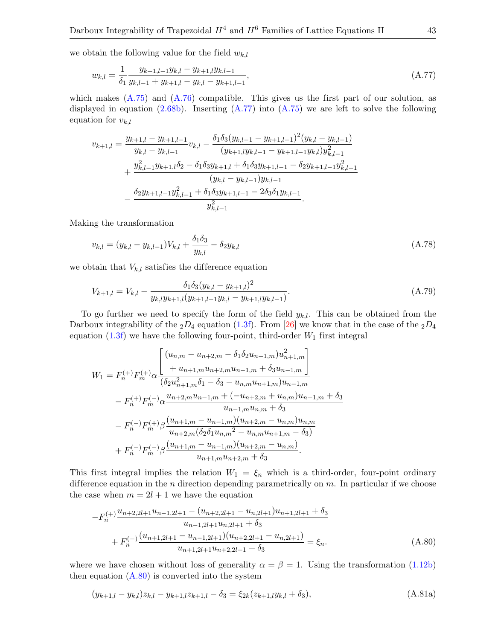we obtain the following value for the field  $w_{k,l}$ 

<span id="page-42-0"></span>
$$
w_{k,l} = \frac{1}{\delta_1} \frac{y_{k+1,l-1} y_{k,l} - y_{k+1,l} y_{k,l-1}}{y_{k,l-1} + y_{k+1,l} - y_{k,l} - y_{k+1,l-1}},
$$
\n(A.77)

which makes  $(A.75)$  and  $(A.76)$  compatible. This gives us the first part of our solution, as displayed in equation  $(2.68b)$ . Inserting  $(A.77)$  into  $(A.75)$  we are left to solve the following equation for  $v_{k,l}$ 

$$
v_{k+1,l} = \frac{y_{k+1,l} - y_{k+1,l-1}}{y_{k,l} - y_{k,l-1}} v_{k,l} - \frac{\delta_1 \delta_3 (y_{k,l-1} - y_{k+1,l-1})^2 (y_{k,l} - y_{k,l-1})}{(y_{k+1,l} y_{k,l-1} - y_{k+1,l-1} y_{k,l}) y_{k,l-1}^2} + \frac{y_{k,l-1}^2 y_{k+1,l} \delta_2 - \delta_1 \delta_3 y_{k+1,l} + \delta_1 \delta_3 y_{k+1,l-1} - \delta_2 y_{k+1,l-1} y_{k,l-1}^2}{(y_{k,l} - y_{k,l-1}) y_{k,l-1}} - \frac{\delta_2 y_{k+1,l-1} y_{k,l-1}^2 + \delta_1 \delta_3 y_{k+1,l-1} - 2\delta_3 \delta_1 y_{k,l-1}}{y_{k,l-1}^2}.
$$

Making the transformation

<span id="page-42-4"></span>
$$
v_{k,l} = (y_{k,l} - y_{k,l-1})V_{k,l} + \frac{\delta_1 \delta_3}{y_{k,l}} - \delta_2 y_{k,l}
$$
\n(A.78)

we obtain that  $V_{k,l}$  satisfies the difference equation

<span id="page-42-3"></span>
$$
V_{k+1,l} = V_{k,l} - \frac{\delta_1 \delta_3 (y_{k,l} - y_{k+1,l})^2}{y_{k,l} y_{k+1,l} (y_{k+1,l-1} y_{k,l} - y_{k+1,l} y_{k,l-1})}.
$$
\n(A.79)

To go further we need to specify the form of the field  $y_{k,l}$ . This can be obtained from the Darboux integrability of the  $_2D_4$  equation [\(1.3f\)](#page-3-4). From [\[26\]](#page-50-19) we know that in the case of the  $_2D_4$ equation [\(1.3f\)](#page-3-4) we have the following four-point, third-order  $W_1$  first integral

$$
W_{1} = F_{n}^{(+)}F_{m}^{(+)}\alpha \frac{\begin{bmatrix} (u_{n,m} - u_{n+2,m} - \delta_{1}\delta_{2}u_{n-1,m})u_{n+1,m}^{2} \\ + u_{n+1,m}u_{n+2,m}u_{n-1,m} + \delta_{3}u_{n-1,m} \end{bmatrix}}{(\delta_{2}u_{n+1,m}^{2}\delta_{1} - \delta_{3} - u_{n,m}u_{n+1,m})u_{n-1,m}}
$$
  

$$
- F_{n}^{(+)}F_{m}^{(-)}\alpha \frac{u_{n+2,m}u_{n-1,m} + (-u_{n+2,m} + u_{n,m})u_{n+1,m} + \delta_{3}}{u_{n-1,m}u_{n,m} + \delta_{3}}
$$
  

$$
- F_{n}^{(-)}F_{m}^{(+)}\beta \frac{(u_{n+1,m} - u_{n-1,m})(u_{n+2,m} - u_{n,m})u_{n,m}}{u_{n+2,m}(\delta_{2}\delta_{1}u_{n,m}^{2} - u_{n,m}u_{n+1,m} - \delta_{3})}
$$
  

$$
+ F_{n}^{(-)}F_{m}^{(-)}\beta \frac{(u_{n+1,m} - u_{n-1,m})(u_{n+2,m} - u_{n,m})}{u_{n+1,m}u_{n+2,m} + \delta_{3}}.
$$

This first integral implies the relation  $W_1 = \xi_n$  which is a third-order, four-point ordinary difference equation in the  $n$  direction depending parametrically on  $m$ . In particular if we choose the case when  $m = 2l + 1$  we have the equation

<span id="page-42-1"></span>
$$
-F_n^{(+)} \frac{u_{n+2,2l+1}u_{n-1,2l+1} - (u_{n+2,2l+1} - u_{n,2l+1})u_{n+1,2l+1} + \delta_3}{u_{n-1,2l+1}u_{n,2l+1} + \delta_3} + F_n^{(-)} \frac{(u_{n+1,2l+1} - u_{n-1,2l+1})(u_{n+2,2l+1} - u_{n,2l+1})}{u_{n+1,2l+1}u_{n+2,2l+1} + \delta_3} = \xi_n.
$$
(A.80)

where we have chosen without loss of generality  $\alpha = \beta = 1$ . Using the transformation [\(1.12b\)](#page-5-5) then equation  $(A.80)$  is converted into the system

<span id="page-42-2"></span>
$$
(y_{k+1,l} - y_{k,l})z_{k,l} - y_{k+1,l}z_{k+1,l} - \delta_3 = \xi_{2k}(z_{k+1,l}y_{k,l} + \delta_3),
$$
\n(A.81a)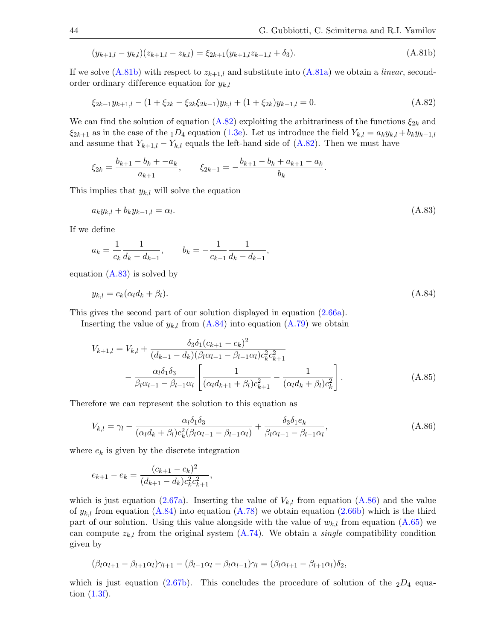$$
(y_{k+1,l} - y_{k,l})(z_{k+1,l} - z_{k,l}) = \xi_{2k+1}(y_{k+1,l}z_{k+1,l} + \delta_3). \tag{A.81b}
$$

If we solve  $(A.81b)$  with respect to  $z_{k+1,l}$  and substitute into  $(A.81a)$  we obtain a *linear*, secondorder ordinary difference equation for  $y_{k,l}$ 

$$
\xi_{2k-1}y_{k+1,l} - (1 + \xi_{2k} - \xi_{2k}\xi_{2k-1})y_{k,l} + (1 + \xi_{2k})y_{k-1,l} = 0.
$$
\n(A.82)

We can find the solution of equation  $(A.82)$  exploiting the arbitrariness of the functions  $\xi_{2k}$  and  $\xi_{2k+1}$  as in the case of the <sub>1</sub>D<sub>4</sub> equation [\(1.3e\)](#page-3-6). Let us introduce the field  $Y_{k,l} = a_k y_{k,l} + b_k y_{k-1,l}$ and assume that  $Y_{k+1,l} - Y_{k,l}$  equals the left-hand side of  $(A.82)$ . Then we must have

$$
\xi_{2k} = \frac{b_{k+1} - b_k + -a_k}{a_{k+1}}, \qquad \xi_{2k-1} = -\frac{b_{k+1} - b_k + a_{k+1} - a_k}{b_k}.
$$

This implies that  $y_{k,l}$  will solve the equation

$$
a_k y_{k,l} + b_k y_{k-1,l} = \alpha_l. \tag{A.83}
$$

<span id="page-43-4"></span><span id="page-43-3"></span><span id="page-43-2"></span><span id="page-43-1"></span><span id="page-43-0"></span>,

If we define

$$
a_k = \frac{1}{c_k} \frac{1}{d_k - d_{k-1}}, \qquad b_k = -\frac{1}{c_{k-1}} \frac{1}{d_k - d_{k-1}}
$$

equation  $(A.83)$  is solved by

$$
y_{k,l} = c_k(\alpha_l d_k + \beta_l). \tag{A.84}
$$

This gives the second part of our solution displayed in equation [\(2.66a\)](#page-19-3).

Inserting the value of  $y_{k,l}$  from  $(A.84)$  into equation  $(A.79)$  we obtain

$$
V_{k+1,l} = V_{k,l} + \frac{\delta_3 \delta_1 (c_{k+1} - c_k)^2}{(d_{k+1} - d_k)(\beta_l \alpha_{l-1} - \beta_{l-1} \alpha_l) c_k^2 c_{k+1}^2} - \frac{\alpha_l \delta_1 \delta_3}{\beta_l \alpha_{l-1} - \beta_{l-1} \alpha_l} \left[ \frac{1}{(\alpha_l d_{k+1} + \beta_l) c_{k+1}^2} - \frac{1}{(\alpha_l d_k + \beta_l) c_k^2} \right].
$$
\n(A.85)

Therefore we can represent the solution to this equation as

$$
V_{k,l} = \gamma_l - \frac{\alpha_l \delta_1 \delta_3}{(\alpha_l d_k + \beta_l) c_k^2 (\beta_l \alpha_{l-1} - \beta_{l-1} \alpha_l)} + \frac{\delta_3 \delta_1 e_k}{\beta_l \alpha_{l-1} - \beta_{l-1} \alpha_l},
$$
(A.86)

where  $e_k$  is given by the discrete integration

$$
e_{k+1} - e_k = \frac{(c_{k+1} - c_k)^2}{(d_{k+1} - d_k)c_k^2 c_{k+1}^2},
$$

which is just equation [\(2.67a\)](#page-19-4). Inserting the value of  $V_{k,l}$  from equation [\(A.86\)](#page-43-4) and the value of  $y_{k,l}$  from equation [\(A.84\)](#page-43-3) into equation [\(A.78\)](#page-42-4) we obtain equation [\(2.66b\)](#page-19-5) which is the third part of our solution. Using this value alongside with the value of  $w_{k,l}$  from equation [\(A.65\)](#page-39-4) we can compute  $z_{k,l}$  from the original system  $(A.74)$ . We obtain a *single* compatibility condition given by

$$
(\beta_l \alpha_{l+1} - \beta_{l+1} \alpha_l) \gamma_{l+1} - (\beta_{l-1} \alpha_l - \beta_l \alpha_{l-1}) \gamma_l = (\beta_l \alpha_{l+1} - \beta_{l+1} \alpha_l) \delta_2,
$$

which is just equation [\(2.67b\)](#page-19-6). This concludes the procedure of solution of the  $_2D_4$  equation [\(1.3f\)](#page-3-4).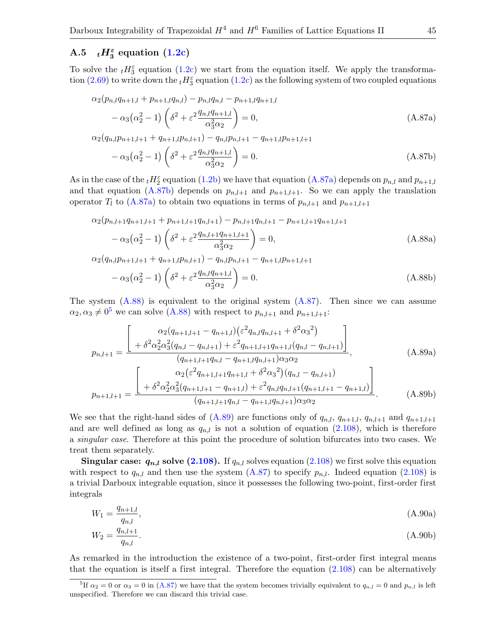# A.5  $_tH_3^{\varepsilon}$  equation  $(1.2c)$

<span id="page-44-3"></span>To solve the  $_t H_3^{\varepsilon}$  equation [\(1.2c\)](#page-2-4) we start from the equation itself. We apply the transforma-tion [\(2.69\)](#page-20-3) to write down the  $_t H_3^{\varepsilon}$  equation [\(1.2c\)](#page-2-4) as the following system of two coupled equations

$$
\alpha_2(p_{n,l}q_{n+1,l} + p_{n+1,l}q_{n,l}) - p_{n,l}q_{n,l} - p_{n+1,l}q_{n+1,l} \n- \alpha_3(\alpha_2^2 - 1) \left( \delta^2 + \varepsilon^2 \frac{q_{n,l}q_{n+1,l}}{\alpha_3^2 \alpha_2} \right) = 0,
$$
\n(A.87a)

 $\alpha_2(q_{n,l}p_{n+1,l+1} + q_{n+1,l}p_{n,l+1}) - q_{n,l}p_{n,l+1} - q_{n+1,l}p_{n+1,l+1}$ 

<span id="page-44-2"></span><span id="page-44-1"></span><span id="page-44-0"></span>
$$
-\alpha_3(\alpha_2^2 - 1)\left(\delta^2 + \varepsilon^2 \frac{q_{n,l}q_{n+1,l}}{\alpha_3^2 \alpha_2}\right) = 0.
$$
\n(A.87b)

As in the case of the  $_{t}H_{2}^{\varepsilon}$  equation [\(1.2b\)](#page-2-3) we have that equation [\(A.87a\)](#page-44-0) depends on  $p_{n,l}$  and  $p_{n+1,l}$ and that equation [\(A.87b\)](#page-44-1) depends on  $p_{n,l+1}$  and  $p_{n+1,l+1}$ . So we can apply the translation operator  $T_l$  to [\(A.87a\)](#page-44-0) to obtain two equations in terms of  $p_{n,l+1}$  and  $p_{n+1,l+1}$ 

$$
\alpha_2(p_{n,l+1}q_{n+1,l+1} + p_{n+1,l+1}q_{n,l+1}) - p_{n,l+1}q_{n,l+1} - p_{n+1,l+1}q_{n+1,l+1}
$$

$$
- \alpha_3(\alpha_2^2 - 1) \left( \delta^2 + \varepsilon^2 \frac{q_{n,l+1}q_{n+1,l+1}}{\alpha_3^2 \alpha_2} \right) = 0,
$$
  
\n
$$
\alpha_2(q_{n,l}p_{n+1,l+1} + q_{n+1,l}p_{n,l+1}) - q_{n,l}p_{n,l+1} - q_{n+1,l}p_{n+1,l+1}
$$
\n(A.88a)

<span id="page-44-8"></span><span id="page-44-5"></span>
$$
- \alpha_3(\alpha_2^2 - 1) \left( \delta^2 + \varepsilon^2 \frac{q_{n,l} q_{n+1,l}}{\alpha_3^2 \alpha_2} \right) = 0.
$$
 (A.88b)

The system  $(A.88)$  is equivalent to the original system  $(A.87)$ . Then since we can assume  $\alpha_2, \alpha_3 \neq 0^5$  $\alpha_2, \alpha_3 \neq 0^5$  we can solve [\(A.88\)](#page-44-2) with respect to  $p_{n,l+1}$  and  $p_{n+1,l+1}$ :

<span id="page-44-9"></span>
$$
p_{n,l+1} = \frac{\left[ \begin{array}{c} \alpha_2(q_{n+1,l+1} - q_{n+1,l}) (\varepsilon^2 q_{n,l} q_{n,l+1} + \delta^2 \alpha_3^2) \\ + \delta^2 \alpha_2^2 \alpha_3^2 (q_{n,l} - q_{n,l+1}) + \varepsilon^2 q_{n+1,l+1} q_{n+1,l} (q_{n,l} - q_{n,l+1}) \end{array} \right]}{(q_{n+1,l+1} q_{n,l} - q_{n+1,l} q_{n,l+1}) \alpha_3 \alpha_2},
$$
\n(A.89a)  
\n
$$
p_{n+1,l+1} = \frac{\left[ \begin{array}{c} \alpha_2 (\varepsilon^2 q_{n+1,l+1} q_{n+1,l} + \delta^2 \alpha_3^2) (q_{n,l} - q_{n,l+1}) \\ + \delta^2 \alpha_2^2 \alpha_3^2 (q_{n+1,l+1} - q_{n+1,l}) + \varepsilon^2 q_{n,l} q_{n,l+1} (q_{n+1,l+1} - q_{n+1,l}) \end{array} \right]}{(q_{n+1,l+1} q_{n,l} - q_{n+1,l} q_{n,l+1}) \alpha_3 \alpha_2}.
$$
\n(A.89b)

We see that the right-hand sides of  $(A.89)$  are functions only of  $q_{n,l}, q_{n+1,l}, q_{n,l+1}$  and  $q_{n+1,l+1}$ and are well defined as long as  $q_{n,l}$  is not a solution of equation [\(2.108\)](#page-27-4), which is therefore a singular case. Therefore at this point the procedure of solution bifurcates into two cases. We treat them separately.

**Singular case:**  $q_{n,l}$  solve [\(2.108\)](#page-27-4). If  $q_{n,l}$  solves equation (2.108) we first solve this equation with respect to  $q_{n,l}$  and then use the system  $(A.87)$  to specify  $p_{n,l}$ . Indeed equation [\(2.108\)](#page-27-4) is a trivial Darboux integrable equation, since it possesses the following two-point, first-order first integrals

<span id="page-44-6"></span>
$$
W_1 = \frac{q_{n+1,l}}{q_{n,l}},\tag{A.90a}
$$

<span id="page-44-7"></span>
$$
W_2 = \frac{q_{n,l+1}}{q_{n,l}}.\tag{A.90b}
$$

As remarked in the introduction the existence of a two-point, first-order first integral means that the equation is itself a first integral. Therefore the equation  $(2.108)$  can be alternatively

<span id="page-44-4"></span><sup>&</sup>lt;sup>5</sup>If  $\alpha_2 = 0$  or  $\alpha_3 = 0$  in [\(A.87\)](#page-44-3) we have that the system becomes trivially equivalent to  $q_{n,l} = 0$  and  $p_{n,l}$  is left unspecified. Therefore we can discard this trivial case.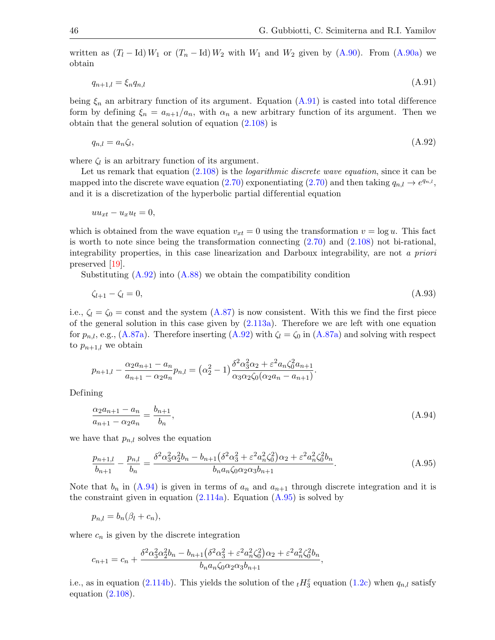written as  $(T_l - \text{Id}) W_1$  or  $(T_n - \text{Id}) W_2$  with  $W_1$  and  $W_2$  given by  $(A.90)$ . From  $(A.90a)$  we obtain

<span id="page-45-1"></span>
$$
q_{n+1,l} = \xi_n q_{n,l} \tag{A.91}
$$

being  $\xi_n$  an arbitrary function of its argument. Equation [\(A.91\)](#page-45-1) is casted into total difference form by defining  $\xi_n = a_{n+1}/a_n$ , with  $\alpha_n$  a new arbitrary function of its argument. Then we obtain that the general solution of equation [\(2.108\)](#page-27-4) is

<span id="page-45-2"></span>
$$
q_{n,l} = a_n \zeta_l,\tag{A.92}
$$

where  $\zeta_l$  is an arbitrary function of its argument.

Let us remark that equation  $(2.108)$  is the *logarithmic discrete wave equation*, since it can be mapped into the discrete wave equation [\(2.70\)](#page-20-2) exponentiating (2.70) and then taking  $q_{n,l} \to e^{q_{n,l}}$ , and it is a discretization of the hyperbolic partial differential equation

$$
uu_{xt} - u_x u_t = 0,
$$

which is obtained from the wave equation  $v_{xt} = 0$  using the transformation  $v = \log u$ . This fact is worth to note since being the transformation connecting [\(2.70\)](#page-20-2) and [\(2.108\)](#page-27-4) not bi-rational, integrability properties, in this case linearization and Darboux integrability, are not a priori preserved [\[19\]](#page-49-20).

Substituting  $(A.92)$  into  $(A.88)$  we obtain the compatibility condition

<span id="page-45-0"></span>
$$
\zeta_{l+1} - \zeta_l = 0,\tag{A.93}
$$

i.e.,  $\zeta_l = \zeta_0 = \text{const}$  and the system [\(A.87\)](#page-44-3) is now consistent. With this we find the first piece of the general solution in this case given by [\(2.113a\)](#page-28-4). Therefore we are left with one equation for  $p_{n,l}$ , e.g., [\(A.87a\)](#page-44-0). Therefore inserting [\(A.92\)](#page-45-2) with  $\zeta_l = \zeta_0$  in (A.87a) and solving with respect to  $p_{n+1,l}$  we obtain

$$
p_{n+1,l} - \frac{\alpha_2 a_{n+1} - a_n}{a_{n+1} - \alpha_2 a_n} p_{n,l} = (\alpha_2^2 - 1) \frac{\delta^2 \alpha_3^2 \alpha_2 + \varepsilon^2 a_n \zeta_0^2 a_{n+1}}{\alpha_3 \alpha_2 \zeta_0 (\alpha_2 a_n - a_{n+1})}.
$$

Defining

<span id="page-45-3"></span>
$$
\frac{\alpha_2 a_{n+1} - a_n}{a_{n+1} - \alpha_2 a_n} = \frac{b_{n+1}}{b_n},\tag{A.94}
$$

we have that  $p_{n,l}$  solves the equation

<span id="page-45-4"></span>
$$
\frac{p_{n+1,l}}{b_{n+1}} - \frac{p_{n,l}}{b_n} = \frac{\delta^2 \alpha_3^2 \alpha_2^2 b_n - b_{n+1} (\delta^2 \alpha_3^2 + \varepsilon^2 a_n^2 \zeta_0^2) \alpha_2 + \varepsilon^2 a_n^2 \zeta_0^2 b_n}{b_n a_n \zeta_0 \alpha_2 \alpha_3 b_{n+1}}.
$$
(A.95)

Note that  $b_n$  in [\(A.94\)](#page-45-3) is given in terms of  $a_n$  and  $a_{n+1}$  through discrete integration and it is the constraint given in equation  $(2.114a)$ . Equation  $(A.95)$  is solved by

$$
p_{n,l} = b_n(\beta_l + c_n),
$$

where  $c_n$  is given by the discrete integration

$$
c_{n+1} = c_n + \frac{\delta^2 \alpha_3^2 \alpha_2^2 b_n - b_{n+1} (\delta^2 \alpha_3^2 + \varepsilon^2 a_n^2 \zeta_0^2) \alpha_2 + \varepsilon^2 a_n^2 \zeta_0^2 b_n}{b_n a_n \zeta_0 \alpha_2 \alpha_3 b_{n+1}},
$$

i.e., as in equation [\(2.114b\)](#page-28-6). This yields the solution of the  $_t H_3^{\varepsilon}$  equation [\(1.2c\)](#page-2-4) when  $q_{n,l}$  satisfy equation  $(2.108)$ .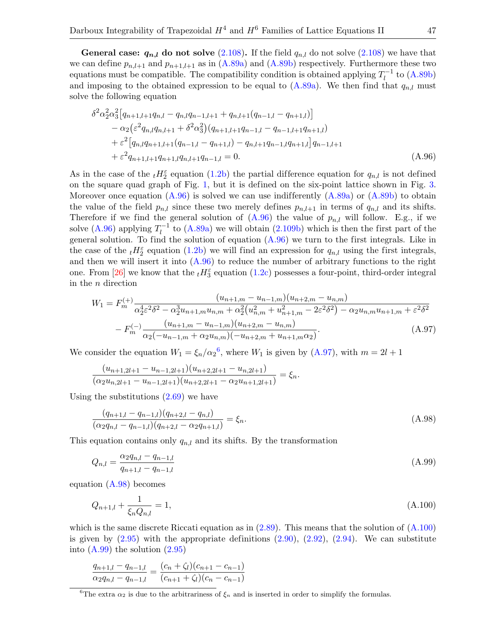**General case:**  $q_{n,l}$  do not solve [\(2.108\)](#page-27-4). If the field  $q_{n,l}$  do not solve (2.108) we have that we can define  $p_{n,l+1}$  and  $p_{n+1,l+1}$  as in  $(A.89a)$  and  $(A.89b)$  respectively. Furthermore these two equations must be compatible. The compatibility condition is obtained applying  $T_I^{-1}$  $l_l^{-1}$  to  $(A.89b)$ and imposing to the obtained expression to be equal to  $(A.89a)$ . We then find that  $q_{n,l}$  must solve the following equation

<span id="page-46-0"></span>
$$
\delta^2 \alpha_2^2 \alpha_3^2 \left[ q_{n+1,l+1} q_{n,l} - q_{n,l} q_{n-1,l+1} + q_{n,l+1} (q_{n-1,l} - q_{n+1,l}) \right] \n- \alpha_2 \left( \varepsilon^2 q_{n,l} q_{n,l+1} + \delta^2 \alpha_3^2 \right) \left( q_{n+1,l+1} q_{n-1,l} - q_{n-1,l+1} q_{n+1,l} \right) \n+ \varepsilon^2 \left[ q_{n,l} q_{n+1,l+1} (q_{n-1,l} - q_{n+1,l}) - q_{n,l+1} q_{n-1,l} q_{n+1,l} \right] q_{n-1,l+1} \n+ \varepsilon^2 q_{n+1,l+1} q_{n+1,l} q_{n,l+1} q_{n-1,l} = 0.
$$
\n(A.96)

As in the case of the  $_t H_2^{\varepsilon}$  equation [\(1.2b\)](#page-2-3) the partial difference equation for  $q_{n,l}$  is not defined on the square quad graph of Fig. [1,](#page-1-0) but it is defined on the six-point lattice shown in Fig. [3.](#page-24-0) Moreover once equation  $(A.96)$  is solved we can use indifferently  $(A.89a)$  or  $(A.89b)$  to obtain the value of the field  $p_{n,l}$  since these two merely defines  $p_{n,l+1}$  in terms of  $q_{n,l}$  and its shifts. Therefore if we find the general solution of  $(A.96)$  the value of  $p_{n,l}$  will follow. E.g., if we solve [\(A.96\)](#page-46-0) applying  $T_l^{-1}$  $l_l^{-1}$  to [\(A.89a\)](#page-44-8) we will obtain [\(2.109b\)](#page-27-5) which is then the first part of the general solution. To find the solution of equation  $(A.96)$  we turn to the first integrals. Like in the case of the  $_t H_2^{\varepsilon}$  equation [\(1.2b\)](#page-2-3) we will find an expression for  $q_{n,l}$  using the first integrals, and then we will insert it into  $(A.96)$  to reduce the number of arbitrary functions to the right one. From [\[26\]](#page-50-19) we know that the  $_t H_3^{\varepsilon}$  equation [\(1.2c\)](#page-2-4) possesses a four-point, third-order integral in the n direction

<span id="page-46-2"></span>
$$
W_{1} = F_{m}^{(+)} \frac{(u_{n+1,m} - u_{n-1,m})(u_{n+2,m} - u_{n,m})}{\alpha_{2}^{4} \varepsilon^{2} \delta^{2} - \alpha_{2}^{3} u_{n+1,m} u_{n,m} + \alpha_{2}^{2} (u_{n,m}^{2} + u_{n+1,m}^{2} - 2\varepsilon^{2} \delta^{2}) - \alpha_{2} u_{n,m} u_{n+1,m} + \varepsilon^{2} \delta^{2}}
$$

$$
- F_{m}^{(-)} \frac{(u_{n+1,m} - u_{n-1,m})(u_{n+2,m} - u_{n,m})}{\alpha_{2}(-u_{n-1,m} + \alpha_{2} u_{n,m})(-u_{n+2,m} + u_{n+1,m} \alpha_{2})}.
$$
(A.97)

We consider the equation  $W_1 = \xi_n/\alpha_2^6$  $W_1 = \xi_n/\alpha_2^6$ , where  $W_1$  is given by [\(A.97\)](#page-46-2), with  $m = 2l + 1$ 

$$
\frac{(u_{n+1,2l+1} - u_{n-1,2l+1})(u_{n+2,2l+1} - u_{n,2l+1})}{(\alpha_2 u_{n,2l+1} - u_{n-1,2l+1})(u_{n+2,2l+1} - \alpha_2 u_{n+1,2l+1})} = \xi_n.
$$

Using the substitutions [\(2.69\)](#page-20-3) we have

<span id="page-46-3"></span>
$$
\frac{(q_{n+1,l} - q_{n-1,l})(q_{n+2,l} - q_{n,l})}{(\alpha_2 q_{n,l} - q_{n-1,l})(q_{n+2,l} - \alpha_2 q_{n+1,l})} = \xi_n.
$$
\n(A.98)

This equation contains only  $q_{n,l}$  and its shifts. By the transformation

<span id="page-46-5"></span>
$$
Q_{n,l} = \frac{\alpha_2 q_{n,l} - q_{n-1,l}}{q_{n+1,l} - q_{n-1,l}}\tag{A.99}
$$

equation [\(A.98\)](#page-46-3) becomes

<span id="page-46-4"></span>
$$
Q_{n+1,l} + \frac{1}{\xi_n Q_{n,l}} = 1,\tag{A.100}
$$

which is the same discrete Riccati equation as in  $(2.89)$ . This means that the solution of  $(A.100)$ is given by  $(2.95)$  with the appropriate definitions  $(2.90)$ ,  $(2.92)$ ,  $(2.94)$ . We can substitute into  $(A.99)$  the solution  $(2.95)$ 

$$
\frac{q_{n+1,l} - q_{n-1,l}}{\alpha_2 q_{n,l} - q_{n-1,l}} = \frac{(c_n + \zeta_l)(c_{n+1} - c_{n-1})}{(c_{n+1} + \zeta_l)(c_n - c_{n-1})}
$$

<span id="page-46-1"></span><sup>&</sup>lt;sup>6</sup>The extra  $\alpha_2$  is due to the arbitrariness of  $\xi_n$  and is inserted in order to simplify the formulas.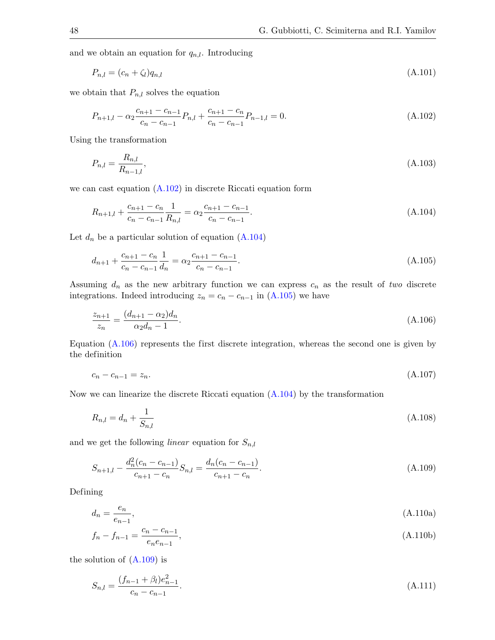and we obtain an equation for  $q_{n,l}$ . Introducing

<span id="page-47-9"></span>
$$
P_{n,l} = (c_n + \zeta_l)q_{n,l} \tag{A.101}
$$

we obtain that  $P_{n,l}$  solves the equation

<span id="page-47-0"></span>
$$
P_{n+1,l} - \alpha_2 \frac{c_{n+1} - c_{n-1}}{c_n - c_{n-1}} P_{n,l} + \frac{c_{n+1} - c_n}{c_n - c_{n-1}} P_{n-1,l} = 0.
$$
\n(A.102)

Using the transformation

<span id="page-47-8"></span>
$$
P_{n,l} = \frac{R_{n,l}}{R_{n-1,l}},\tag{A.103}
$$

we can cast equation [\(A.102\)](#page-47-0) in discrete Riccati equation form

<span id="page-47-1"></span>
$$
R_{n+1,l} + \frac{c_{n+1} - c_n}{c_n - c_{n-1}} \frac{1}{R_{n,l}} = \alpha_2 \frac{c_{n+1} - c_{n-1}}{c_n - c_{n-1}}.
$$
\n(A.104)

Let  $d_n$  be a particular solution of equation  $(A.104)$ 

<span id="page-47-2"></span>
$$
d_{n+1} + \frac{c_{n+1} - c_n}{c_n - c_{n-1}} \frac{1}{d_n} = \alpha_2 \frac{c_{n+1} - c_{n-1}}{c_n - c_{n-1}}.
$$
\n(A.105)

Assuming  $d_n$  as the new arbitrary function we can express  $c_n$  as the result of two discrete integrations. Indeed introducing  $z_n = c_n - c_{n-1}$  in [\(A.105\)](#page-47-2) we have

<span id="page-47-3"></span>
$$
\frac{z_{n+1}}{z_n} = \frac{(d_{n+1} - \alpha_2)d_n}{\alpha_2 d_n - 1}.
$$
\n(A.106)

Equation [\(A.106\)](#page-47-3) represents the first discrete integration, whereas the second one is given by the definition

<span id="page-47-11"></span>
$$
c_n - c_{n-1} = z_n. \tag{A.107}
$$

Now we can linearize the discrete Riccati equation [\(A.104\)](#page-47-1) by the transformation

<span id="page-47-7"></span>
$$
R_{n,l} = d_n + \frac{1}{S_{n,l}} \tag{A.108}
$$

and we get the following *linear* equation for  $S_{n,l}$ 

<span id="page-47-4"></span>
$$
S_{n+1,l} - \frac{d_n^2(c_n - c_{n-1})}{c_{n+1} - c_n} S_{n,l} = \frac{d_n(c_n - c_{n-1})}{c_{n+1} - c_n}.
$$
\n(A.109)

Defining

<span id="page-47-6"></span>
$$
d_n = \frac{e_n}{e_{n-1}},\tag{A.110a}
$$

<span id="page-47-10"></span>
$$
f_n - f_{n-1} = \frac{c_n - c_{n-1}}{e_n e_{n-1}},
$$
\n(A.110b)

the solution of  $(A.109)$  is

<span id="page-47-5"></span>
$$
S_{n,l} = \frac{(f_{n-1} + \beta_l)e_{n-1}^2}{c_n - c_{n-1}}.
$$
\n(A.111)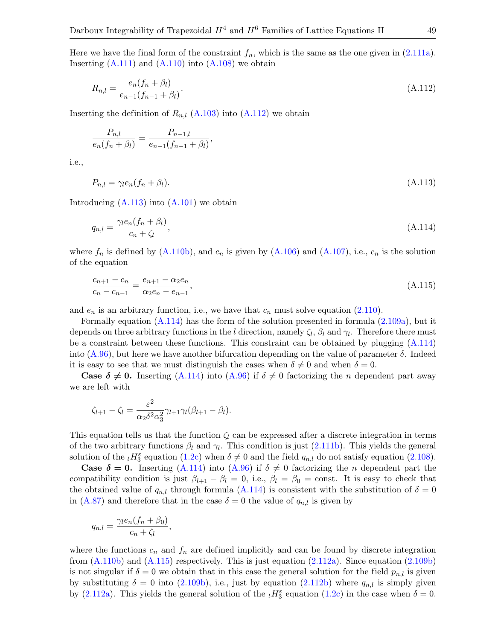Here we have the final form of the constraint  $f_n$ , which is the same as the one given in [\(2.111a\)](#page-28-1). Inserting  $(A.111)$  and  $(A.110)$  into  $(A.108)$  we obtain

<span id="page-48-0"></span>
$$
R_{n,l} = \frac{e_n(f_n + \beta_l)}{e_{n-1}(f_{n-1} + \beta_l)}.\tag{A.112}
$$

Inserting the definition of  $R_{n,l}$  [\(A.103\)](#page-47-8) into [\(A.112\)](#page-48-0) we obtain

$$
\frac{P_{n,l}}{e_n(f_n+\beta_l)}=\frac{P_{n-1,l}}{e_{n-1}(f_{n-1}+\beta_l)},
$$

i.e.,

<span id="page-48-1"></span>
$$
P_{n,l} = \gamma_l e_n (f_n + \beta_l). \tag{A.113}
$$

Introducing  $(A.113)$  into  $(A.101)$  we obtain

<span id="page-48-2"></span>
$$
q_{n,l} = \frac{\gamma_l e_n (f_n + \beta_l)}{c_n + \zeta_l},\tag{A.114}
$$

where  $f_n$  is defined by  $(A.110b)$ , and  $c_n$  is given by  $(A.106)$  and  $(A.107)$ , i.e.,  $c_n$  is the solution of the equation

<span id="page-48-3"></span>
$$
\frac{c_{n+1} - c_n}{c_n - c_{n-1}} = \frac{e_{n+1} - \alpha_2 e_n}{\alpha_2 e_n - e_{n-1}},\tag{A.115}
$$

and  $e_n$  is an arbitrary function, i.e., we have that  $c_n$  must solve equation [\(2.110\)](#page-28-0).

Formally equation [\(A.114\)](#page-48-2) has the form of the solution presented in formula [\(2.109a\)](#page-27-6), but it depends on three arbitrary functions in the l direction, namely  $\zeta_l$ ,  $\beta_l$  and  $\gamma_l$ . Therefore there must be a constraint between these functions. This constraint can be obtained by plugging [\(A.114\)](#page-48-2) into  $(A.96)$ , but here we have another bifurcation depending on the value of parameter  $\delta$ . Indeed it is easy to see that we must distinguish the cases when  $\delta \neq 0$  and when  $\delta = 0$ .

**Case**  $\delta \neq 0$ **.** Inserting [\(A.114\)](#page-48-2) into [\(A.96\)](#page-46-0) if  $\delta \neq 0$  factorizing the n dependent part away we are left with

$$
\zeta_{l+1} - \zeta_l = \frac{\varepsilon^2}{\alpha_2 \delta^2 \alpha_3^2} \gamma_{l+1} \gamma_l (\beta_{l+1} - \beta_l).
$$

This equation tells us that the function  $\zeta_l$  can be expressed after a discrete integration in terms of the two arbitrary functions  $\beta_l$  and  $\gamma_l$ . This condition is just [\(2.111b\)](#page-28-7). This yields the general solution of the  $_t H_3^{\varepsilon}$  equation [\(1.2c\)](#page-2-4) when  $\delta \neq 0$  and the field  $q_{n,l}$  do not satisfy equation [\(2.108\)](#page-27-4).

**Case**  $\delta = 0$ **.** Inserting [\(A.114\)](#page-48-2) into [\(A.96\)](#page-46-0) if  $\delta \neq 0$  factorizing the *n* dependent part the compatibility condition is just  $\beta_{l+1} - \beta_l = 0$ , i.e.,  $\beta_l = \beta_0 = \text{const.}$  It is easy to check that the obtained value of  $q_{n,l}$  through formula [\(A.114\)](#page-48-2) is consistent with the substitution of  $\delta = 0$ in [\(A.87\)](#page-44-3) and therefore that in the case  $\delta = 0$  the value of  $q_{n,l}$  is given by

$$
q_{n,l} = \frac{\gamma_l e_n (f_n + \beta_0)}{c_n + \zeta_l},
$$

where the functions  $c_n$  and  $f_n$  are defined implicitly and can be found by discrete integration from  $(A.110b)$  and  $(A.115)$  respectively. This is just equation  $(2.112a)$ . Since equation  $(2.109b)$ is not singular if  $\delta = 0$  we obtain that in this case the general solution for the field  $p_{n,l}$  is given by substituting  $\delta = 0$  into [\(2.109b\)](#page-27-5), i.e., just by equation [\(2.112b\)](#page-28-9) where  $q_{n,l}$  is simply given by [\(2.112a\)](#page-28-8). This yields the general solution of the  $_tH_3^{\epsilon}$  equation [\(1.2c\)](#page-2-4) in the case when  $\delta = 0$ .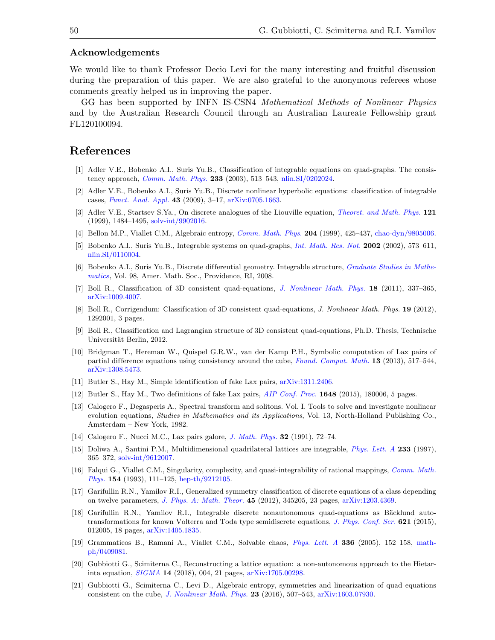#### Acknowledgements

We would like to thank Professor Decio Levi for the many interesting and fruitful discussion during the preparation of this paper. We are also grateful to the anonymous referees whose comments greatly helped us in improving the paper.

GG has been supported by INFN IS-CSN4 Mathematical Methods of Nonlinear Physics and by the Australian Research Council through an Australian Laureate Fellowship grant FL120100094.

## References

- <span id="page-49-8"></span>[1] Adler V.E., Bobenko A.I., Suris Yu.B., Classification of integrable equations on quad-graphs. The consistency approach, [Comm. Math. Phys.](https://doi.org/10.1007/s00220-002-0762-8) 233 (2003), 513–543, [nlin.SI/0202024.](https://arxiv.org/abs/nlin.SI/0202024)
- <span id="page-49-9"></span>[2] Adler V.E., Bobenko A.I., Suris Yu.B., Discrete nonlinear hyperbolic equations: classification of integrable cases, [Funct. Anal. Appl.](https://doi.org/10.1007/s10688-009-0002-5) 43 (2009), 3–17, [arXiv:0705.1663.](https://arxiv.org/abs/0705.1663)
- <span id="page-49-17"></span>[3] Adler V.E., Startsev S.Ya., On discrete analogues of the Liouville equation, *[Theoret. and Math. Phys.](https://doi.org/10.1007/BF02557219)* 121 (1999), 1484–1495, [solv-int/9902016.](https://arxiv.org/abs/solv-int/9902016)
- <span id="page-49-14"></span>[4] Bellon M.P., Viallet C.M., Algebraic entropy, *[Comm. Math. Phys.](https://doi.org/10.1007/s002200050652)* 204 (1999), 425–437, [chao-dyn/9805006.](https://arxiv.org/abs/chao-dyn/9805006)
- <span id="page-49-0"></span>[5] Bobenko A.I., Suris Yu.B., Integrable systems on quad-graphs, [Int. Math. Res. Not.](https://doi.org/10.1155/S1073792802110075) 2002 (2002), 573–611, [nlin.SI/0110004.](https://arxiv.org/abs/nlin.SI/0110004)
- <span id="page-49-7"></span>[6] Bobenko A.I., Suris Yu.B., Discrete differential geometry. Integrable structure, *[Graduate Studies in Mathe](https://doi.org/10.1007/978-3-7643-8621-4)*[matics](https://doi.org/10.1007/978-3-7643-8621-4), Vol. 98, Amer. Math. Soc., Providence, RI, 2008.
- <span id="page-49-10"></span>[7] Boll R., Classification of 3D consistent quad-equations, [J. Nonlinear Math. Phys.](https://doi.org/10.1142/S1402925111001647) 18 (2011), 337–365, [arXiv:1009.4007.](https://arxiv.org/abs/1009.4007)
- <span id="page-49-11"></span>[8] Boll R., Corrigendum: Classification of 3D consistent quad-equations, J. Nonlinear Math. Phys. 19 (2012), 1292001, 3 pages.
- <span id="page-49-12"></span>[9] Boll R., Classification and Lagrangian structure of 3D consistent quad-equations, Ph.D. Thesis, Technische Universität Berlin, 2012.
- <span id="page-49-1"></span>[10] Bridgman T., Hereman W., Quispel G.R.W., van der Kamp P.H., Symbolic computation of Lax pairs of partial difference equations using consistency around the cube, [Found. Comput. Math.](https://doi.org/10.1007/s10208-012-9133-9) 13 (2013), 517–544, [arXiv:1308.5473.](https://arxiv.org/abs/1308.5473)
- <span id="page-49-4"></span>[11] Butler S., Hay M., Simple identification of fake Lax pairs, [arXiv:1311.2406.](https://arxiv.org/abs/1311.2406)
- <span id="page-49-5"></span>[12] Butler S., Hay M., Two definitions of fake Lax pairs, *[AIP Conf. Proc.](https://doi.org/10.1063/1.4912469)* **1648** (2015), 180006, 5 pages.
- <span id="page-49-3"></span>[13] Calogero F., Degasperis A., Spectral transform and solitons. Vol. I. Tools to solve and investigate nonlinear evolution equations, *Studies in Mathematics and its Applications*, Vol. 13, North-Holland Publishing Co., Amsterdam – New York, 1982.
- <span id="page-49-6"></span>[14] Calogero F., Nucci M.C., Lax pairs galore, [J. Math. Phys.](https://doi.org/10.1063/1.529096) 32 (1991), 72–74.
- <span id="page-49-2"></span>[15] Doliwa A., Santini P.M., Multidimensional quadrilateral lattices are integrable, [Phys. Lett. A](https://doi.org/10.1016/S0375-9601(97)00456-8) 233 (1997), 365–372, [solv-int/9612007.](https://arxiv.org/abs/solv-int/9612007)
- <span id="page-49-15"></span>[16] Falqui G., Viallet C.M., Singularity, complexity, and quasi-integrability of rational mappings, [Comm. Math.](https://doi.org/10.1007/BF02096835) [Phys.](https://doi.org/10.1007/BF02096835) 154 (1993), 111–125, [hep-th/9212105.](https://arxiv.org/abs/hep-th/9212105)
- <span id="page-49-18"></span>[17] Garifullin R.N., Yamilov R.I., Generalized symmetry classification of discrete equations of a class depending on twelve parameters, [J. Phys. A: Math. Theor.](https://doi.org/10.1088/1751-8113/45/34/345205) 45 (2012), 345205, 23 pages, [arXiv:1203.4369.](https://arxiv.org/abs/1203.4369)
- <span id="page-49-19"></span>[18] Garifullin R.N., Yamilov R.I., Integrable discrete nonautonomous quad-equations as Bäcklund autotransformations for known Volterra and Toda type semidiscrete equations, [J. Phys. Conf. Ser.](https://doi.org/10.1088/1742-6596/621/1/012005) 621 (2015), 012005, 18 pages, [arXiv:1405.1835.](https://arxiv.org/abs/1405.1835)
- <span id="page-49-20"></span>[19] Grammaticos B., Ramani A., Viallet C.M., Solvable chaos, [Phys. Lett. A](https://doi.org/10.1016/j.physleta.2005.01.026) 336 (2005), 152–158, [math](https://arxiv.org/abs/math-ph/0409081)[ph/0409081.](https://arxiv.org/abs/math-ph/0409081)
- <span id="page-49-16"></span>[20] Gubbiotti G., Scimiterna C., Reconstructing a lattice equation: a non-autonomous approach to the Hietarinta equation, [SIGMA](https://doi.org/10.3842/SIGMA.2018.004) 14 (2018), 004, 21 pages, [arXiv:1705.00298.](https://arxiv.org/abs/1705.00298)
- <span id="page-49-13"></span>[21] Gubbiotti G., Scimiterna C., Levi D., Algebraic entropy, symmetries and linearization of quad equations consistent on the cube, [J. Nonlinear Math. Phys.](https://doi.org/10.1080/14029251.2016.1237200) 23 (2016), 507–543, [arXiv:1603.07930.](https://arxiv.org/abs/1603.07930)